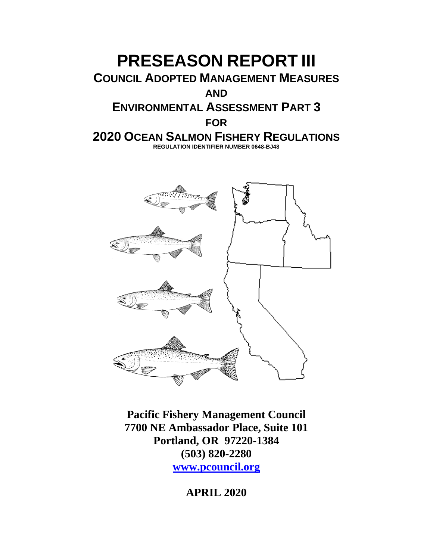# **PRESEASON REPORT III COUNCIL ADOPTED MANAGEMENT MEASURES AND ENVIRONMENTAL ASSESSMENT PART 3**

## **FOR**

## **2020 OCEAN SALMON FISHERY REGULATIONS**

**REGULATION IDENTIFIER NUMBER 0648-BJ48**



**Pacific Fishery Management Council 7700 NE Ambassador Place, Suite 101 Portland, OR 97220-1384 (503) 820-2280 www.pcouncil.org**

**APRIL 2020**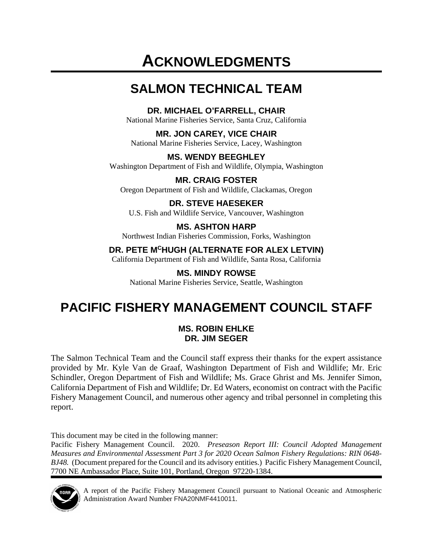# **ACKNOWLEDGMENTS**

# **SALMON TECHNICAL TEAM**

**DR. MICHAEL O'FARRELL, CHAIR**

National Marine Fisheries Service, Santa Cruz, California

**MR. JON CAREY, VICE CHAIR** National Marine Fisheries Service, Lacey, Washington

**MS. WENDY BEEGHLEY** Washington Department of Fish and Wildlife, Olympia, Washington

**MR. CRAIG FOSTER** Oregon Department of Fish and Wildlife, Clackamas, Oregon

**DR. STEVE HAESEKER** U.S. Fish and Wildlife Service, Vancouver, Washington

#### **MS. ASHTON HARP** Northwest Indian Fisheries Commission, Forks, Washington

## **DR. PETE MCHUGH (ALTERNATE FOR ALEX LETVIN)**

California Department of Fish and Wildlife, Santa Rosa, California

**MS. MINDY ROWSE** National Marine Fisheries Service, Seattle, Washington

# **PACIFIC FISHERY MANAGEMENT COUNCIL STAFF**

## **MS. ROBIN EHLKE DR. JIM SEGER**

The Salmon Technical Team and the Council staff express their thanks for the expert assistance provided by Mr. Kyle Van de Graaf, Washington Department of Fish and Wildlife; Mr. Eric Schindler, Oregon Department of Fish and Wildlife; Ms. Grace Ghrist and Ms. Jennifer Simon, California Department of Fish and Wildlife; Dr. Ed Waters, economist on contract with the Pacific Fishery Management Council, and numerous other agency and tribal personnel in completing this report.

This document may be cited in the following manner:

Pacific Fishery Management Council. 2020. *Preseason Report III: Council Adopted Management Measures and Environmental Assessment Part 3 for 2020 Ocean Salmon Fishery Regulations: RIN 0648- BJ48.* (Document prepared for the Council and its advisory entities.) Pacific Fishery Management Council, 7700 NE Ambassador Place, Suite 101, Portland, Oregon 97220-1384.



A report of the Pacific Fishery Management Council pursuant to National Oceanic and Atmospheric Administration Award Number FNA20NMF4410011.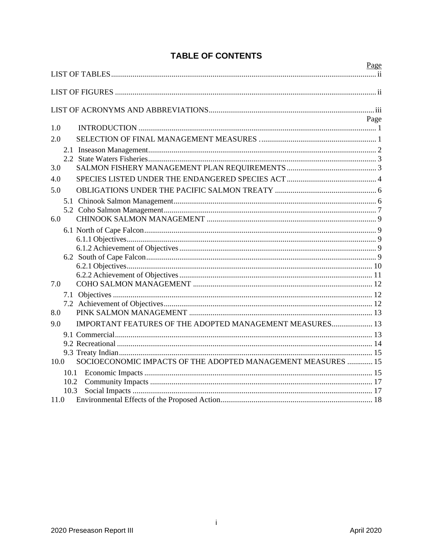|                                                                      | Page |
|----------------------------------------------------------------------|------|
|                                                                      |      |
|                                                                      |      |
|                                                                      |      |
|                                                                      | Page |
| 1.0                                                                  |      |
| 2.0                                                                  |      |
|                                                                      |      |
|                                                                      |      |
| 3.0                                                                  |      |
| 4.0                                                                  |      |
| 5.0                                                                  |      |
|                                                                      |      |
|                                                                      |      |
| 6.0                                                                  |      |
|                                                                      |      |
|                                                                      |      |
|                                                                      |      |
|                                                                      |      |
|                                                                      |      |
| 7.0                                                                  |      |
|                                                                      |      |
|                                                                      |      |
| 8.0                                                                  |      |
| IMPORTANT FEATURES OF THE ADOPTED MANAGEMENT MEASURES 13<br>9.0      |      |
|                                                                      |      |
|                                                                      |      |
|                                                                      |      |
| SOCIOECONOMIC IMPACTS OF THE ADOPTED MANAGEMENT MEASURES  15<br>10.0 |      |
| 10.1                                                                 |      |
| 10.2                                                                 |      |
| 10.3                                                                 |      |
| 11.0                                                                 |      |

## **TABLE OF CONTENTS**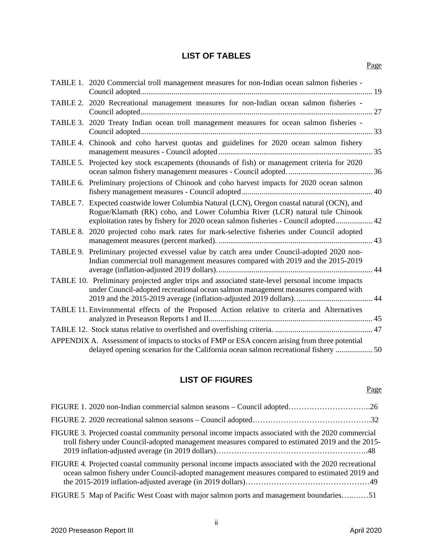## **LIST OF TABLES**

|          | TABLE 1. 2020 Commercial troll management measures for non-Indian ocean salmon fisheries -                                                                                                                                                               |  |
|----------|----------------------------------------------------------------------------------------------------------------------------------------------------------------------------------------------------------------------------------------------------------|--|
|          | TABLE 2. 2020 Recreational management measures for non-Indian ocean salmon fisheries -                                                                                                                                                                   |  |
|          | TABLE 3. 2020 Treaty Indian ocean troll management measures for ocean salmon fisheries -                                                                                                                                                                 |  |
|          | TABLE 4. Chinook and coho harvest quotas and guidelines for 2020 ocean salmon fishery                                                                                                                                                                    |  |
| TABLE 5. | Projected key stock escapements (thousands of fish) or management criteria for 2020                                                                                                                                                                      |  |
|          | TABLE 6. Preliminary projections of Chinook and coho harvest impacts for 2020 ocean salmon                                                                                                                                                               |  |
| TABLE 7. | Expected coastwide lower Columbia Natural (LCN), Oregon coastal natural (OCN), and<br>Rogue/Klamath (RK) coho, and Lower Columbia River (LCR) natural tule Chinook<br>exploitation rates by fishery for 2020 ocean salmon fisheries - Council adopted 42 |  |
|          | TABLE 8. 2020 projected coho mark rates for mark-selective fisheries under Council adopted                                                                                                                                                               |  |
|          | TABLE 9. Preliminary projected exvessel value by catch area under Council-adopted 2020 non-<br>Indian commercial troll management measures compared with 2019 and the 2015-2019                                                                          |  |
|          | TABLE 10. Preliminary projected angler trips and associated state-level personal income impacts<br>under Council-adopted recreational ocean salmon management measures compared with                                                                     |  |
|          | TABLE 11. Environmental effects of the Proposed Action relative to criteria and Alternatives                                                                                                                                                             |  |
|          |                                                                                                                                                                                                                                                          |  |
|          | APPENDIX A. Assessment of impacts to stocks of FMP or ESA concern arising from three potential<br>delayed opening scenarios for the California ocean salmon recreational fishery  50                                                                     |  |

## **LIST OF FIGURES**

Page

| FIGURE 3. Projected coastal community personal income impacts associated with the 2020 commercial<br>troll fishery under Council-adopted management measures compared to estimated 2019 and the 2015- |
|-------------------------------------------------------------------------------------------------------------------------------------------------------------------------------------------------------|
| FIGURE 4. Projected coastal community personal income impacts associated with the 2020 recreational<br>ocean salmon fishery under Council-adopted management measures compared to estimated 2019 and  |
| FIGURE 5 Map of Pacific West Coast with major salmon ports and management boundaries51                                                                                                                |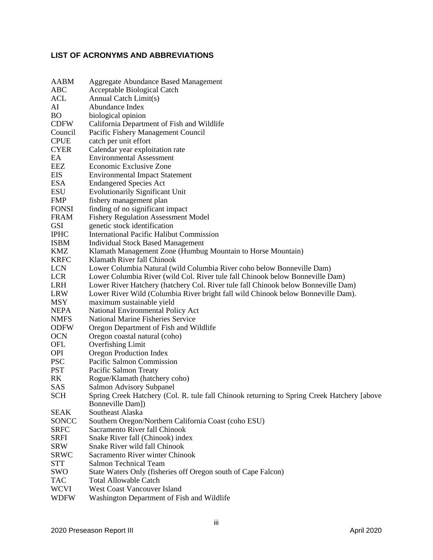## **LIST OF ACRONYMS AND ABBREVIATIONS**

| <b>AABM</b>  | <b>Aggregate Abundance Based Management</b>                                                |
|--------------|--------------------------------------------------------------------------------------------|
| <b>ABC</b>   | Acceptable Biological Catch                                                                |
| <b>ACL</b>   | Annual Catch Limit(s)                                                                      |
| AI           | Abundance Index                                                                            |
| <b>BO</b>    | biological opinion                                                                         |
| <b>CDFW</b>  | California Department of Fish and Wildlife                                                 |
| Council      | Pacific Fishery Management Council                                                         |
| <b>CPUE</b>  | catch per unit effort                                                                      |
| <b>CYER</b>  | Calendar year exploitation rate                                                            |
| EA           | <b>Environmental Assessment</b>                                                            |
| <b>EEZ</b>   | Economic Exclusive Zone                                                                    |
| <b>EIS</b>   | <b>Environmental Impact Statement</b>                                                      |
| <b>ESA</b>   | <b>Endangered Species Act</b>                                                              |
| <b>ESU</b>   | <b>Evolutionarily Significant Unit</b>                                                     |
| <b>FMP</b>   | fishery management plan                                                                    |
| <b>FONSI</b> | finding of no significant impact                                                           |
| <b>FRAM</b>  | <b>Fishery Regulation Assessment Model</b>                                                 |
| <b>GSI</b>   | genetic stock identification                                                               |
| <b>IPHC</b>  | <b>International Pacific Halibut Commission</b>                                            |
| <b>ISBM</b>  | <b>Individual Stock Based Management</b>                                                   |
| KMZ          | Klamath Management Zone (Humbug Mountain to Horse Mountain)                                |
| <b>KRFC</b>  | Klamath River fall Chinook                                                                 |
| LCN          | Lower Columbia Natural (wild Columbia River coho below Bonneville Dam)                     |
| <b>LCR</b>   | Lower Columbia River (wild Col. River tule fall Chinook below Bonneville Dam)              |
| LRH          | Lower River Hatchery (hatchery Col. River tule fall Chinook below Bonneville Dam)          |
| <b>LRW</b>   | Lower River Wild (Columbia River bright fall wild Chinook below Bonneville Dam).           |
| <b>MSY</b>   | maximum sustainable yield                                                                  |
| <b>NEPA</b>  | National Environmental Policy Act                                                          |
| <b>NMFS</b>  | <b>National Marine Fisheries Service</b>                                                   |
| <b>ODFW</b>  | Oregon Department of Fish and Wildlife                                                     |
| <b>OCN</b>   | Oregon coastal natural (coho)                                                              |
| OFL          | Overfishing Limit                                                                          |
| <b>OPI</b>   | Oregon Production Index                                                                    |
| <b>PSC</b>   | Pacific Salmon Commission                                                                  |
| <b>PST</b>   | Pacific Salmon Treaty                                                                      |
| RK           | Rogue/Klamath (hatchery coho)                                                              |
| <b>SAS</b>   | Salmon Advisory Subpanel                                                                   |
| <b>SCH</b>   | Spring Creek Hatchery (Col. R. tule fall Chinook returning to Spring Creek Hatchery [above |
|              |                                                                                            |
| <b>SEAK</b>  | Bonneville Dam])<br>Southeast Alaska                                                       |
| SONCC        | Southern Oregon/Northern California Coast (coho ESU)                                       |
| <b>SRFC</b>  | Sacramento River fall Chinook                                                              |
| <b>SRFI</b>  |                                                                                            |
| <b>SRW</b>   | Snake River fall (Chinook) index<br>Snake River wild fall Chinook                          |
|              | Sacramento River winter Chinook                                                            |
| <b>SRWC</b>  |                                                                                            |
| <b>STT</b>   | Salmon Technical Team                                                                      |
| SWO          | State Waters Only (fisheries off Oregon south of Cape Falcon)                              |
| <b>TAC</b>   | <b>Total Allowable Catch</b>                                                               |
| <b>WCVI</b>  | <b>West Coast Vancouver Island</b>                                                         |
| <b>WDFW</b>  | Washington Department of Fish and Wildlife                                                 |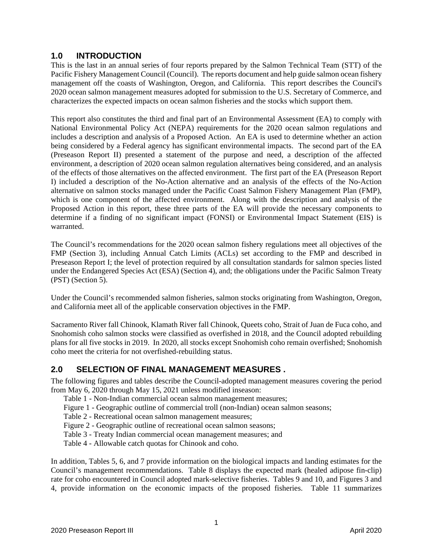## **1.0 INTRODUCTION**

This is the last in an annual series of four reports prepared by the Salmon Technical Team (STT) of the Pacific Fishery Management Council (Council). The reports document and help guide salmon ocean fishery management off the coasts of Washington, Oregon, and California. This report describes the Council's 2020 ocean salmon management measures adopted for submission to the U.S. Secretary of Commerce, and characterizes the expected impacts on ocean salmon fisheries and the stocks which support them.

This report also constitutes the third and final part of an Environmental Assessment (EA) to comply with National Environmental Policy Act (NEPA) requirements for the 2020 ocean salmon regulations and includes a description and analysis of a Proposed Action. An EA is used to determine whether an action being considered by a Federal agency has significant environmental impacts. The second part of the EA (Preseason Report II) presented a statement of the purpose and need, a description of the affected environment, a description of 2020 ocean salmon regulation alternatives being considered, and an analysis of the effects of those alternatives on the affected environment. The first part of the EA (Preseason Report I) included a description of the No-Action alternative and an analysis of the effects of the No-Action alternative on salmon stocks managed under the Pacific Coast Salmon Fishery Management Plan (FMP), which is one component of the affected environment. Along with the description and analysis of the Proposed Action in this report, these three parts of the EA will provide the necessary components to determine if a finding of no significant impact (FONSI) or Environmental Impact Statement (EIS) is warranted.

The Council's recommendations for the 2020 ocean salmon fishery regulations meet all objectives of the FMP (Section 3), including Annual Catch Limits (ACLs) set according to the FMP and described in Preseason Report I; the level of protection required by all consultation standards for salmon species listed under the Endangered Species Act (ESA) (Section 4), and; the obligations under the Pacific Salmon Treaty (PST) (Section 5).

Under the Council's recommended salmon fisheries, salmon stocks originating from Washington, Oregon, and California meet all of the applicable conservation objectives in the FMP.

Sacramento River fall Chinook, Klamath River fall Chinook, Queets coho, Strait of Juan de Fuca coho, and Snohomish coho salmon stocks were classified as overfished in 2018, and the Council adopted rebuilding plans for all five stocks in 2019. In 2020, all stocks except Snohomish coho remain overfished; Snohomish coho meet the criteria for not overfished-rebuilding status.

## **2.0 SELECTION OF FINAL MANAGEMENT MEASURES .**

The following figures and tables describe the Council-adopted management measures covering the period from May 6, 2020 through May 15, 2021 unless modified inseason:

Table 1 - Non-Indian commercial ocean salmon management measures;

Figure 1 - Geographic outline of commercial troll (non-Indian) ocean salmon seasons;

Table 2 - Recreational ocean salmon management measures;

Figure 2 - Geographic outline of recreational ocean salmon seasons;

Table 3 - Treaty Indian commercial ocean management measures; and

Table 4 - Allowable catch quotas for Chinook and coho.

In addition, Tables 5, 6, and 7 provide information on the biological impacts and landing estimates for the Council's management recommendations. Table 8 displays the expected mark (healed adipose fin-clip) rate for coho encountered in Council adopted mark-selective fisheries. Tables 9 and 10, and Figures 3 and 4, provide information on the economic impacts of the proposed fisheries. Table 11 summarizes

1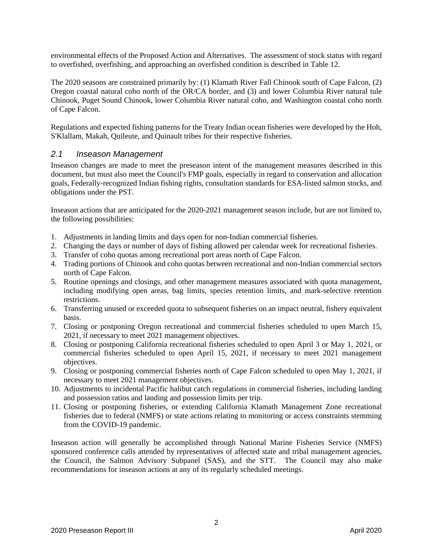environmental effects of the Proposed Action and Alternatives. The assessment of stock status with regard to overfished, overfishing, and approaching an overfished condition is described in Table 12.

The 2020 seasons are constrained primarily by: (1) Klamath River Fall Chinook south of Cape Falcon, (2) Oregon coastal natural coho north of the OR/CA border, and (3) and lower Columbia River natural tule Chinook, Puget Sound Chinook, lower Columbia River natural coho, and Washington coastal coho north of Cape Falcon.

Regulations and expected fishing patterns for the Treaty Indian ocean fisheries were developed by the Hoh, S'Klallam, Makah, Quileute, and Quinault tribes for their respective fisheries.

#### *2.1 Inseason Management*

Inseason changes are made to meet the preseason intent of the management measures described in this document, but must also meet the Council's FMP goals, especially in regard to conservation and allocation goals, Federally-recognized Indian fishing rights, consultation standards for ESA-listed salmon stocks, and obligations under the PST.

Inseason actions that are anticipated for the 2020-2021 management season include, but are not limited to, the following possibilities:

- 1. Adjustments in landing limits and days open for non-Indian commercial fisheries.
- 2. Changing the days or number of days of fishing allowed per calendar week for recreational fisheries.
- 3. Transfer of coho quotas among recreational port areas north of Cape Falcon.
- 4. Trading portions of Chinook and coho quotas between recreational and non-Indian commercial sectors north of Cape Falcon.
- 5. Routine openings and closings, and other management measures associated with quota management, including modifying open areas, bag limits, species retention limits, and mark-selective retention restrictions.
- 6. Transferring unused or exceeded quota to subsequent fisheries on an impact neutral, fishery equivalent basis.
- 7. Closing or postponing Oregon recreational and commercial fisheries scheduled to open March 15, 2021, if necessary to meet 2021 management objectives.
- 8. Closing or postponing California recreational fisheries scheduled to open April 3 or May 1, 2021, or commercial fisheries scheduled to open April 15, 2021, if necessary to meet 2021 management objectives.
- 9. Closing or postponing commercial fisheries north of Cape Falcon scheduled to open May 1, 2021, if necessary to meet 2021 management objectives.
- 10. Adjustments to incidental Pacific halibut catch regulations in commercial fisheries, including landing and possession ratios and landing and possession limits per trip.
- 11. Closing or postponing fisheries, or extending California Klamath Management Zone recreational fisheries due to federal (NMFS) or state actions relating to monitoring or access constraints stemming from the COVID-19 pandemic.

Inseason action will generally be accomplished through National Marine Fisheries Service (NMFS) sponsored conference calls attended by representatives of affected state and tribal management agencies, the Council, the Salmon Advisory Subpanel (SAS), and the STT. The Council may also make recommendations for inseason actions at any of its regularly scheduled meetings.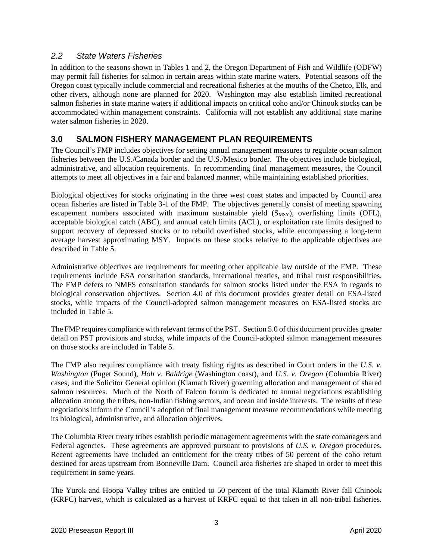## *2.2 State Waters Fisheries*

In addition to the seasons shown in Tables 1 and 2, the Oregon Department of Fish and Wildlife (ODFW) may permit fall fisheries for salmon in certain areas within state marine waters. Potential seasons off the Oregon coast typically include commercial and recreational fisheries at the mouths of the Chetco, Elk, and other rivers, although none are planned for 2020. Washington may also establish limited recreational salmon fisheries in state marine waters if additional impacts on critical coho and/or Chinook stocks can be accommodated within management constraints. California will not establish any additional state marine water salmon fisheries in 2020.

## **3.0 SALMON FISHERY MANAGEMENT PLAN REQUIREMENTS**

The Council's FMP includes objectives for setting annual management measures to regulate ocean salmon fisheries between the U.S./Canada border and the U.S./Mexico border. The objectives include biological, administrative, and allocation requirements. In recommending final management measures, the Council attempts to meet all objectives in a fair and balanced manner, while maintaining established priorities.

Biological objectives for stocks originating in the three west coast states and impacted by Council area ocean fisheries are listed in Table 3-1 of the FMP. The objectives generally consist of meeting spawning escapement numbers associated with maximum sustainable yield  $(S_{MSY})$ , overfishing limits (OFL), acceptable biological catch (ABC), and annual catch limits (ACL), or exploitation rate limits designed to support recovery of depressed stocks or to rebuild overfished stocks, while encompassing a long-term average harvest approximating MSY. Impacts on these stocks relative to the applicable objectives are described in Table 5.

Administrative objectives are requirements for meeting other applicable law outside of the FMP. These requirements include ESA consultation standards, international treaties, and tribal trust responsibilities. The FMP defers to NMFS consultation standards for salmon stocks listed under the ESA in regards to biological conservation objectives. Section 4.0 of this document provides greater detail on ESA-listed stocks, while impacts of the Council-adopted salmon management measures on ESA-listed stocks are included in Table 5.

The FMP requires compliance with relevant terms of the PST. Section 5.0 of this document provides greater detail on PST provisions and stocks, while impacts of the Council-adopted salmon management measures on those stocks are included in Table 5.

The FMP also requires compliance with treaty fishing rights as described in Court orders in the *U.S. v. Washington* (Puget Sound), *Hoh v. Baldrige* (Washington coast), and *U.S. v. Oregon* (Columbia River) cases, and the Solicitor General opinion (Klamath River) governing allocation and management of shared salmon resources. Much of the North of Falcon forum is dedicated to annual negotiations establishing allocation among the tribes, non-Indian fishing sectors, and ocean and inside interests. The results of these negotiations inform the Council's adoption of final management measure recommendations while meeting its biological, administrative, and allocation objectives.

The Columbia River treaty tribes establish periodic management agreements with the state comanagers and Federal agencies. These agreements are approved pursuant to provisions of *U.S. v. Oregon* procedures. Recent agreements have included an entitlement for the treaty tribes of 50 percent of the coho return destined for areas upstream from Bonneville Dam. Council area fisheries are shaped in order to meet this requirement in some years.

The Yurok and Hoopa Valley tribes are entitled to 50 percent of the total Klamath River fall Chinook (KRFC) harvest, which is calculated as a harvest of KRFC equal to that taken in all non-tribal fisheries.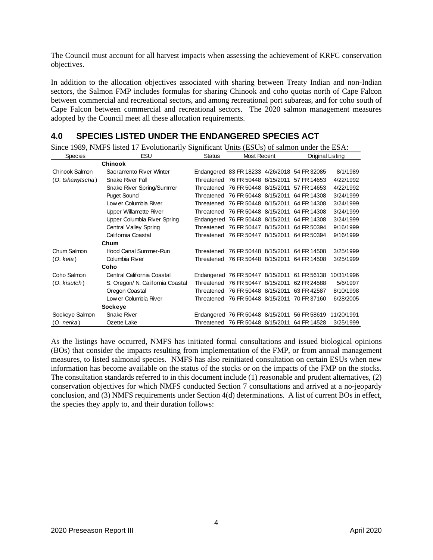The Council must account for all harvest impacts when assessing the achievement of KRFC conservation objectives.

In addition to the allocation objectives associated with sharing between Treaty Indian and non-Indian sectors, the Salmon FMP includes formulas for sharing Chinook and coho quotas north of Cape Falcon between commercial and recreational sectors, and among recreational port subareas, and for coho south of Cape Falcon between commercial and recreational sectors. The 2020 salmon management measures adopted by the Council meet all these allocation requirements.

## **4.0 SPECIES LISTED UNDER THE ENDANGERED SPECIES ACT**

Since 1989, NMFS listed 17 Evolutionarily Significant Units (ESUs) of salmon under the ESA:

| Species           | ESU                              | <b>Status</b> | Most Recent                                  | Original Listing                                        |            |
|-------------------|----------------------------------|---------------|----------------------------------------------|---------------------------------------------------------|------------|
|                   | <b>Chinook</b>                   |               |                                              |                                                         |            |
| Chinook Salmon    | Sacramento River Winter          |               | Endangered 83 FR 18233 4/26/2018 54 FR 32085 |                                                         | 8/1/1989   |
| (O. tshawytscha)  | Snake River Fall                 |               | Threatened 76 FR 50448 8/15/2011 57 FR 14653 |                                                         | 4/22/1992  |
|                   | Snake River Spring/Summer        |               | Threatened 76 FR 50448 8/15/2011 57 FR 14653 |                                                         | 4/22/1992  |
|                   | <b>Puget Sound</b>               | Threatened    |                                              | 76 FR 50448 8/15/2011 64 FR 14308                       | 3/24/1999  |
|                   | Low er Columbia River            | Threatened    | 76 FR 50448 8/15/2011 64 FR 14308            |                                                         | 3/24/1999  |
|                   | Upper Willamette River           | Threatened    | 76 FR 50448 8/15/2011 64 FR 14308            |                                                         | 3/24/1999  |
|                   | Upper Columbia River Spring      |               | Endangered 76 FR 50448 8/15/2011 64 FR 14308 |                                                         | 3/24/1999  |
|                   | Central Valley Spring            |               | Threatened 76 FR 50447 8/15/2011 64 FR 50394 |                                                         | 9/16/1999  |
|                   | California Coastal               |               | Threatened 76 FR 50447 8/15/2011 64 FR 50394 |                                                         | 9/16/1999  |
|                   | Chum                             |               |                                              |                                                         |            |
| Chum Salmon       | Hood Canal Summer-Run            | Threatened    |                                              | 76 FR 50448 8/15/2011 64 FR 14508                       | 3/25/1999  |
| (O. keta)         | Columbia River                   |               | Threatened 76 FR 50448 8/15/2011 64 FR 14508 |                                                         | 3/25/1999  |
|                   | Coho                             |               |                                              |                                                         |            |
| Coho Salmon       | Central California Coastal       |               |                                              | Endangered 76 FR 50447 8/15/2011 61 FR 56138 10/31/1996 |            |
| $(O.$ kisutch $)$ | S. Oregon/ N. California Coastal | Threatened    | 76 FR 50447 8/15/2011 62 FR 24588            |                                                         | 5/6/1997   |
|                   | Oregon Coastal                   | Threatened    | 76 FR 50448 8/15/2011 63 FR 42587            |                                                         | 8/10/1998  |
|                   | Low er Columbia River            | Threatened    | 76 FR 50448 8/15/2011 70 FR 37160            |                                                         | 6/28/2005  |
|                   | Sockeye                          |               |                                              |                                                         |            |
| Sockeye Salmon    | <b>Snake River</b>               |               |                                              | Endangered 76 FR 50448 8/15/2011 56 FR 58619            | 11/20/1991 |
| (O. nerka)        | Ozette Lake                      |               | Threatened 76 FR 50448 8/15/2011 64 FR 14528 |                                                         | 3/25/1999  |

As the listings have occurred, NMFS has initiated formal consultations and issued biological opinions (BOs) that consider the impacts resulting from implementation of the FMP, or from annual management measures, to listed salmonid species. NMFS has also reinitiated consultation on certain ESUs when new information has become available on the status of the stocks or on the impacts of the FMP on the stocks. The consultation standards referred to in this document include (1) reasonable and prudent alternatives, (2) conservation objectives for which NMFS conducted Section 7 consultations and arrived at a no-jeopardy conclusion, and (3) NMFS requirements under Section 4(d) determinations. A list of current BOs in effect, the species they apply to, and their duration follows: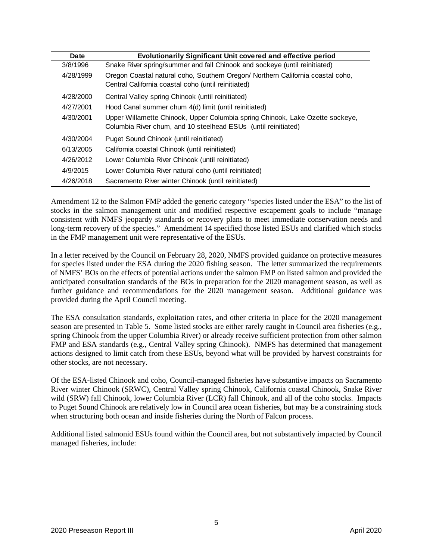| Date      | <b>Evolutionarily Significant Unit covered and effective period</b>                                                                             |
|-----------|-------------------------------------------------------------------------------------------------------------------------------------------------|
| 3/8/1996  | Snake River spring/summer and fall Chinook and sockeye (until reinitiated)                                                                      |
| 4/28/1999 | Oregon Coastal natural coho, Southern Oregon/ Northern California coastal coho,<br>Central California coastal coho (until reinitiated)          |
| 4/28/2000 | Central Valley spring Chinook (until reinitiated)                                                                                               |
| 4/27/2001 | Hood Canal summer chum 4(d) limit (until reinitiated)                                                                                           |
| 4/30/2001 | Upper Willamette Chinook, Upper Columbia spring Chinook, Lake Ozette sockeye,<br>Columbia River chum, and 10 steelhead ESUs (until reinitiated) |
| 4/30/2004 | Puget Sound Chinook (until reinitiated)                                                                                                         |
| 6/13/2005 | California coastal Chinook (until reinitiated)                                                                                                  |
| 4/26/2012 | Lower Columbia River Chinook (until reinitiated)                                                                                                |
| 4/9/2015  | Lower Columbia River natural coho (until reinitiated)                                                                                           |
| 4/26/2018 | Sacramento River winter Chinook (until reinitiated)                                                                                             |

Amendment 12 to the Salmon FMP added the generic category "species listed under the ESA" to the list of stocks in the salmon management unit and modified respective escapement goals to include "manage consistent with NMFS jeopardy standards or recovery plans to meet immediate conservation needs and long-term recovery of the species." Amendment 14 specified those listed ESUs and clarified which stocks in the FMP management unit were representative of the ESUs.

In a letter received by the Council on February 28, 2020, NMFS provided guidance on protective measures for species listed under the ESA during the 2020 fishing season. The letter summarized the requirements of NMFS' BOs on the effects of potential actions under the salmon FMP on listed salmon and provided the anticipated consultation standards of the BOs in preparation for the 2020 management season, as well as further guidance and recommendations for the 2020 management season. Additional guidance was provided during the April Council meeting.

The ESA consultation standards, exploitation rates, and other criteria in place for the 2020 management season are presented in Table 5. Some listed stocks are either rarely caught in Council area fisheries (e.g., spring Chinook from the upper Columbia River) or already receive sufficient protection from other salmon FMP and ESA standards (e.g., Central Valley spring Chinook). NMFS has determined that management actions designed to limit catch from these ESUs, beyond what will be provided by harvest constraints for other stocks, are not necessary.

Of the ESA-listed Chinook and coho, Council-managed fisheries have substantive impacts on Sacramento River winter Chinook (SRWC), Central Valley spring Chinook, California coastal Chinook, Snake River wild (SRW) fall Chinook, lower Columbia River (LCR) fall Chinook, and all of the coho stocks. Impacts to Puget Sound Chinook are relatively low in Council area ocean fisheries, but may be a constraining stock when structuring both ocean and inside fisheries during the North of Falcon process.

Additional listed salmonid ESUs found within the Council area, but not substantively impacted by Council managed fisheries, include: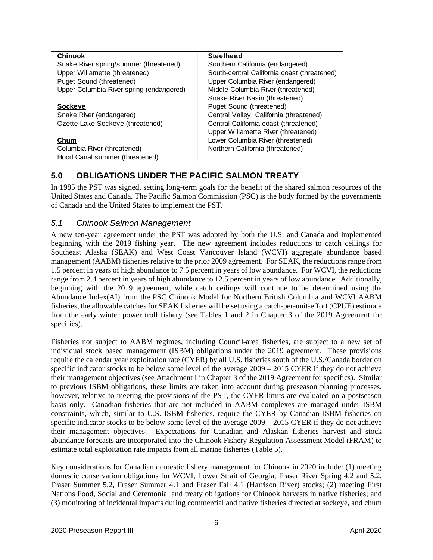| <b>Chinook</b>                           | <b>Steelhead</b>                            |
|------------------------------------------|---------------------------------------------|
|                                          |                                             |
| Snake River spring/summer (threatened)   | Southern California (endangered)            |
| Upper Willamette (threatened)            | South-central California coast (threatened) |
| Puget Sound (threatened)                 | Upper Columbia River (endangered)           |
| Upper Columbia River spring (endangered) | Middle Columbia River (threatened)          |
|                                          | Snake River Basin (threatened)              |
| <b>Sockeve</b>                           | Puget Sound (threatened)                    |
| Snake River (endangered)                 | Central Valley, California (threatened)     |
| Ozette Lake Sockeye (threatened)         | Central California coast (threatened)       |
|                                          | Upper Willamette River (threatened)         |
| Chum                                     | Lower Columbia River (threatened)           |
| Columbia River (threatened)              | Northern California (threatened)            |
| Hood Canal summer (threatened)           |                                             |

## **5.0 OBLIGATIONS UNDER THE PACIFIC SALMON TREATY**

In 1985 the PST was signed, setting long-term goals for the benefit of the shared salmon resources of the United States and Canada. The Pacific Salmon Commission (PSC) is the body formed by the governments of Canada and the United States to implement the PST.

## *5.1 Chinook Salmon Management*

A new ten-year agreement under the PST was adopted by both the U.S. and Canada and implemented beginning with the 2019 fishing year. The new agreement includes reductions to catch ceilings for Southeast Alaska (SEAK) and West Coast Vancouver Island (WCVI) aggregate abundance based management (AABM) fisheries relative to the prior 2009 agreement. For SEAK, the reductions range from 1.5 percent in years of high abundance to 7.5 percent in years of low abundance. For WCVI, the reductions range from 2.4 percent in years of high abundance to 12.5 percent in years of low abundance. Additionally, beginning with the 2019 agreement, while catch ceilings will continue to be determined using the Abundance Index(AI) from the PSC Chinook Model for Northern British Columbia and WCVI AABM fisheries, the allowable catches for SEAK fisheries will be set using a catch-per-unit-effort (CPUE) estimate from the early winter power troll fishery (see Tables 1 and 2 in Chapter 3 of the 2019 Agreement for specifics).

Fisheries not subject to AABM regimes, including Council-area fisheries, are subject to a new set of individual stock based management (ISBM) obligations under the 2019 agreement. These provisions require the calendar year exploitation rate (CYER) by all U.S. fisheries south of the U.S./Canada border on specific indicator stocks to be below some level of the average 2009 – 2015 CYER if they do not achieve their management objectives (see Attachment I in Chapter 3 of the 2019 Agreement for specifics). Similar to previous ISBM obligations, these limits are taken into account during preseason planning processes, however, relative to meeting the provisions of the PST, the CYER limits are evaluated on a postseason basis only. Canadian fisheries that are not included in AABM complexes are managed under ISBM constraints, which, similar to U.S. ISBM fisheries, require the CYER by Canadian ISBM fisheries on specific indicator stocks to be below some level of the average 2009 – 2015 CYER if they do not achieve their management objectives. Expectations for Canadian and Alaskan fisheries harvest and stock abundance forecasts are incorporated into the Chinook Fishery Regulation Assessment Model (FRAM) to estimate total exploitation rate impacts from all marine fisheries (Table 5).

Key considerations for Canadian domestic fishery management for Chinook in 2020 include: (1) meeting domestic conservation obligations for WCVI, Lower Strait of Georgia, Fraser River Spring 4.2 and 5.2, Fraser Summer 5.2, Fraser Summer 4.1 and Fraser Fall 4.1 (Harrison River) stocks; (2) meeting First Nations Food, Social and Ceremonial and treaty obligations for Chinook harvests in native fisheries; and (3) monitoring of incidental impacts during commercial and native fisheries directed at sockeye, and chum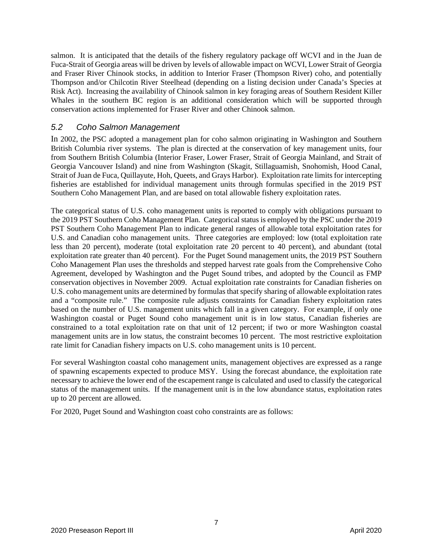salmon. It is anticipated that the details of the fishery regulatory package off WCVI and in the Juan de Fuca-Strait of Georgia areas will be driven by levels of allowable impact on WCVI, Lower Strait of Georgia and Fraser River Chinook stocks, in addition to Interior Fraser (Thompson River) coho, and potentially Thompson and/or Chilcotin River Steelhead (depending on a listing decision under Canada's Species at Risk Act). Increasing the availability of Chinook salmon in key foraging areas of Southern Resident Killer Whales in the southern BC region is an additional consideration which will be supported through conservation actions implemented for Fraser River and other Chinook salmon.

#### *5.2 Coho Salmon Management*

In 2002, the PSC adopted a management plan for coho salmon originating in Washington and Southern British Columbia river systems. The plan is directed at the conservation of key management units, four from Southern British Columbia (Interior Fraser, Lower Fraser, Strait of Georgia Mainland, and Strait of Georgia Vancouver Island) and nine from Washington (Skagit, Stillaguamish, Snohomish, Hood Canal, Strait of Juan de Fuca, Quillayute, Hoh, Queets, and Grays Harbor). Exploitation rate limits for intercepting fisheries are established for individual management units through formulas specified in the 2019 PST Southern Coho Management Plan, and are based on total allowable fishery exploitation rates.

The categorical status of U.S. coho management units is reported to comply with obligations pursuant to the 2019 PST Southern Coho Management Plan. Categorical status is employed by the PSC under the 2019 PST Southern Coho Management Plan to indicate general ranges of allowable total exploitation rates for U.S. and Canadian coho management units. Three categories are employed: low (total exploitation rate less than 20 percent), moderate (total exploitation rate 20 percent to 40 percent), and abundant (total exploitation rate greater than 40 percent). For the Puget Sound management units, the 2019 PST Southern Coho Management Plan uses the thresholds and stepped harvest rate goals from the Comprehensive Coho Agreement, developed by Washington and the Puget Sound tribes, and adopted by the Council as FMP conservation objectives in November 2009. Actual exploitation rate constraints for Canadian fisheries on U.S. coho management units are determined by formulas that specify sharing of allowable exploitation rates and a "composite rule." The composite rule adjusts constraints for Canadian fishery exploitation rates based on the number of U.S. management units which fall in a given category. For example, if only one Washington coastal or Puget Sound coho management unit is in low status, Canadian fisheries are constrained to a total exploitation rate on that unit of 12 percent; if two or more Washington coastal management units are in low status, the constraint becomes 10 percent. The most restrictive exploitation rate limit for Canadian fishery impacts on U.S. coho management units is 10 percent.

For several Washington coastal coho management units, management objectives are expressed as a range of spawning escapements expected to produce MSY. Using the forecast abundance, the exploitation rate necessary to achieve the lower end of the escapement range is calculated and used to classify the categorical status of the management units. If the management unit is in the low abundance status, exploitation rates up to 20 percent are allowed.

For 2020, Puget Sound and Washington coast coho constraints are as follows: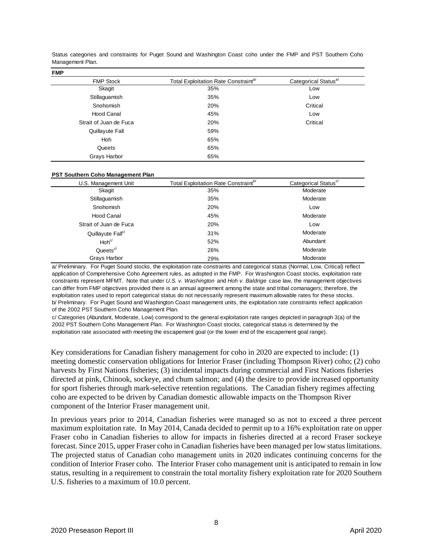Status categories and constraints for Puget Sound and Washington Coast coho under the FMP and PST Southern Coho Management Plan.

| <b>FMP</b>             |                                                  |                                  |
|------------------------|--------------------------------------------------|----------------------------------|
| <b>FMP Stock</b>       | Total Exploitation Rate Constraint <sup>a/</sup> | Categorical Status <sup>a/</sup> |
| Skagit                 | 35%                                              | Low                              |
| Stillaguamish          | 35%                                              | Low                              |
| Snohomish              | 20%                                              | Critical                         |
| <b>Hood Canal</b>      | 45%                                              | Low                              |
| Strait of Juan de Fuca | 20%                                              | Critical                         |
| Quillayute Fall        | 59%                                              |                                  |
| <b>Hoh</b>             | 65%                                              |                                  |
| Queets                 | 65%                                              |                                  |
| Grays Harbor           | 65%                                              |                                  |

#### **PST Southern Coho Management Plan**

| U.S. Management Unit          | Total Exploitation Rate Constraint <sup>b/</sup> | Categorical Status <sup>c/</sup> |
|-------------------------------|--------------------------------------------------|----------------------------------|
| Skagit                        | 35%                                              | Moderate                         |
| Stillaguamish                 | 35%                                              | Moderate                         |
| Snohomish                     | 20%                                              | Low                              |
| <b>Hood Canal</b>             | 45%                                              | Moderate                         |
| Strait of Juan de Fuca        | 20%                                              | Low                              |
| Quillayute Fall <sup>c/</sup> | 31%                                              | Moderate                         |
| $H$ oh <sup>c/</sup>          | 52%                                              | Abundant                         |
| Queets <sup>c/</sup>          | 26%                                              | Moderate                         |
| Grays Harbor                  | 29%                                              | Moderate                         |

a/ Preliminary. For Puget Sound stocks, the exploitation rate constraints and categorical status (Normal, Low, Critical) reflect application of Comprehensive Coho Agreement rules, as adopted in the FMP. For Washington Coast stocks, exploitation rate constraints represent MFMT. Note that under *U.S. v. Washington* and *Hoh v. Baldrige* case law, the management objectives can differ from FMP objectives provided there is an annual agreement among the state and tribal comanagers; therefore, the exploitation rates used to report categorical status do not necessarily represent maximum allowable rates for these stocks. b/ Preliminary. For Puget Sound and Washington Coast management units, the exploitation rate constraints reflect application of the 2002 PST Southern Coho Management Plan.

c/ Categories (Abundant, Moderate, Low) correspond to the general exploitation rate ranges depicted in paragraph 3(a) of the 2002 PST Southern Coho Management Plan. For Washington Coast stocks, categorical status is determined by the exploitation rate associated with meeting the escapement goal (or the lower end of the escapement goal range).

Key considerations for Canadian fishery management for coho in 2020 are expected to include: (1) meeting domestic conservation obligations for Interior Fraser (including Thompson River) coho; (2) coho harvests by First Nations fisheries; (3) incidental impacts during commercial and First Nations fisheries directed at pink, Chinook, sockeye, and chum salmon; and (4) the desire to provide increased opportunity for sport fisheries through mark-selective retention regulations. The Canadian fishery regimes affecting coho are expected to be driven by Canadian domestic allowable impacts on the Thompson River component of the Interior Fraser management unit.

In previous years prior to 2014, Canadian fisheries were managed so as not to exceed a three percent maximum exploitation rate. In May 2014, Canada decided to permit up to a 16% exploitation rate on upper Fraser coho in Canadian fisheries to allow for impacts in fisheries directed at a record Fraser sockeye forecast. Since 2015, upper Fraser coho in Canadian fisheries have been managed per low status limitations. The projected status of Canadian coho management units in 2020 indicates continuing concerns for the condition of Interior Fraser coho. The Interior Fraser coho management unit is anticipated to remain in low status, resulting in a requirement to constrain the total mortality fishery exploitation rate for 2020 Southern U.S. fisheries to a maximum of 10.0 percent.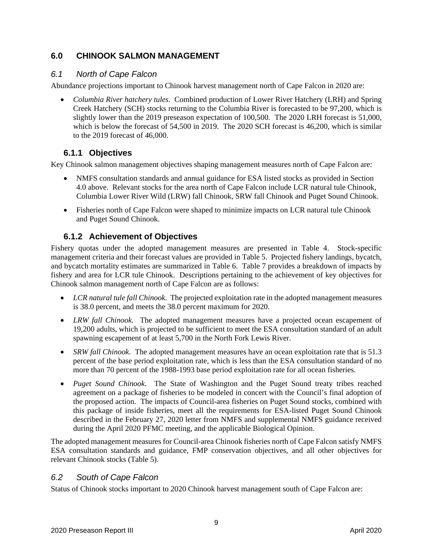## **6.0 CHINOOK SALMON MANAGEMENT**

## *6.1 North of Cape Falcon*

Abundance projections important to Chinook harvest management north of Cape Falcon in 2020 are:

• *Columbia River hatchery tules*. Combined production of Lower River Hatchery (LRH) and Spring Creek Hatchery (SCH) stocks returning to the Columbia River is forecasted to be 97,200, which is slightly lower than the 2019 preseason expectation of 100,500. The 2020 LRH forecast is 51,000, which is below the forecast of 54,500 in 2019. The 2020 SCH forecast is 46,200, which is similar to the 2019 forecast of 46,000.

## **6.1.1 Objectives**

Key Chinook salmon management objectives shaping management measures north of Cape Falcon are:

- NMFS consultation standards and annual guidance for ESA listed stocks as provided in Section 4.0 above. Relevant stocks for the area north of Cape Falcon include LCR natural tule Chinook, Columbia Lower River Wild (LRW) fall Chinook, SRW fall Chinook and Puget Sound Chinook.
- Fisheries north of Cape Falcon were shaped to minimize impacts on LCR natural tule Chinook and Puget Sound Chinook.

## **6.1.2 Achievement of Objectives**

Fishery quotas under the adopted management measures are presented in Table 4. Stock-specific management criteria and their forecast values are provided in Table 5. Projected fishery landings, bycatch, and bycatch mortality estimates are summarized in Table 6. Table 7 provides a breakdown of impacts by fishery and area for LCR tule Chinook. Descriptions pertaining to the achievement of key objectives for Chinook salmon management north of Cape Falcon are as follows:

- *LCR natural tule fall Chinook*. The projected exploitation rate in the adopted management measures is 38.0 percent, and meets the 38.0 percent maximum for 2020.
- *LRW fall Chinook*. The adopted management measures have a projected ocean escapement of 19,200 adults, which is projected to be sufficient to meet the ESA consultation standard of an adult spawning escapement of at least 5,700 in the North Fork Lewis River.
- *SRW fall Chinook*. The adopted management measures have an ocean exploitation rate that is 51.3 percent of the base period exploitation rate, which is less than the ESA consultation standard of no more than 70 percent of the 1988-1993 base period exploitation rate for all ocean fisheries.
- *Puget Sound Chinook*. The State of Washington and the Puget Sound treaty tribes reached agreement on a package of fisheries to be modeled in concert with the Council's final adoption of the proposed action. The impacts of Council-area fisheries on Puget Sound stocks, combined with this package of inside fisheries, meet all the requirements for ESA-listed Puget Sound Chinook described in the February 27, 2020 letter from NMFS and supplemental NMFS guidance received during the April 2020 PFMC meeting, and the applicable Biological Opinion.

The adopted management measures for Council-area Chinook fisheries north of Cape Falcon satisfy NMFS ESA consultation standards and guidance, FMP conservation objectives, and all other objectives for relevant Chinook stocks (Table 5).

## *6.2 South of Cape Falcon*

Status of Chinook stocks important to 2020 Chinook harvest management south of Cape Falcon are: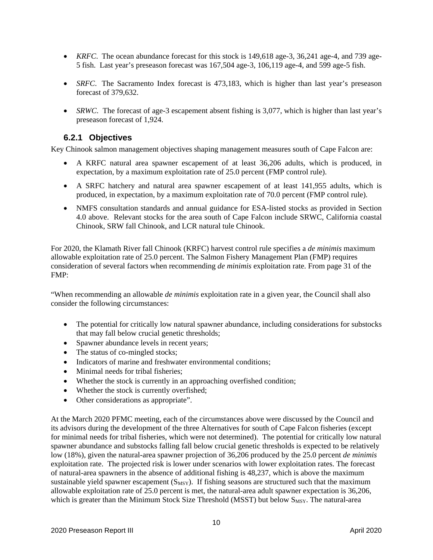- *KRFC*. The ocean abundance forecast for this stock is 149,618 age-3, 36,241 age-4, and 739 age-5 fish. Last year's preseason forecast was 167,504 age-3, 106,119 age-4, and 599 age-5 fish.
- *SRFC*. The Sacramento Index forecast is 473,183, which is higher than last year's preseason forecast of 379,632.
- *SRWC*. The forecast of age-3 escapement absent fishing is 3,077, which is higher than last year's preseason forecast of 1,924.

#### **6.2.1 Objectives**

Key Chinook salmon management objectives shaping management measures south of Cape Falcon are:

- A KRFC natural area spawner escapement of at least 36,206 adults, which is produced, in expectation, by a maximum exploitation rate of 25.0 percent (FMP control rule).
- A SRFC hatchery and natural area spawner escapement of at least 141,955 adults, which is produced, in expectation, by a maximum exploitation rate of 70.0 percent (FMP control rule).
- NMFS consultation standards and annual guidance for ESA-listed stocks as provided in Section 4.0 above. Relevant stocks for the area south of Cape Falcon include SRWC, California coastal Chinook, SRW fall Chinook, and LCR natural tule Chinook.

For 2020, the Klamath River fall Chinook (KRFC) harvest control rule specifies a *de minimis* maximum allowable exploitation rate of 25.0 percent. The Salmon Fishery Management Plan (FMP) requires consideration of several factors when recommending *de minimis* exploitation rate. From page 31 of the FMP:

"When recommending an allowable *de minimis* exploitation rate in a given year, the Council shall also consider the following circumstances:

- The potential for critically low natural spawner abundance, including considerations for substocks that may fall below crucial genetic thresholds;
- Spawner abundance levels in recent years;
- The status of co-mingled stocks;
- Indicators of marine and freshwater environmental conditions;
- Minimal needs for tribal fisheries:
- Whether the stock is currently in an approaching overfished condition;
- Whether the stock is currently overfished;
- Other considerations as appropriate".

At the March 2020 PFMC meeting, each of the circumstances above were discussed by the Council and its advisors during the development of the three Alternatives for south of Cape Falcon fisheries (except for minimal needs for tribal fisheries, which were not determined). The potential for critically low natural spawner abundance and substocks falling fall below crucial genetic thresholds is expected to be relatively low (18%), given the natural-area spawner projection of 36,206 produced by the 25.0 percent *de minimis* exploitation rate. The projected risk is lower under scenarios with lower exploitation rates. The forecast of natural-area spawners in the absence of additional fishing is 48,237, which is above the maximum sustainable yield spawner escapement  $(S_{MSY})$ . If fishing seasons are structured such that the maximum allowable exploitation rate of 25.0 percent is met, the natural-area adult spawner expectation is 36,206, which is greater than the Minimum Stock Size Threshold (MSST) but below  $S_{MSY}$ . The natural-area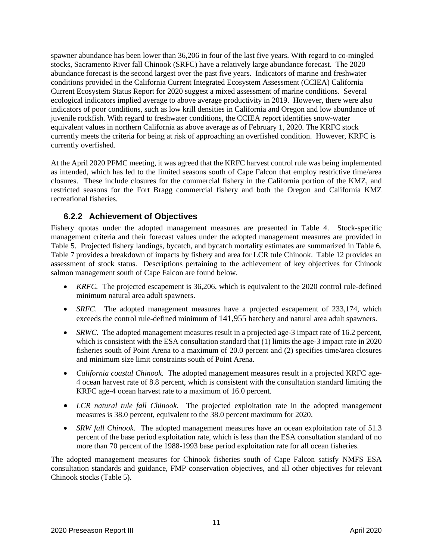spawner abundance has been lower than 36,206 in four of the last five years. With regard to co-mingled stocks, Sacramento River fall Chinook (SRFC) have a relatively large abundance forecast. The 2020 abundance forecast is the second largest over the past five years. Indicators of marine and freshwater conditions provided in the California Current Integrated Ecosystem Assessment (CCIEA) California Current Ecosystem Status Report for 2020 suggest a mixed assessment of marine conditions. Several ecological indicators implied average to above average productivity in 2019. However, there were also indicators of poor conditions, such as low krill densities in California and Oregon and low abundance of juvenile rockfish. With regard to freshwater conditions, the CCIEA report identifies snow-water equivalent values in northern California as above average as of February 1, 2020. The KRFC stock currently meets the criteria for being at risk of approaching an overfished condition. However, KRFC is currently overfished.

At the April 2020 PFMC meeting, it was agreed that the KRFC harvest control rule was being implemented as intended, which has led to the limited seasons south of Cape Falcon that employ restrictive time/area closures. These include closures for the commercial fishery in the California portion of the KMZ, and restricted seasons for the Fort Bragg commercial fishery and both the Oregon and California KMZ recreational fisheries.

## **6.2.2 Achievement of Objectives**

Fishery quotas under the adopted management measures are presented in Table 4. Stock-specific management criteria and their forecast values under the adopted management measures are provided in Table 5. Projected fishery landings, bycatch, and bycatch mortality estimates are summarized in Table 6. Table 7 provides a breakdown of impacts by fishery and area for LCR tule Chinook. Table 12 provides an assessment of stock status. Descriptions pertaining to the achievement of key objectives for Chinook salmon management south of Cape Falcon are found below.

- *KRFC*. The projected escapement is 36,206, which is equivalent to the 2020 control rule-defined minimum natural area adult spawners.
- *SRFC*. The adopted management measures have a projected escapement of 233,174, which exceeds the control rule-defined minimum of 141,955 hatchery and natural area adult spawners.
- *SRWC*. The adopted management measures result in a projected age-3 impact rate of 16.2 percent, which is consistent with the ESA consultation standard that (1) limits the age-3 impact rate in 2020 fisheries south of Point Arena to a maximum of 20.0 percent and (2) specifies time/area closures and minimum size limit constraints south of Point Arena.
- *California coastal Chinook.* The adopted management measures result in a projected KRFC age-4 ocean harvest rate of 8.8 percent, which is consistent with the consultation standard limiting the KRFC age-4 ocean harvest rate to a maximum of 16.0 percent.
- *LCR natural tule fall Chinook*. The projected exploitation rate in the adopted management measures is 38.0 percent, equivalent to the 38.0 percent maximum for 2020.
- *SRW fall Chinook*. The adopted management measures have an ocean exploitation rate of 51.3 percent of the base period exploitation rate, which is less than the ESA consultation standard of no more than 70 percent of the 1988-1993 base period exploitation rate for all ocean fisheries.

The adopted management measures for Chinook fisheries south of Cape Falcon satisfy NMFS ESA consultation standards and guidance, FMP conservation objectives, and all other objectives for relevant Chinook stocks (Table 5).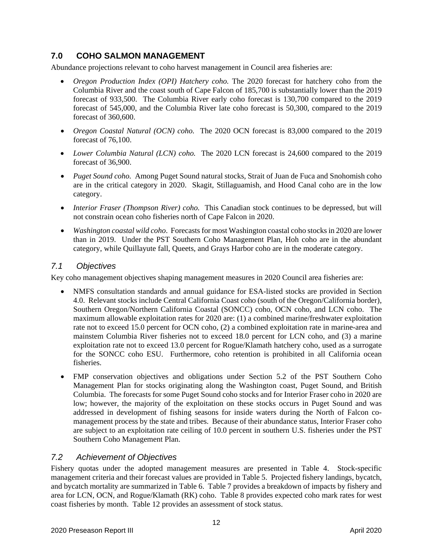## **7.0 COHO SALMON MANAGEMENT**

Abundance projections relevant to coho harvest management in Council area fisheries are:

- *Oregon Production Index (OPI) Hatchery coho.* The 2020 forecast for hatchery coho from the Columbia River and the coast south of Cape Falcon of 185,700 is substantially lower than the 2019 forecast of 933,500. The Columbia River early coho forecast is 130,700 compared to the 2019 forecast of 545,000, and the Columbia River late coho forecast is 50,300, compared to the 2019 forecast of 360,600.
- *Oregon Coastal Natural (OCN) coho.* The 2020 OCN forecast is 83,000 compared to the 2019 forecast of 76,100.
- *Lower Columbia Natural (LCN) coho.* The 2020 LCN forecast is 24,600 compared to the 2019 forecast of 36,900.
- *Puget Sound coho.* Among Puget Sound natural stocks, Strait of Juan de Fuca and Snohomish coho are in the critical category in 2020. Skagit, Stillaguamish, and Hood Canal coho are in the low category.
- *Interior Fraser (Thompson River) coho.* This Canadian stock continues to be depressed, but will not constrain ocean coho fisheries north of Cape Falcon in 2020.
- *Washington coastal wild coho*. Forecasts for most Washington coastal coho stocks in 2020 are lower than in 2019. Under the PST Southern Coho Management Plan, Hoh coho are in the abundant category, while Quillayute fall, Queets, and Grays Harbor coho are in the moderate category.

#### *7.1 Objectives*

Key coho management objectives shaping management measures in 2020 Council area fisheries are:

- NMFS consultation standards and annual guidance for ESA-listed stocks are provided in Section 4.0. Relevant stocks include Central California Coast coho (south of the Oregon/California border), Southern Oregon/Northern California Coastal (SONCC) coho, OCN coho, and LCN coho. The maximum allowable exploitation rates for 2020 are: (1) a combined marine/freshwater exploitation rate not to exceed 15.0 percent for OCN coho, (2) a combined exploitation rate in marine-area and mainstem Columbia River fisheries not to exceed 18.0 percent for LCN coho, and (3) a marine exploitation rate not to exceed 13.0 percent for Rogue/Klamath hatchery coho, used as a surrogate for the SONCC coho ESU. Furthermore, coho retention is prohibited in all California ocean fisheries.
- FMP conservation objectives and obligations under Section 5.2 of the PST Southern Coho Management Plan for stocks originating along the Washington coast, Puget Sound, and British Columbia. The forecasts for some Puget Sound coho stocks and for Interior Fraser coho in 2020 are low; however, the majority of the exploitation on these stocks occurs in Puget Sound and was addressed in development of fishing seasons for inside waters during the North of Falcon comanagement process by the state and tribes. Because of their abundance status, Interior Fraser coho are subject to an exploitation rate ceiling of 10.0 percent in southern U.S. fisheries under the PST Southern Coho Management Plan.

## *7.2 Achievement of Objectives*

Fishery quotas under the adopted management measures are presented in Table 4. Stock-specific management criteria and their forecast values are provided in Table 5. Projected fishery landings, bycatch, and bycatch mortality are summarized in Table 6. Table 7 provides a breakdown of impacts by fishery and area for LCN, OCN, and Rogue/Klamath (RK) coho. Table 8 provides expected coho mark rates for west coast fisheries by month. Table 12 provides an assessment of stock status.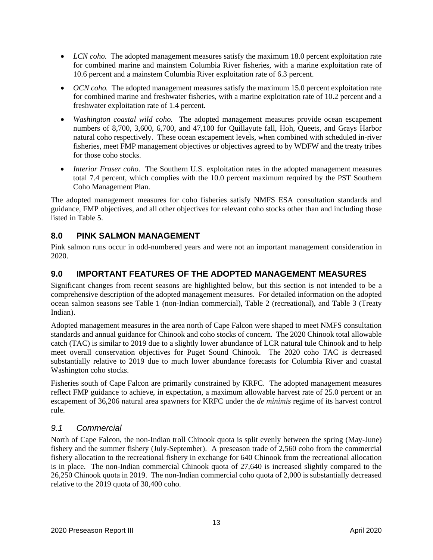- *LCN coho.* The adopted management measures satisfy the maximum 18.0 percent exploitation rate for combined marine and mainstem Columbia River fisheries, with a marine exploitation rate of 10.6 percent and a mainstem Columbia River exploitation rate of 6.3 percent.
- *OCN coho.* The adopted management measures satisfy the maximum 15.0 percent exploitation rate for combined marine and freshwater fisheries, with a marine exploitation rate of 10.2 percent and a freshwater exploitation rate of 1.4 percent.
- *Washington coastal wild coho.* The adopted management measures provide ocean escapement numbers of 8,700, 3,600, 6,700, and 47,100 for Quillayute fall, Hoh, Queets, and Grays Harbor natural coho respectively. These ocean escapement levels, when combined with scheduled in-river fisheries, meet FMP management objectives or objectives agreed to by WDFW and the treaty tribes for those coho stocks.
- *Interior Fraser coho.* The Southern U.S. exploitation rates in the adopted management measures total 7.4 percent, which complies with the 10.0 percent maximum required by the PST Southern Coho Management Plan.

The adopted management measures for coho fisheries satisfy NMFS ESA consultation standards and guidance, FMP objectives, and all other objectives for relevant coho stocks other than and including those listed in Table 5.

## **8.0 PINK SALMON MANAGEMENT**

Pink salmon runs occur in odd-numbered years and were not an important management consideration in 2020.

## **9.0 IMPORTANT FEATURES OF THE ADOPTED MANAGEMENT MEASURES**

Significant changes from recent seasons are highlighted below, but this section is not intended to be a comprehensive description of the adopted management measures. For detailed information on the adopted ocean salmon seasons see Table 1 (non-Indian commercial), Table 2 (recreational), and Table 3 (Treaty Indian).

Adopted management measures in the area north of Cape Falcon were shaped to meet NMFS consultation standards and annual guidance for Chinook and coho stocks of concern. The 2020 Chinook total allowable catch (TAC) is similar to 2019 due to a slightly lower abundance of LCR natural tule Chinook and to help meet overall conservation objectives for Puget Sound Chinook. The 2020 coho TAC is decreased substantially relative to 2019 due to much lower abundance forecasts for Columbia River and coastal Washington coho stocks.

Fisheries south of Cape Falcon are primarily constrained by KRFC. The adopted management measures reflect FMP guidance to achieve, in expectation, a maximum allowable harvest rate of 25.0 percent or an escapement of 36,206 natural area spawners for KRFC under the *de minimis* regime of its harvest control rule.

## *9.1 Commercial*

North of Cape Falcon, the non-Indian troll Chinook quota is split evenly between the spring (May-June) fishery and the summer fishery (July-September). A preseason trade of 2,560 coho from the commercial fishery allocation to the recreational fishery in exchange for 640 Chinook from the recreational allocation is in place. The non-Indian commercial Chinook quota of 27,640 is increased slightly compared to the 26,250 Chinook quota in 2019. The non-Indian commercial coho quota of 2,000 is substantially decreased relative to the 2019 quota of 30,400 coho.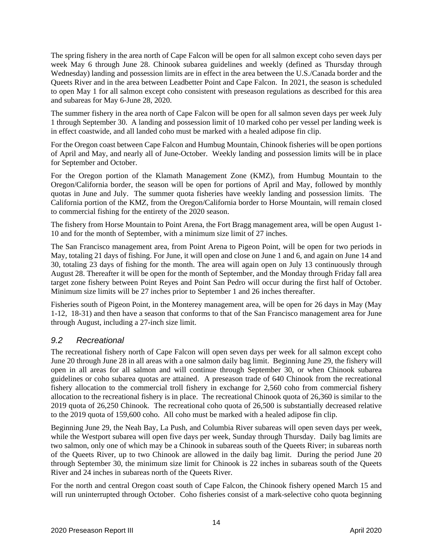The spring fishery in the area north of Cape Falcon will be open for all salmon except coho seven days per week May 6 through June 28. Chinook subarea guidelines and weekly (defined as Thursday through Wednesday) landing and possession limits are in effect in the area between the U.S./Canada border and the Queets River and in the area between Leadbetter Point and Cape Falcon. In 2021, the season is scheduled to open May 1 for all salmon except coho consistent with preseason regulations as described for this area and subareas for May 6-June 28, 2020.

The summer fishery in the area north of Cape Falcon will be open for all salmon seven days per week July 1 through September 30. A landing and possession limit of 10 marked coho per vessel per landing week is in effect coastwide, and all landed coho must be marked with a healed adipose fin clip.

For the Oregon coast between Cape Falcon and Humbug Mountain, Chinook fisheries will be open portions of April and May, and nearly all of June-October. Weekly landing and possession limits will be in place for September and October.

For the Oregon portion of the Klamath Management Zone (KMZ), from Humbug Mountain to the Oregon/California border, the season will be open for portions of April and May, followed by monthly quotas in June and July. The summer quota fisheries have weekly landing and possession limits. The California portion of the KMZ, from the Oregon/California border to Horse Mountain, will remain closed to commercial fishing for the entirety of the 2020 season.

The fishery from Horse Mountain to Point Arena, the Fort Bragg management area, will be open August 1- 10 and for the month of September, with a minimum size limit of 27 inches.

The San Francisco management area, from Point Arena to Pigeon Point, will be open for two periods in May, totaling 21 days of fishing. For June, it will open and close on June 1 and 6, and again on June 14 and 30, totaling 23 days of fishing for the month. The area will again open on July 13 continuously through August 28. Thereafter it will be open for the month of September, and the Monday through Friday fall area target zone fishery between Point Reyes and Point San Pedro will occur during the first half of October. Minimum size limits will be 27 inches prior to September 1 and 26 inches thereafter.

Fisheries south of Pigeon Point, in the Monterey management area, will be open for 26 days in May (May 1-12, 18-31) and then have a season that conforms to that of the San Francisco management area for June through August, including a 27-inch size limit.

## *9.2 Recreational*

The recreational fishery north of Cape Falcon will open seven days per week for all salmon except coho June 20 through June 28 in all areas with a one salmon daily bag limit. Beginning June 29, the fishery will open in all areas for all salmon and will continue through September 30, or when Chinook subarea guidelines or coho subarea quotas are attained. A preseason trade of 640 Chinook from the recreational fishery allocation to the commercial troll fishery in exchange for 2,560 coho from commercial fishery allocation to the recreational fishery is in place. The recreational Chinook quota of 26,360 is similar to the 2019 quota of 26,250 Chinook. The recreational coho quota of 26,500 is substantially decreased relative to the 2019 quota of 159,600 coho. All coho must be marked with a healed adipose fin clip.

Beginning June 29, the Neah Bay, La Push, and Columbia River subareas will open seven days per week, while the Westport subarea will open five days per week, Sunday through Thursday. Daily bag limits are two salmon, only one of which may be a Chinook in subareas south of the Queets River; in subareas north of the Queets River, up to two Chinook are allowed in the daily bag limit. During the period June 20 through September 30, the minimum size limit for Chinook is 22 inches in subareas south of the Queets River and 24 inches in subareas north of the Queets River.

For the north and central Oregon coast south of Cape Falcon, the Chinook fishery opened March 15 and will run uninterrupted through October. Coho fisheries consist of a mark-selective coho quota beginning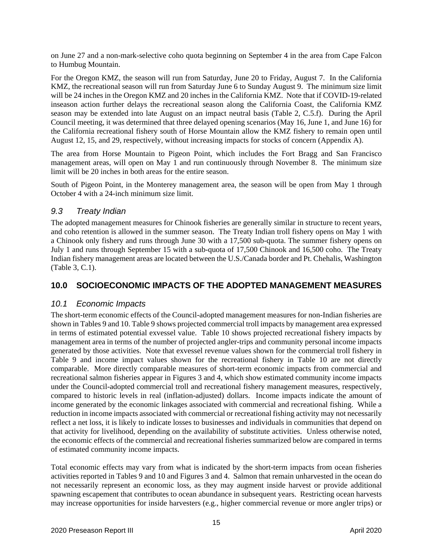on June 27 and a non-mark-selective coho quota beginning on September 4 in the area from Cape Falcon to Humbug Mountain.

For the Oregon KMZ, the season will run from Saturday, June 20 to Friday, August 7. In the California KMZ, the recreational season will run from Saturday June 6 to Sunday August 9. The minimum size limit will be 24 inches in the Oregon KMZ and 20 inches in the California KMZ. Note that if COVID-19-related inseason action further delays the recreational season along the California Coast, the California KMZ season may be extended into late August on an impact neutral basis (Table 2, C.5.f). During the April Council meeting, it was determined that three delayed opening scenarios (May 16, June 1, and June 16) for the California recreational fishery south of Horse Mountain allow the KMZ fishery to remain open until August 12, 15, and 29, respectively, without increasing impacts for stocks of concern (Appendix A).

The area from Horse Mountain to Pigeon Point, which includes the Fort Bragg and San Francisco management areas, will open on May 1 and run continuously through November 8. The minimum size limit will be 20 inches in both areas for the entire season.

South of Pigeon Point, in the Monterey management area, the season will be open from May 1 through October 4 with a 24-inch minimum size limit.

#### *9.3 Treaty Indian*

The adopted management measures for Chinook fisheries are generally similar in structure to recent years, and coho retention is allowed in the summer season. The Treaty Indian troll fishery opens on May 1 with a Chinook only fishery and runs through June 30 with a 17,500 sub-quota. The summer fishery opens on July 1 and runs through September 15 with a sub-quota of 17,500 Chinook and 16,500 coho. The Treaty Indian fishery management areas are located between the U.S./Canada border and Pt. Chehalis, Washington (Table 3, C.1).

## **10.0 SOCIOECONOMIC IMPACTS OF THE ADOPTED MANAGEMENT MEASURES**

#### *10.1 Economic Impacts*

The short-term economic effects of the Council-adopted management measures for non-Indian fisheries are shown in Tables 9 and 10. Table 9 shows projected commercial troll impacts by management area expressed in terms of estimated potential exvessel value. Table 10 shows projected recreational fishery impacts by management area in terms of the number of projected angler-trips and community personal income impacts generated by those activities. Note that exvessel revenue values shown for the commercial troll fishery in Table 9 and income impact values shown for the recreational fishery in Table 10 are not directly comparable. More directly comparable measures of short-term economic impacts from commercial and recreational salmon fisheries appear in Figures 3 and 4, which show estimated community income impacts under the Council-adopted commercial troll and recreational fishery management measures, respectively, compared to historic levels in real (inflation-adjusted) dollars. Income impacts indicate the amount of income generated by the economic linkages associated with commercial and recreational fishing. While a reduction in income impacts associated with commercial or recreational fishing activity may not necessarily reflect a net loss, it is likely to indicate losses to businesses and individuals in communities that depend on that activity for livelihood, depending on the availability of substitute activities. Unless otherwise noted, the economic effects of the commercial and recreational fisheries summarized below are compared in terms of estimated community income impacts.

Total economic effects may vary from what is indicated by the short-term impacts from ocean fisheries activities reported in Tables 9 and 10 and Figures 3 and 4. Salmon that remain unharvested in the ocean do not necessarily represent an economic loss, as they may augment inside harvest or provide additional spawning escapement that contributes to ocean abundance in subsequent years. Restricting ocean harvests may increase opportunities for inside harvesters (e.g., higher commercial revenue or more angler trips) or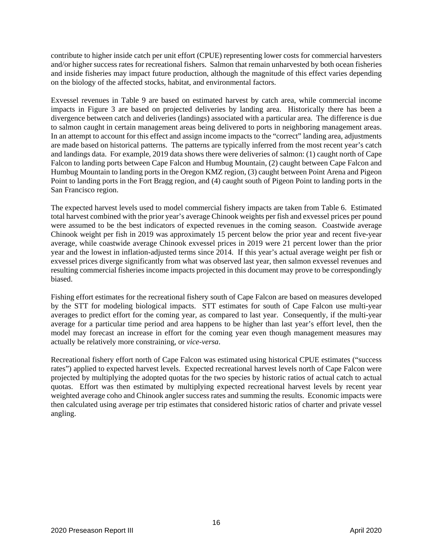contribute to higher inside catch per unit effort (CPUE) representing lower costs for commercial harvesters and/or higher success rates for recreational fishers. Salmon that remain unharvested by both ocean fisheries and inside fisheries may impact future production, although the magnitude of this effect varies depending on the biology of the affected stocks, habitat, and environmental factors.

Exvessel revenues in Table 9 are based on estimated harvest by catch area, while commercial income impacts in Figure 3 are based on projected deliveries by landing area. Historically there has been a divergence between catch and deliveries (landings) associated with a particular area. The difference is due to salmon caught in certain management areas being delivered to ports in neighboring management areas. In an attempt to account for this effect and assign income impacts to the "correct" landing area, adjustments are made based on historical patterns. The patterns are typically inferred from the most recent year's catch and landings data. For example, 2019 data shows there were deliveries of salmon: (1) caught north of Cape Falcon to landing ports between Cape Falcon and Humbug Mountain, (2) caught between Cape Falcon and Humbug Mountain to landing ports in the Oregon KMZ region, (3) caught between Point Arena and Pigeon Point to landing ports in the Fort Bragg region, and (4) caught south of Pigeon Point to landing ports in the San Francisco region.

The expected harvest levels used to model commercial fishery impacts are taken from Table 6. Estimated total harvest combined with the prior year's average Chinook weights per fish and exvessel prices per pound were assumed to be the best indicators of expected revenues in the coming season. Coastwide average Chinook weight per fish in 2019 was approximately 15 percent below the prior year and recent five-year average, while coastwide average Chinook exvessel prices in 2019 were 21 percent lower than the prior year and the lowest in inflation-adjusted terms since 2014. If this year's actual average weight per fish or exvessel prices diverge significantly from what was observed last year, then salmon exvessel revenues and resulting commercial fisheries income impacts projected in this document may prove to be correspondingly biased.

Fishing effort estimates for the recreational fishery south of Cape Falcon are based on measures developed by the STT for modeling biological impacts. STT estimates for south of Cape Falcon use multi-year averages to predict effort for the coming year, as compared to last year. Consequently, if the multi-year average for a particular time period and area happens to be higher than last year's effort level, then the model may forecast an increase in effort for the coming year even though management measures may actually be relatively more constraining, or *vice-versa*.

Recreational fishery effort north of Cape Falcon was estimated using historical CPUE estimates ("success rates") applied to expected harvest levels. Expected recreational harvest levels north of Cape Falcon were projected by multiplying the adopted quotas for the two species by historic ratios of actual catch to actual quotas. Effort was then estimated by multiplying expected recreational harvest levels by recent year weighted average coho and Chinook angler success rates and summing the results. Economic impacts were then calculated using average per trip estimates that considered historic ratios of charter and private vessel angling.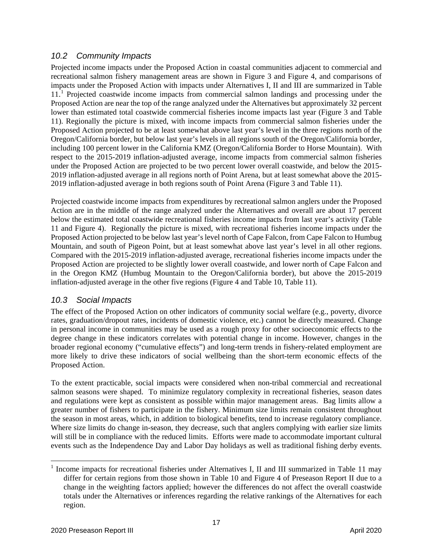#### *10.2 Community Impacts*

Projected income impacts under the Proposed Action in coastal communities adjacent to commercial and recreational salmon fishery management areas are shown in Figure 3 and Figure 4, and comparisons of impacts under the Proposed Action with impacts under Alternatives I, II and III are summarized in Table [1](#page-21-0)1.<sup>1</sup> Projected coastwide income impacts from commercial salmon landings and processing under the Proposed Action are near the top of the range analyzed under the Alternatives but approximately 32 percent lower than estimated total coastwide commercial fisheries income impacts last year (Figure 3 and Table 11). Regionally the picture is mixed, with income impacts from commercial salmon fisheries under the Proposed Action projected to be at least somewhat above last year's level in the three regions north of the Oregon/California border, but below last year's levels in all regions south of the Oregon/California border, including 100 percent lower in the California KMZ (Oregon/California Border to Horse Mountain). With respect to the 2015-2019 inflation-adjusted average, income impacts from commercial salmon fisheries under the Proposed Action are projected to be two percent lower overall coastwide, and below the 2015- 2019 inflation-adjusted average in all regions north of Point Arena, but at least somewhat above the 2015- 2019 inflation-adjusted average in both regions south of Point Arena (Figure 3 and Table 11).

Projected coastwide income impacts from expenditures by recreational salmon anglers under the Proposed Action are in the middle of the range analyzed under the Alternatives and overall are about 17 percent below the estimated total coastwide recreational fisheries income impacts from last year's activity (Table 11 and Figure 4). Regionally the picture is mixed, with recreational fisheries income impacts under the Proposed Action projected to be below last year's level north of Cape Falcon, from Cape Falcon to Humbug Mountain, and south of Pigeon Point, but at least somewhat above last year's level in all other regions. Compared with the 2015-2019 inflation-adjusted average, recreational fisheries income impacts under the Proposed Action are projected to be slightly lower overall coastwide, and lower north of Cape Falcon and in the Oregon KMZ (Humbug Mountain to the Oregon/California border), but above the 2015-2019 inflation-adjusted average in the other five regions (Figure 4 and Table 10, Table 11).

## *10.3 Social Impacts*

The effect of the Proposed Action on other indicators of community social welfare (e.g., poverty, divorce rates, graduation/dropout rates, incidents of domestic violence, etc.) cannot be directly measured. Change in personal income in communities may be used as a rough proxy for other socioeconomic effects to the degree change in these indicators correlates with potential change in income. However, changes in the broader regional economy ("cumulative effects") and long-term trends in fishery-related employment are more likely to drive these indicators of social wellbeing than the short-term economic effects of the Proposed Action.

To the extent practicable, social impacts were considered when non-tribal commercial and recreational salmon seasons were shaped. To minimize regulatory complexity in recreational fisheries, season dates and regulations were kept as consistent as possible within major management areas. Bag limits allow a greater number of fishers to participate in the fishery. Minimum size limits remain consistent throughout the season in most areas, which, in addition to biological benefits, tend to increase regulatory compliance. Where size limits do change in-season, they decrease, such that anglers complying with earlier size limits will still be in compliance with the reduced limits. Efforts were made to accommodate important cultural events such as the Independence Day and Labor Day holidays as well as traditional fishing derby events.

<span id="page-21-0"></span><sup>&</sup>lt;sup>1</sup> Income impacts for recreational fisheries under Alternatives I, II and III summarized in Table 11 may differ for certain regions from those shown in Table 10 and Figure 4 of Preseason Report II due to a change in the weighting factors applied; however the differences do not affect the overall coastwide totals under the Alternatives or inferences regarding the relative rankings of the Alternatives for each region.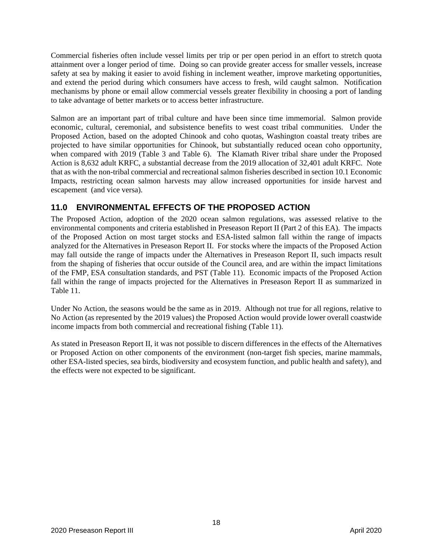Commercial fisheries often include vessel limits per trip or per open period in an effort to stretch quota attainment over a longer period of time. Doing so can provide greater access for smaller vessels, increase safety at sea by making it easier to avoid fishing in inclement weather, improve marketing opportunities, and extend the period during which consumers have access to fresh, wild caught salmon. Notification mechanisms by phone or email allow commercial vessels greater flexibility in choosing a port of landing to take advantage of better markets or to access better infrastructure.

Salmon are an important part of tribal culture and have been since time immemorial. Salmon provide economic, cultural, ceremonial, and subsistence benefits to west coast tribal communities. Under the Proposed Action, based on the adopted Chinook and coho quotas, Washington coastal treaty tribes are projected to have similar opportunities for Chinook, but substantially reduced ocean coho opportunity, when compared with 2019 (Table 3 and Table 6). The Klamath River tribal share under the Proposed Action is 8,632 adult KRFC, a substantial decrease from the 2019 allocation of 32,401 adult KRFC. Note that as with the non-tribal commercial and recreational salmon fisheries described in section 10.1 Economic Impacts, restricting ocean salmon harvests may allow increased opportunities for inside harvest and escapement (and vice versa).

## **11.0 ENVIRONMENTAL EFFECTS OF THE PROPOSED ACTION**

The Proposed Action, adoption of the 2020 ocean salmon regulations, was assessed relative to the environmental components and criteria established in Preseason Report II (Part 2 of this EA). The impacts of the Proposed Action on most target stocks and ESA-listed salmon fall within the range of impacts analyzed for the Alternatives in Preseason Report II. For stocks where the impacts of the Proposed Action may fall outside the range of impacts under the Alternatives in Preseason Report II, such impacts result from the shaping of fisheries that occur outside of the Council area, and are within the impact limitations of the FMP, ESA consultation standards, and PST (Table 11). Economic impacts of the Proposed Action fall within the range of impacts projected for the Alternatives in Preseason Report II as summarized in Table 11.

Under No Action, the seasons would be the same as in 2019. Although not true for all regions, relative to No Action (as represented by the 2019 values) the Proposed Action would provide lower overall coastwide income impacts from both commercial and recreational fishing (Table 11).

As stated in Preseason Report II, it was not possible to discern differences in the effects of the Alternatives or Proposed Action on other components of the environment (non-target fish species, marine mammals, other ESA-listed species, sea birds, biodiversity and ecosystem function, and public health and safety), and the effects were not expected to be significant.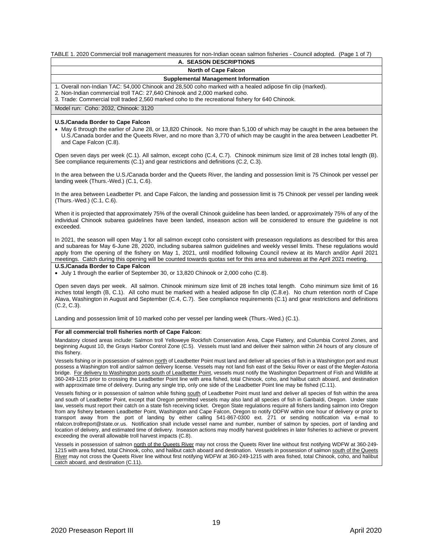TABLE 1. 2020 Commercial troll management measures for non-Indian ocean salmon fisheries - Council adopted. (Page 1 of 7)

| A. SEASON DESCRIPTIONS                                                                                                                                                                                                                                                                                                                                                                                                                                                                                                                                                                                                                                                                                                                                                                                                                                                                                                                                                                                                                                              |  |  |  |
|---------------------------------------------------------------------------------------------------------------------------------------------------------------------------------------------------------------------------------------------------------------------------------------------------------------------------------------------------------------------------------------------------------------------------------------------------------------------------------------------------------------------------------------------------------------------------------------------------------------------------------------------------------------------------------------------------------------------------------------------------------------------------------------------------------------------------------------------------------------------------------------------------------------------------------------------------------------------------------------------------------------------------------------------------------------------|--|--|--|
| North of Cape Falcon                                                                                                                                                                                                                                                                                                                                                                                                                                                                                                                                                                                                                                                                                                                                                                                                                                                                                                                                                                                                                                                |  |  |  |
| <b>Supplemental Management Information</b>                                                                                                                                                                                                                                                                                                                                                                                                                                                                                                                                                                                                                                                                                                                                                                                                                                                                                                                                                                                                                          |  |  |  |
| 1. Overall non-Indian TAC: 54,000 Chinook and 28,500 coho marked with a healed adipose fin clip (marked).<br>2. Non-Indian commercial troll TAC: 27,640 Chinook and 2,000 marked coho.                                                                                                                                                                                                                                                                                                                                                                                                                                                                                                                                                                                                                                                                                                                                                                                                                                                                              |  |  |  |
| 3. Trade: Commercial troll traded 2,560 marked coho to the recreational fishery for 640 Chinook.                                                                                                                                                                                                                                                                                                                                                                                                                                                                                                                                                                                                                                                                                                                                                                                                                                                                                                                                                                    |  |  |  |
| Model run: Coho: 2032, Chinook: 3120                                                                                                                                                                                                                                                                                                                                                                                                                                                                                                                                                                                                                                                                                                                                                                                                                                                                                                                                                                                                                                |  |  |  |
|                                                                                                                                                                                                                                                                                                                                                                                                                                                                                                                                                                                                                                                                                                                                                                                                                                                                                                                                                                                                                                                                     |  |  |  |
| U.S./Canada Border to Cape Falcon<br>• May 6 through the earlier of June 28, or 13,820 Chinook. No more than 5,100 of which may be caught in the area between the<br>U.S./Canada border and the Queets River, and no more than 3,770 of which may be caught in the area between Leadbetter Pt.<br>and Cape Falcon (C.8).                                                                                                                                                                                                                                                                                                                                                                                                                                                                                                                                                                                                                                                                                                                                            |  |  |  |
| Open seven days per week (C.1). All salmon, except coho (C.4, C.7). Chinook minimum size limit of 28 inches total length (B).<br>See compliance requirements (C.1) and gear restrictions and definitions (C.2, C.3).                                                                                                                                                                                                                                                                                                                                                                                                                                                                                                                                                                                                                                                                                                                                                                                                                                                |  |  |  |
| In the area between the U.S./Canada border and the Queets River, the landing and possession limit is 75 Chinook per vessel per<br>landing week (Thurs.-Wed.) (C.1, C.6).                                                                                                                                                                                                                                                                                                                                                                                                                                                                                                                                                                                                                                                                                                                                                                                                                                                                                            |  |  |  |
| In the area between Leadbetter Pt. and Cape Falcon, the landing and possession limit is 75 Chinook per vessel per landing week<br>(Thurs.-Wed.) (C.1, C.6).                                                                                                                                                                                                                                                                                                                                                                                                                                                                                                                                                                                                                                                                                                                                                                                                                                                                                                         |  |  |  |
| When it is projected that approximately 75% of the overall Chinook guideline has been landed, or approximately 75% of any of the<br>individual Chinook subarea guidelines have been landed, inseason action will be considered to ensure the guideline is not<br>exceeded.                                                                                                                                                                                                                                                                                                                                                                                                                                                                                                                                                                                                                                                                                                                                                                                          |  |  |  |
| In 2021, the season will open May 1 for all salmon except coho consistent with preseason regulations as described for this area<br>and subareas for May 6-June 28, 2020, including subarea salmon guidelines and weekly vessel limits. These regulations would<br>apply from the opening of the fishery on May 1, 2021, until modified following Council review at its March and/or April 2021<br>meetings. Catch during this opening will be counted towards quotas set for this area and subareas at the April 2021 meeting.                                                                                                                                                                                                                                                                                                                                                                                                                                                                                                                                      |  |  |  |
| U.S./Canada Border to Cape Falcon<br>• July 1 through the earlier of September 30, or 13,820 Chinook or 2,000 coho (C.8).                                                                                                                                                                                                                                                                                                                                                                                                                                                                                                                                                                                                                                                                                                                                                                                                                                                                                                                                           |  |  |  |
| Open seven days per week. All salmon. Chinook minimum size limit of 28 inches total length. Coho minimum size limit of 16<br>inches total length (B, C.1). All coho must be marked with a healed adipose fin clip (C.8.e). No chum retention north of Cape<br>Alava, Washington in August and September (C.4, C.7). See compliance requirements (C.1) and gear restrictions and definitions<br>(C.2, C.3).                                                                                                                                                                                                                                                                                                                                                                                                                                                                                                                                                                                                                                                          |  |  |  |
| Landing and possession limit of 10 marked coho per vessel per landing week (Thurs.-Wed.) (C.1).                                                                                                                                                                                                                                                                                                                                                                                                                                                                                                                                                                                                                                                                                                                                                                                                                                                                                                                                                                     |  |  |  |
| For all commercial troll fisheries north of Cape Falcon:                                                                                                                                                                                                                                                                                                                                                                                                                                                                                                                                                                                                                                                                                                                                                                                                                                                                                                                                                                                                            |  |  |  |
| Mandatory closed areas include: Salmon troll Yelloweye Rockfish Conservation Area, Cape Flattery, and Columbia Control Zones, and<br>beginning August 10, the Grays Harbor Control Zone (C.5). Vessels must land and deliver their salmon within 24 hours of any closure of<br>this fishery.                                                                                                                                                                                                                                                                                                                                                                                                                                                                                                                                                                                                                                                                                                                                                                        |  |  |  |
| Vessels fishing or in possession of salmon north of Leadbetter Point must land and deliver all species of fish in a Washington port and must<br>possess a Washington troll and/or salmon delivery license. Vessels may not land fish east of the Sekiu River or east of the Megler-Astoria<br>bridge. For delivery to Washington ports south of Leadbetter Point, vessels must notify the Washington Department of Fish and Wildlife at<br>360-249-1215 prior to crossing the Leadbetter Point line with area fished, total Chinook, coho, and halibut catch aboard, and destination<br>with approximate time of delivery. During any single trip, only one side of the Leadbetter Point line may be fished (C.11).                                                                                                                                                                                                                                                                                                                                                 |  |  |  |
| Vessels fishing or in possession of salmon while fishing south of Leadbetter Point must land and deliver all species of fish within the area<br>and south of Leadbetter Point, except that Oregon permitted vessels may also land all species of fish in Garibaldi, Oregon. Under state<br>law, vessels must report their catch on a state fish receiving ticket. Oregon State regulations require all fishers landing salmon into Oregon<br>from any fishery between Leadbetter Point, Washington and Cape Falcon, Oregon to notify ODFW within one hour of delivery or prior to<br>transport away from the port of landing by either calling 541-867-0300 ext. 271 or sending notification via e-mail to<br>nfalcon.trollreport@state.or.us. Notification shall include vessel name and number, number of salmon by species, port of landing and<br>location of delivery, and estimated time of delivery. Inseason actions may modify harvest quidelines in later fisheries to achieve or prevent<br>exceeding the overall allowable troll harvest impacts (C.8). |  |  |  |
| Vessels in possession of salmon north of the Queets River may not cross the Queets River line without first notifying WDFW at 360-249-<br>1215 with area fished, total Chinook, coho, and halibut catch aboard and destination. Vessels in possession of salmon south of the Queets<br>River may not cross the Queets River line without first notifying WDFW at 360-249-1215 with area fished, total Chinook, coho, and halibut<br>catch aboard, and destination (C.11).                                                                                                                                                                                                                                                                                                                                                                                                                                                                                                                                                                                           |  |  |  |
|                                                                                                                                                                                                                                                                                                                                                                                                                                                                                                                                                                                                                                                                                                                                                                                                                                                                                                                                                                                                                                                                     |  |  |  |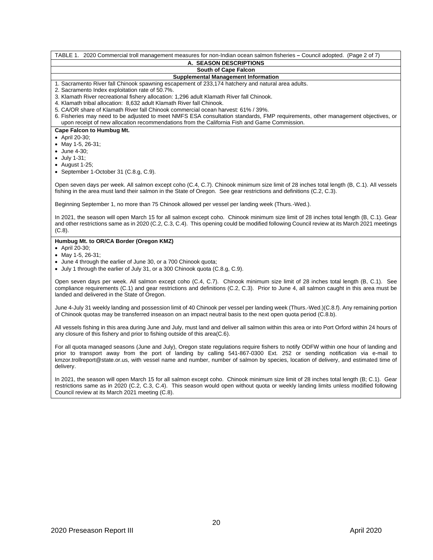TABLE 1. 2020 Commercial troll management measures for non-Indian ocean salmon fisheries **–** Council adopted. (Page 2 of 7) **A. SEASON DESCRIPTIONS South of Cape Falcon Supplemental Management Information** 1. Sacramento River fall Chinook spawning escapement of 233,174 hatchery and natural area adults. 2. Sacramento Index exploitation rate of 50.7%. 3. Klamath River recreational fishery allocation: 1,296 adult Klamath River fall Chinook. 4. Klamath tribal allocation: 8,632 adult Klamath River fall Chinook. 5. CA/OR share of Klamath River fall Chinook commercial ocean harvest: 61% / 39%. 6. Fisheries may need to be adjusted to meet NMFS ESA consultation standards, FMP requirements, other management objectives, or upon receipt of new allocation recommendations from the California Fish and Game Commission. **Cape Falcon to Humbug Mt.** • April 20-30; • May 1-5, 26-31; • June 4-30; • July 1-31; • August 1-25; • September 1-October 31 (C.8.g, C.9). Open seven days per week. All salmon except coho (C.4, C.7). Chinook minimum size limit of 28 inches total length (B, C.1). All vessels fishing in the area must land their salmon in the State of Oregon. See gear restrictions and definitions (C.2, C.3). Beginning September 1, no more than 75 Chinook allowed per vessel per landing week (Thurs.-Wed.). In 2021, the season will open March 15 for all salmon except coho. Chinook minimum size limit of 28 inches total length (B, C.1). Gear and other restrictions same as in 2020 (C.2, C.3, C.4). This opening could be modified following Council review at its March 2021 meetings (C.8). **Humbug Mt. to OR/CA Border (Oregon KMZ)** • April 20-30; • May 1-5, 26-31; • June 4 through the earlier of June 30, or a 700 Chinook quota; • July 1 through the earlier of July 31, or a 300 Chinook quota (C.8.g, C.9). Open seven days per week. All salmon except coho (C.4, C.7). Chinook minimum size limit of 28 inches total length (B, C.1).See compliance requirements (C.1) and gear restrictions and definitions (C.2, C.3). Prior to June 4, all salmon caught in this area must be landed and delivered in the State of Oregon. June 4-July 31 weekly landing and possession limit of 40 Chinook per vessel per landing week (Thurs.-Wed.)(C.8.f). Any remaining portion of Chinook quotas may be transferred inseason on an impact neutral basis to the next open quota period (C.8.b). All vessels fishing in this area during June and July, must land and deliver all salmon within this area or into Port Orford within 24 hours of any closure of this fishery and prior to fishing outside of this area(C.6). For all quota managed seasons (June and July), Oregon state regulations require fishers to notify ODFW within one hour of landing and prior to transport away from the port of landing by calling 541-867-0300 Ext. 252 or sending notification via e-mail to kmzor.trollreport@state.or.us, with vessel name and number, number of salmon by species, location of delivery, and estimated time of delivery. In 2021, the season will open March 15 for all salmon except coho. Chinook minimum size limit of 28 inches total length (B; C.1). Gear restrictions same as in 2020 (C.2, C.3, C.4). This season would open without quota or weekly landing limits unless modified following Council review at its March 2021 meeting (C.8).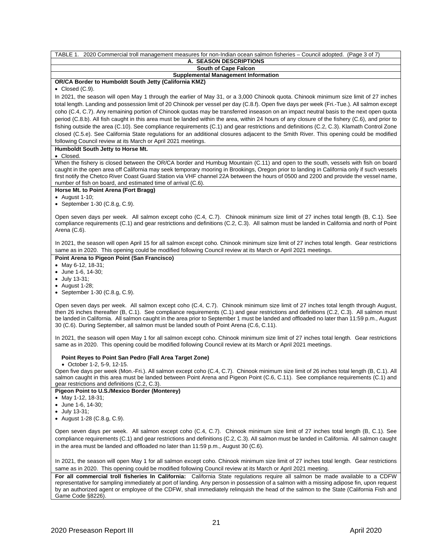| TABLE 1. 2020 Commercial troll management measures for non-Indian ocean salmon fisheries - Council adopted. (Page 3 of 7)                                                                                                                                                                                                                                                                                                                                                                                            |
|----------------------------------------------------------------------------------------------------------------------------------------------------------------------------------------------------------------------------------------------------------------------------------------------------------------------------------------------------------------------------------------------------------------------------------------------------------------------------------------------------------------------|
| A. SEASON DESCRIPTIONS                                                                                                                                                                                                                                                                                                                                                                                                                                                                                               |
| <b>South of Cape Falcon</b>                                                                                                                                                                                                                                                                                                                                                                                                                                                                                          |
| <b>Supplemental Management Information</b>                                                                                                                                                                                                                                                                                                                                                                                                                                                                           |
| OR/CA Border to Humboldt South Jetty (California KMZ)<br>• Closed $(C.9)$ .                                                                                                                                                                                                                                                                                                                                                                                                                                          |
| In 2021, the season will open May 1 through the earlier of May 31, or a 3,000 Chinook quota. Chinook minimum size limit of 27 inches                                                                                                                                                                                                                                                                                                                                                                                 |
| total length. Landing and possession limit of 20 Chinook per vessel per day (C.8.f). Open five days per week (Fri.-Tue.). All salmon except                                                                                                                                                                                                                                                                                                                                                                          |
| coho (C.4, C.7). Any remaining portion of Chinook quotas may be transferred inseason on an impact neutral basis to the next open quota                                                                                                                                                                                                                                                                                                                                                                               |
| period (C.8.b). All fish caught in this area must be landed within the area, within 24 hours of any closure of the fishery (C.6), and prior to                                                                                                                                                                                                                                                                                                                                                                       |
| fishing outside the area (C.10). See compliance requirements (C.1) and gear restrictions and definitions (C.2, C.3). Klamath Control Zone                                                                                                                                                                                                                                                                                                                                                                            |
| closed (C.5.e). See California State regulations for an additional closures adjacent to the Smith River. This opening could be modified                                                                                                                                                                                                                                                                                                                                                                              |
| following Council review at its March or April 2021 meetings.                                                                                                                                                                                                                                                                                                                                                                                                                                                        |
| Humboldt South Jetty to Horse Mt.<br>• Closed.                                                                                                                                                                                                                                                                                                                                                                                                                                                                       |
| When the fishery is closed between the OR/CA border and Humbug Mountain (C.11) and open to the south, vessels with fish on board                                                                                                                                                                                                                                                                                                                                                                                     |
| caught in the open area off California may seek temporary mooring in Brookings, Oregon prior to landing in California only if such vessels                                                                                                                                                                                                                                                                                                                                                                           |
| first notify the Chetco River Coast Guard Station via VHF channel 22A between the hours of 0500 and 2200 and provide the vessel name,                                                                                                                                                                                                                                                                                                                                                                                |
| number of fish on board, and estimated time of arrival (C.6).                                                                                                                                                                                                                                                                                                                                                                                                                                                        |
| Horse Mt. to Point Arena (Fort Bragg)                                                                                                                                                                                                                                                                                                                                                                                                                                                                                |
| • August $1-10$ ;                                                                                                                                                                                                                                                                                                                                                                                                                                                                                                    |
| • September $1-30$ (C.8.g, C.9).                                                                                                                                                                                                                                                                                                                                                                                                                                                                                     |
| Open seven days per week. All salmon except coho (C.4, C.7). Chinook minimum size limit of 27 inches total length (B, C.1). See                                                                                                                                                                                                                                                                                                                                                                                      |
| compliance requirements (C.1) and gear restrictions and definitions (C.2, C.3). All salmon must be landed in California and north of Point                                                                                                                                                                                                                                                                                                                                                                           |
| Arena $(C.6)$ .                                                                                                                                                                                                                                                                                                                                                                                                                                                                                                      |
| In 2021, the season will open April 15 for all salmon except coho. Chinook minimum size limit of 27 inches total length. Gear restrictions                                                                                                                                                                                                                                                                                                                                                                           |
| same as in 2020. This opening could be modified following Council review at its March or April 2021 meetings.                                                                                                                                                                                                                                                                                                                                                                                                        |
| Point Arena to Pigeon Point (San Francisco)                                                                                                                                                                                                                                                                                                                                                                                                                                                                          |
| • May 6-12, 18-31;                                                                                                                                                                                                                                                                                                                                                                                                                                                                                                   |
| $\bullet$ June 1-6, 14-30;                                                                                                                                                                                                                                                                                                                                                                                                                                                                                           |
| $\bullet$ July 13-31;                                                                                                                                                                                                                                                                                                                                                                                                                                                                                                |
| • August 1-28;                                                                                                                                                                                                                                                                                                                                                                                                                                                                                                       |
| • September $1-30$ (C.8.g, C.9).                                                                                                                                                                                                                                                                                                                                                                                                                                                                                     |
| Open seven days per week. All salmon except coho (C.4, C.7). Chinook minimum size limit of 27 inches total length through August,<br>then 26 inches thereafter (B, C.1). See compliance requirements (C.1) and gear restrictions and definitions (C.2, C.3). All salmon must<br>be landed in California. All salmon caught in the area prior to September 1 must be landed and offloaded no later than 11:59 p.m., August<br>30 (C.6). During September, all salmon must be landed south of Point Arena (C.6, C.11). |
| In 2021, the season will open May 1 for all salmon except coho. Chinook minimum size limit of 27 inches total length. Gear restrictions<br>same as in 2020. This opening could be modified following Council review at its March or April 2021 meetings.                                                                                                                                                                                                                                                             |
|                                                                                                                                                                                                                                                                                                                                                                                                                                                                                                                      |
| Point Reyes to Point San Pedro (Fall Area Target Zone)                                                                                                                                                                                                                                                                                                                                                                                                                                                               |
| October 1-2, 5-9, 12-15.<br>Open five days per week (Mon.-Fri.). All salmon except coho (C.4, C.7). Chinook minimum size limit of 26 inches total length (B, C.1). All                                                                                                                                                                                                                                                                                                                                               |
| salmon caught in this area must be landed between Point Arena and Pigeon Point (C.6, C.11). See compliance requirements (C.1) and<br>gear restrictions and definitions (C.2, C.3).                                                                                                                                                                                                                                                                                                                                   |
| Pigeon Point to U.S./Mexico Border (Monterey)                                                                                                                                                                                                                                                                                                                                                                                                                                                                        |
| • May 1-12, 18-31;                                                                                                                                                                                                                                                                                                                                                                                                                                                                                                   |
| • June 1-6, 14-30;                                                                                                                                                                                                                                                                                                                                                                                                                                                                                                   |
| $\bullet$ July 13-31;<br>• August 1-28 (C.8.g, C.9).                                                                                                                                                                                                                                                                                                                                                                                                                                                                 |
|                                                                                                                                                                                                                                                                                                                                                                                                                                                                                                                      |
| Open seven days per week. All salmon except coho (C.4, C.7). Chinook minimum size limit of 27 inches total length (B, C.1). See                                                                                                                                                                                                                                                                                                                                                                                      |
| compliance requirements (C.1) and gear restrictions and definitions (C.2, C.3). All salmon must be landed in California. All salmon caught<br>in the area must be landed and offloaded no later than $11:59$ p.m., August 30 (C.6).                                                                                                                                                                                                                                                                                  |
|                                                                                                                                                                                                                                                                                                                                                                                                                                                                                                                      |
| In 2021, the season will open May 1 for all salmon except coho. Chinook minimum size limit of 27 inches total length. Gear restrictions<br>same as in 2020. This opening could be modified following Council review at its March or April 2021 meeting.                                                                                                                                                                                                                                                              |
| For all commercial troll fisheries In California: California State regulations require all salmon be made available to a CDFW<br>representative for sampling immediately at port of landing. Any person in possession of a salmon with a missing adipose fin, upon request<br>by an authorized agent or employee of the CDFW, shall immediately relinquish the head of the salmon to the State (California Fish and<br>Game Code §8226).                                                                             |
|                                                                                                                                                                                                                                                                                                                                                                                                                                                                                                                      |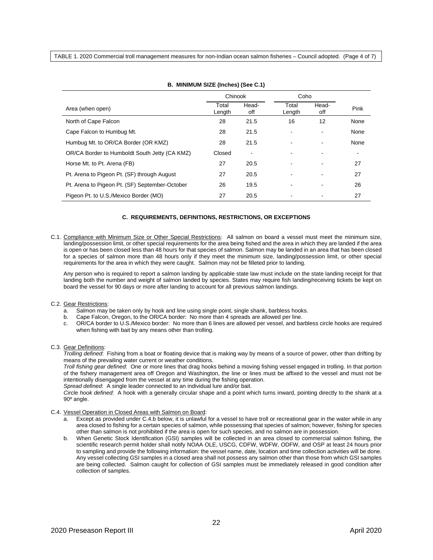|                                                | Chinook         |              | Coho            |              |      |
|------------------------------------------------|-----------------|--------------|-----------------|--------------|------|
| Area (when open)                               | Total<br>Length | Head-<br>off | Total<br>Length | Head-<br>off | Pink |
| North of Cape Falcon                           | 28              | 21.5         | 16              | 12           | None |
| Cape Falcon to Humbug Mt.                      | 28              | 21.5         |                 |              | None |
| Humbug Mt. to OR/CA Border (OR KMZ)            | 28              | 21.5         |                 |              | None |
| OR/CA Border to Humboldt South Jetty (CA KMZ)  | Closed          | ۰            |                 |              |      |
| Horse Mt. to Pt. Arena (FB)                    | 27              | 20.5         |                 |              | 27   |
| Pt. Arena to Pigeon Pt. (SF) through August    | 27              | 20.5         |                 |              | 27   |
| Pt. Arena to Pigeon Pt. (SF) September-October | 26              | 19.5         |                 |              | 26   |
| Pigeon Pt. to U.S./Mexico Border (MO)          | 27              | 20.5         |                 |              | 27   |

#### **B. MINIMUM SIZE (Inches) (See C.1)**

#### **C. REQUIREMENTS, DEFINITIONS, RESTRICTIONS, OR EXCEPTIONS**

C.1. Compliance with Minimum Size or Other Special Restrictions: All salmon on board a vessel must meet the minimum size, landing/possession limit, or other special requirements for the area being fished and the area in which they are landed if the area is open or has been closed less than 48 hours for that species of salmon. Salmon may be landed in an area that has been closed for a species of salmon more than 48 hours only if they meet the minimum size, landing/possession limit, or other special requirements for the area in which they were caught. Salmon may not be filleted prior to landing.

Any person who is required to report a salmon landing by applicable state law must include on the state landing receipt for that landing both the number and weight of salmon landed by species. States may require fish landing/receiving tickets be kept on board the vessel for 90 days or more after landing to account for all previous salmon landings.

## C.2. Gear Restrictions:<br>a. Salmon may

- Salmon may be taken only by hook and line using single point, single shank, barbless hooks.
- b. Cape Falcon, Oregon, to the OR/CA border: No more than 4 spreads are allowed per line.
- c. OR/CA border to U.S./Mexico border: No more than 6 lines are allowed per vessel, and barbless circle hooks are required when fishing with bait by any means other than trolling.
- C.3. Gear Definitions:

*Trolling defined*: Fishing from a boat or floating device that is making way by means of a source of power, other than drifting by means of the prevailing water current or weather conditions.

*Troll fishing gear defined*: One or more lines that drag hooks behind a moving fishing vessel engaged in trolling. In that portion of the fishery management area off Oregon and Washington, the line or lines must be affixed to the vessel and must not be intentionally disengaged from the vessel at any time during the fishing operation.

*Spread defined*: A single leader connected to an individual lure and/or bait.

*Circle hook defined*: A hook with a generally circular shape and a point which turns inward, pointing directly to the shank at a 90º angle.

#### C.4. Vessel Operation in Closed Areas with Salmon on Board:

- a. Except as provided under C.4.b below, it is unlawful for a vessel to have troll or recreational gear in the water while in any area closed to fishing for a certain species of salmon, while possessing that species of salmon; however, fishing for species other than salmon is not prohibited if the area is open for such species, and no salmon are in possession.
- b. When Genetic Stock Identification (GSI) samples will be collected in an area closed to commercial salmon fishing, the scientific research permit holder shall notify NOAA OLE, USCG, CDFW, WDFW, ODFW, and OSP at least 24 hours prior to sampling and provide the following information: the vessel name, date, location and time collection activities will be done. Any vessel collecting GSI samples in a closed area shall not possess any salmon other than those from which GSI samples are being collected. Salmon caught for collection of GSI samples must be immediately released in good condition after collection of samples.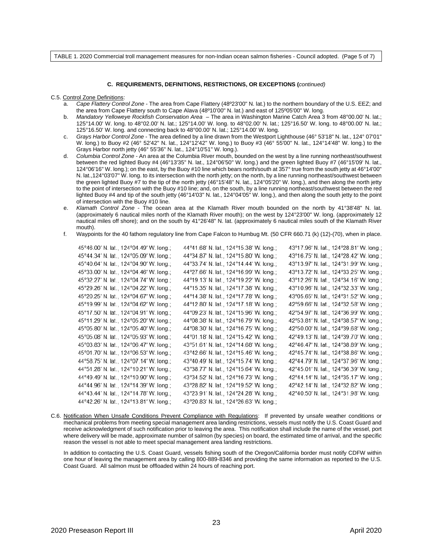#### **C. REQUIREMENTS, DEFINITIONS, RESTRICTIONS, OR EXCEPTIONS (***continued)*

C.5. Control Zone Definitions:

- a. *Cape Flattery Control Zone*  The area from Cape Flattery (48º23'00" N. lat.) to the northern boundary of the U.S. EEZ; and the area from Cape Flattery south to Cape Alava (48º10'00" N. lat.) and east of 125º05'00" W. long.
- b. *Mandatory Yelloweye Rockfish Conservation Area* The area in Washington Marine Catch Area 3 from 48°00.00' N. lat.; 125°14.00' W. long. to 48°02.00' N. lat.; 125°14.00' W. long. to 48°02.00' N. lat.; 125°16.50' W. long. to 48°00.00' N. lat.; 125°16.50' W. long. and connecting back to 48°00.00' N. lat.; 125°14.00' W. long.
- c. *Grays Harbor Control Zone* The area defined by a line drawn from the Westport Lighthouse (46° 53'18" N. lat., 124° 07'01" W. long.) to Buoy #2 (46° 52'42" N. lat., 124°12'42" W. long.) to Buoy #3 (46° 55'00" N. lat., 124°14'48" W. long.) to the Grays Harbor north jetty (46° 55'36" N. lat., 124°10'51" W. long.).
- d. *Columbia Control Zone* An area at the Columbia River mouth, bounded on the west by a line running northeast/southwest between the red lighted Buoy #4 (46°13'35" N. lat., 124°06'50" W. long.) and the green lighted Buoy #7 (46°15'09' N. lat., 124°06'16" W. long.); on the east, by the Buoy #10 line which bears north/south at 357° true from the south jetty at 46°14'00" N. lat.,124°03'07" W. long. to its intersection with the north jetty; on the north, by a line running northeast/southwest between the green lighted Buoy #7 to the tip of the north jetty (46°15'48" N. lat., 124°05'20" W. long.), and then along the north jetty to the point of intersection with the Buoy #10 line; and, on the south, by a line running northeast/southwest between the red lighted Buoy #4 and tip of the south jetty (46°14'03" N. lat., 124°04'05" W. long.), and then along the south jetty to the point of intersection with the Buoy #10 line.
- e. *Klamath Control Zone* The ocean area at the Klamath River mouth bounded on the north by 41°38'48" N. lat. (approximately 6 nautical miles north of the Klamath River mouth); on the west by 124°23'00" W. long. (approximately 12 nautical miles off shore); and on the south by 41°26'48" N. lat. (approximately 6 nautical miles south of the Klamath River mouth).
- f. Waypoints for the 40 fathom regulatory line from Cape Falcon to Humbug Mt. (50 CFR 660.71 (k) (12)-(70), when in place.

| 45°46.00' N. lat., 124°04.49' W. long.; | 44°41.68' N. lat., 124°15.38' W. long.; | 43°17.96' N. lat., 124°28.81' W. long.; |
|-----------------------------------------|-----------------------------------------|-----------------------------------------|
| 45°44.34' N. lat., 124°05.09' W. long.; | 44°34.87' N. lat., 124°15.80' W. long.; | 43°16.75' N. lat., 124°28.42' W. long.; |
| 45°40.64' N. lat., 124°04.90' W. long.; | 44°33.74' N. lat., 124°14.44' W. long.; | 43°13.97' N. lat., 124°31.99' W. long.; |
| 45°33.00' N. lat., 124°04.46' W. long.; | 44°27.66' N. lat., 124°16.99' W. long.; | 43°13.72' N. lat., 124°33.25' W. long.; |
| 45°32.27' N. lat., 124°04.74' W. long.; | 44°19.13' N. lat., 124°19.22' W. long.; | 43°12.26' N. lat., 124°34.16' W. long.; |
| 45°29.26' N. lat., 124°04.22' W. long.; | 44°15.35' N. lat., 124°17.38' W. long.; | 43°10.96' N. lat., 124°32.33' W. long.; |
| 45°20.25' N. lat., 124°04.67' W. long.; | 44°14.38' N. lat., 124°17.78' W. long.; | 43°05.65' N. lat., 124°31.52' W. long.; |
| 45°19.99' N. lat., 124°04.62' W. long.; | 44°12.80' N. lat., 124°17.18' W. long.; | 42°59.66' N. lat., 124°32.58' W. long.; |
| 45°17.50' N. lat., 124°04.91' W. long.; | 44°09.23' N. lat., 124°15.96' W. long.; | 42°54.97' N. lat., 124°36.99' W. long.; |
| 45°11.29' N. lat., 124°05.20' W. long.; | 44°08.38' N. lat., 124°16.79' W. long.; | 42°53.81' N. lat., 124°38.57' W. long.; |
| 45°05.80' N. lat., 124°05.40' W. long.; | 44°08.30' N. lat., 124°16.75' W. long.; | 42°50.00' N. lat., 124°39.68' W. long.; |
| 45°05.08' N. lat., 124°05.93' W. long.; | 44°01.18' N. lat., 124°15.42' W. long.; | 42°49.13' N. lat., 124°39.70' W. long.; |
| 45°03.83' N. lat., 124°06.47' W. long.; | 43°51.61' N. lat., 124°14.68' W. long.; | 42°46.47' N. lat., 124°38.89' W. long.; |
| 45°01.70' N. lat., 124°06.53' W. long.; | 43°42.66' N. lat., 124°15.46' W. long.; | 42°45.74' N. lat., 124°38.86' W. long.; |
| 44°58.75' N. lat., 124°07.14' W. long.; | 43°40.49' N. lat., 124°15.74' W. long.; | 42°44.79' N. lat., 124°37.96' W. long.; |
| 44°51.28' N. lat., 124°10.21' W. long.; | 43°38.77' N. lat., 124°15.64' W. long.; | 42°45.01' N. lat., 124°36.39' W. long.; |
| 44°49.49' N. lat., 124°10.90' W. long.; | 43°34.52' N. lat., 124°16.73' W. long.; | 42°44.14' N. lat., 124°35.17' W. long.; |
| 44°44.96' N. lat., 124°14.39' W. long.; | 43°28.82' N. lat., 124°19.52' W. long.; | 42°42.14' N. lat., 124°32.82' W. long.; |
| 44°43.44' N. lat., 124°14.78' W. long.; | 43°23.91' N. lat., 124°24.28' W. long.; | 42°40.50' N. lat., 124°31.98' W. long.  |
| 44°42.26' N. lat., 124°13.81' W. long.; | 43°20.83' N. lat., 124°26.63' W. long.; |                                         |
|                                         |                                         |                                         |

C.6. Notification When Unsafe Conditions Prevent Compliance with Regulations: If prevented by unsafe weather conditions or mechanical problems from meeting special management area landing restrictions, vessels must notify the U.S. Coast Guard and receive acknowledgment of such notification prior to leaving the area. This notification shall include the name of the vessel, port where delivery will be made, approximate number of salmon (by species) on board, the estimated time of arrival, and the specific reason the vessel is not able to meet special management area landing restrictions.

In addition to contacting the U.S. Coast Guard, vessels fishing south of the Oregon/California border must notify CDFW within one hour of leaving the management area by calling 800-889-8346 and providing the same information as reported to the U.S. Coast Guard. All salmon must be offloaded within 24 hours of reaching port.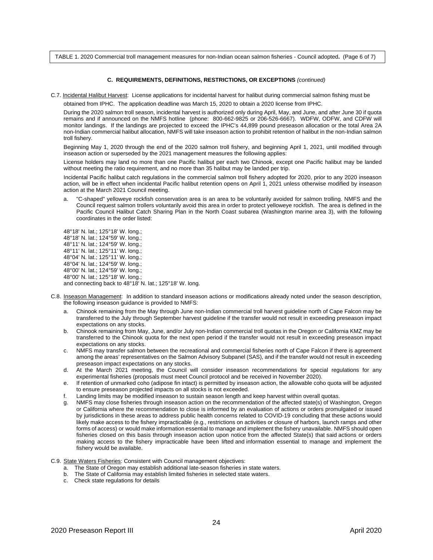TABLE 1. 2020 Commercial troll management measures for non-Indian ocean salmon fisheries - Council adopted**.** (Page 6 of 7)

#### **C. REQUIREMENTS, DEFINITIONS, RESTRICTIONS, OR EXCEPTIONS** *(continued)*

C.7. Incidental Halibut Harvest: License applications for incidental harvest for halibut during commercial salmon fishing must be

obtained from IPHC. The application deadline was March 15, 2020 to obtain a 2020 license from IPHC.

During the 2020 salmon troll season, incidental harvest is authorized only during April, May, and June, and after June 30 if quota remains and if announced on the NMFS hotline (phone: 800-662-9825 or 206-526-6667). WDFW, ODFW, and CDFW will monitor landings. If the landings are projected to exceed the IPHC's 44,899 pound preseason allocation or the total Area 2A non-Indian commercial halibut allocation, NMFS will take inseason action to prohibit retention of halibut in the non-Indian salmon troll fishery.

Beginning May 1, 2020 through the end of the 2020 salmon troll fishery, and beginning April 1, 2021, until modified through inseason action or superseded by the 2021 management measures the following applies:

License holders may land no more than one Pacific halibut per each two Chinook, except one Pacific halibut may be landed without meeting the ratio requirement, and no more than 35 halibut may be landed per trip.

Incidental Pacific halibut catch regulations in the commercial salmon troll fishery adopted for 2020, prior to any 2020 inseason action, will be in effect when incidental Pacific halibut retention opens on April 1, 2021 unless otherwise modified by inseason action at the March 2021 Council meeting.

a. "C-shaped" yelloweye rockfish conservation area is an area to be voluntarily avoided for salmon trolling. NMFS and the Council request salmon trollers voluntarily avoid this area in order to protect yelloweye rockfish. The area is defined in the Pacific Council Halibut Catch Sharing Plan in the North Coast subarea (Washington marine area 3), with the following coordinates in the order listed:

48°18' N. lat.; 125°18' W. long.; 48°18' N. lat.; 124°59' W. long.; 48°11' N. lat.; 124°59' W. long.; 48°11' N. lat.; 125°11' W. long.; 48°04' N. lat.; 125°11' W. long.; 48°04' N. lat.; 124°59' W. long.; 48°00' N. lat.; 124°59' W. long.; 48°00' N. lat.; 125°18' W. long.; and connecting back to 48°18' N. lat.; 125°18' W. long.

- C.8. Inseason Management: In addition to standard inseason actions or modifications already noted under the season description, the following inseason guidance is provided to NMFS:
	- a. Chinook remaining from the May through June non-Indian commercial troll harvest guideline north of Cape Falcon may be transferred to the July through September harvest guideline if the transfer would not result in exceeding preseason impact expectations on any stocks.
	- b. Chinook remaining from May, June, and/or July non-Indian commercial troll quotas in the Oregon or California KMZ may be transferred to the Chinook quota for the next open period if the transfer would not result in exceeding preseason impact expectations on any stocks.
	- c. NMFS may transfer salmon between the recreational and commercial fisheries north of Cape Falcon if there is agreement among the areas' representatives on the Salmon Advisory Subpanel (SAS), and if the transfer would not result in exceeding preseason impact expectations on any stocks.
	- d. At the March 2021 meeting, the Council will consider inseason recommendations for special regulations for any experimental fisheries (proposals must meet Council protocol and be received in November 2020).
	- e. If retention of unmarked coho (adipose fin intact) is permitted by inseason action, the allowable coho quota will be adjusted to ensure preseason projected impacts on all stocks is not exceeded.
	- f. Landing limits may be modified inseason to sustain season length and keep harvest within overall quotas.
	- g. NMFS may close fisheries through inseason action on the recommendation of the affected state(s) of Washington, Oregon or California where the recommendation to close is informed by an evaluation of actions or orders promulgated or issued by jurisdictions in these areas to address public health concerns related to COVID-19 concluding that these actions would likely make access to the fishery impracticable (e.g., restrictions on activities or closure of harbors, launch ramps and other forms of access) or would make information essential to manage and implement the fishery unavailable. NMFS should open fisheries closed on this basis through inseason action upon notice from the affected State(s) that said actions or orders making access to the fishery impracticable have been lifted and information essential to manage and implement the fishery would be available.
- C.9. State Waters Fisheries: Consistent with Council management objectives:
	- a. The State of Oregon may establish additional late-season fisheries in state waters.
	- b. The State of California may establish limited fisheries in selected state waters.
	- c. Check state regulations for details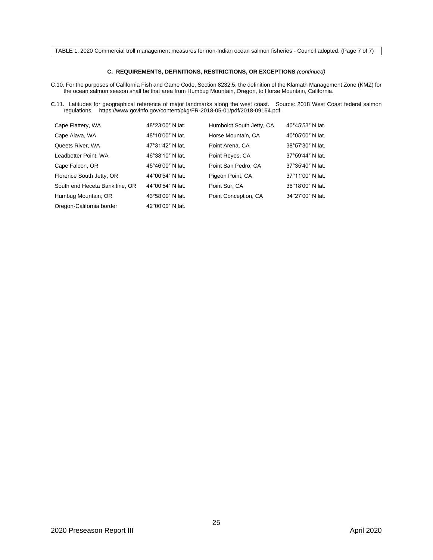#### **C. REQUIREMENTS, DEFINITIONS, RESTRICTIONS, OR EXCEPTIONS** *(continued)*

C.10. For the purposes of California Fish and Game Code, Section 8232.5, the definition of the Klamath Management Zone (KMZ) for the ocean salmon season shall be that area from Humbug Mountain, Oregon, to Horse Mountain, California.

C.11. Latitudes for geographical reference of major landmarks along the west coast. Source: 2018 West Coast federal salmon regulations. [https://www.govinfo.gov/content/pkg/FR-2018-05-01/pdf/2018-09164.pdf.](https://www.govinfo.gov/content/pkg/FR-2018-05-01/pdf/2018-09164.pdf)

| Cape Flattery, WA              | 48°23'00" N lat. | Humboldt South Jetty, CA | 40°45'53" N lat. |
|--------------------------------|------------------|--------------------------|------------------|
| Cape Alava, WA                 | 48°10'00" N lat. | Horse Mountain, CA       | 40°05'00" N lat. |
| Queets River, WA               | 47°31'42" N lat. | Point Arena, CA          | 38°57'30" N lat. |
| Leadbetter Point, WA           | 46°38'10" N lat. | Point Reyes, CA          | 37°59'44" N lat. |
| Cape Falcon, OR                | 45°46'00" N lat. | Point San Pedro, CA      | 37°35'40" N lat. |
| Florence South Jetty, OR       | 44°00'54" N lat. | Pigeon Point, CA         | 37°11'00" N lat. |
| South end Heceta Bank line, OR | 44°00'54" N lat. | Point Sur, CA            | 36°18'00" N lat. |
| Humbug Mountain, OR            | 43°58'00" N lat. | Point Conception, CA     | 34°27'00" N lat. |
| Oregon-California border       | 42°00'00" N lat. |                          |                  |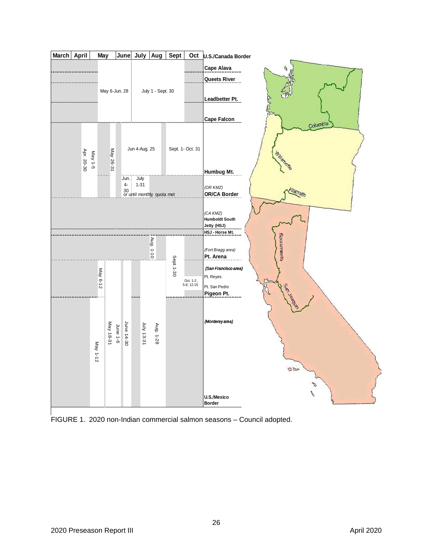

<span id="page-30-0"></span>FIGURE 1. 2020 non-Indian commercial salmon seasons – Council adopted.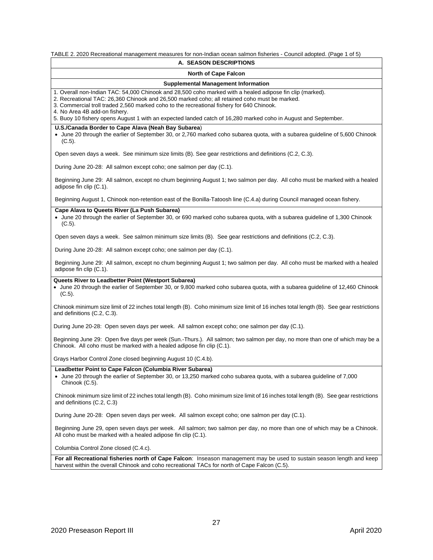| <b>A. SEASON DESCRIPTIONS</b>                                                                                                                                                                                                                                                                                                                                                                                                                              |
|------------------------------------------------------------------------------------------------------------------------------------------------------------------------------------------------------------------------------------------------------------------------------------------------------------------------------------------------------------------------------------------------------------------------------------------------------------|
| North of Cape Falcon                                                                                                                                                                                                                                                                                                                                                                                                                                       |
| <b>Supplemental Management Information</b>                                                                                                                                                                                                                                                                                                                                                                                                                 |
| 1. Overall non-Indian TAC: 54,000 Chinook and 28,500 coho marked with a healed adipose fin clip (marked).<br>2. Recreational TAC: 26,360 Chinook and 26,500 marked coho; all retained coho must be marked.<br>3. Commercial troll traded 2,560 marked coho to the recreational fishery for 640 Chinook.<br>4. No Area 4B add-on fishery.<br>5. Buoy 10 fishery opens August 1 with an expected landed catch of 16,280 marked coho in August and September. |
| U.S./Canada Border to Cape Alava (Neah Bay Subarea)<br>• June 20 through the earlier of September 30, or 2,760 marked coho subarea quota, with a subarea guideline of 5,600 Chinook<br>$(C.5)$ .                                                                                                                                                                                                                                                           |
| Open seven days a week. See minimum size limits (B). See gear restrictions and definitions (C.2, C.3).                                                                                                                                                                                                                                                                                                                                                     |
| During June 20-28: All salmon except coho; one salmon per day (C.1).                                                                                                                                                                                                                                                                                                                                                                                       |
| Beginning June 29: All salmon, except no chum beginning August 1; two salmon per day. All coho must be marked with a healed<br>adipose fin clip (C.1).                                                                                                                                                                                                                                                                                                     |
| Beginning August 1, Chinook non-retention east of the Bonilla-Tatoosh line (C.4.a) during Council managed ocean fishery.                                                                                                                                                                                                                                                                                                                                   |
| Cape Alava to Queets River (La Push Subarea)<br>• June 20 through the earlier of September 30, or 690 marked coho subarea quota, with a subarea guideline of 1,300 Chinook<br>$(C.5)$ .                                                                                                                                                                                                                                                                    |
| Open seven days a week. See salmon minimum size limits (B). See gear restrictions and definitions (C.2, C.3).                                                                                                                                                                                                                                                                                                                                              |
| During June 20-28: All salmon except coho; one salmon per day (C.1).                                                                                                                                                                                                                                                                                                                                                                                       |
| Beginning June 29: All salmon, except no chum beginning August 1; two salmon per day. All coho must be marked with a healed<br>adipose fin clip (C.1).                                                                                                                                                                                                                                                                                                     |
| Queets River to Leadbetter Point (Westport Subarea)<br>• June 20 through the earlier of September 30, or 9,800 marked coho subarea quota, with a subarea guideline of 12,460 Chinook<br>$(C.5)$ .                                                                                                                                                                                                                                                          |
| Chinook minimum size limit of 22 inches total length (B). Coho minimum size limit of 16 inches total length (B). See gear restrictions<br>and definitions (C.2, C.3).                                                                                                                                                                                                                                                                                      |
| During June 20-28: Open seven days per week. All salmon except coho; one salmon per day (C.1).                                                                                                                                                                                                                                                                                                                                                             |
| Beginning June 29: Open five days per week (Sun.-Thurs.). All salmon; two salmon per day, no more than one of which may be a<br>Chinook. All coho must be marked with a healed adipose fin clip (C.1).                                                                                                                                                                                                                                                     |
| Grays Harbor Control Zone closed beginning August 10 (C.4.b).                                                                                                                                                                                                                                                                                                                                                                                              |
| Leadbetter Point to Cape Falcon (Columbia River Subarea)<br>• June 20 through the earlier of September 30, or 13,250 marked coho subarea quota, with a subarea quideline of 7,000<br>Chinook (C.5).                                                                                                                                                                                                                                                        |
| Chinook minimum size limit of 22 inches total length (B). Coho minimum size limit of 16 inches total length (B). See gear restrictions<br>and definitions (C.2, C.3)                                                                                                                                                                                                                                                                                       |
| During June 20-28: Open seven days per week. All salmon except coho; one salmon per day (C.1).                                                                                                                                                                                                                                                                                                                                                             |
| Beginning June 29, open seven days per week. All salmon; two salmon per day, no more than one of which may be a Chinook.<br>All coho must be marked with a healed adipose fin clip (C.1).                                                                                                                                                                                                                                                                  |
| Columbia Control Zone closed (C.4.c).                                                                                                                                                                                                                                                                                                                                                                                                                      |
| For all Recreational fisheries north of Cape Falcon: Inseason management may be used to sustain season length and keep<br>harvest within the overall Chinook and coho recreational TACs for north of Cape Falcon (C.5).                                                                                                                                                                                                                                    |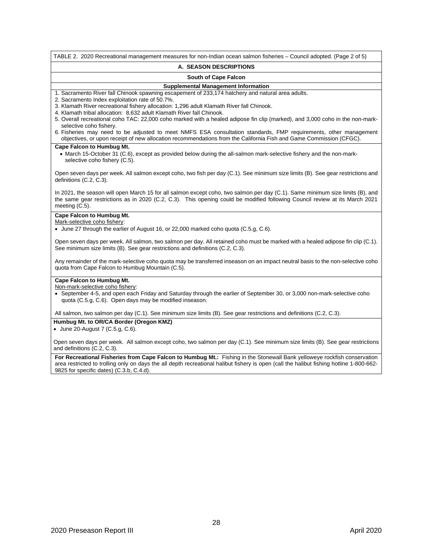**A. SEASON DESCRIPTIONS South of Cape Falcon Supplemental Management Information** 1. Sacramento River fall Chinook spawning escapement of 233,174 hatchery and natural area adults. 2. Sacramento Index exploitation rate of 50.7%. 3. Klamath River recreational fishery allocation: 1,296 adult Klamath River fall Chinook. 4. Klamath tribal allocation: 8,632 adult Klamath River fall Chinook. 5. Overall recreational coho TAC: 22,000 coho marked with a healed adipose fin clip (marked), and 3,000 coho in the non-markselective coho fishery. 6. Fisheries may need to be adjusted to meet NMFS ESA consultation standards, FMP requirements, other management objectives, or upon receipt of new allocation recommendations from the California Fish and Game Commission (CFGC).

TABLE 2. 2020 Recreational management measures for non-Indian ocean salmon fisheries – Council adopted. (Page 2 of 5)

#### **Cape Falcon to Humbug Mt.**

• March 15-October 31 (C.6), except as provided below during the all-salmon mark-selective fishery and the non-markselective coho fishery (C.5).

Open seven days per week. All salmon except coho, two fish per day (C.1). See minimum size limits (B). See gear restrictions and definitions (C.2, C.3).

In 2021, the season will open March 15 for all salmon except coho, two salmon per day (C.1). Same minimum size limits (B), and the same gear restrictions as in 2020 (C.2, C.3). This opening could be modified following Council review at its March 2021 meeting (C.5).

#### **Cape Falcon to Humbug Mt.**

Mark-selective coho fishery:

• June 27 through the earlier of August 16, or 22,000 marked coho quota (C.5.g, C.6).

Open seven days per week. All salmon, two salmon per day. All retained coho must be marked with a healed adipose fin clip (C.1). See minimum size limits (B). See gear restrictions and definitions (C.2, C.3).

Any remainder of the mark-selective coho quota may be transferred inseason on an impact neutral basis to the non-selective coho quota from Cape Falcon to Humbug Mountain (C.5).

#### **Cape Falcon to Humbug Mt.**

Non-mark-selective coho fishery:

• September 4-5, and open each Friday and Saturday through the earlier of September 30, or 3,000 non-mark-selective coho quota (C.5.g, C.6). Open days may be modified inseason.

All salmon, two salmon per day (C.1). See minimum size limits (B). See gear restrictions and definitions (C.2, C.3).

#### **Humbug Mt. to OR/CA Border (Oregon KMZ)**

• June 20-August 7 (C.5.g, C.6).

Open seven days per week. All salmon except coho, two salmon per day (C.1). See minimum size limits (B). See gear restrictions and definitions (C.2, C.3).

**For Recreational Fisheries from Cape Falcon to Humbug Mt.:** Fishing in the Stonewall Bank yelloweye rockfish conservation area restricted to trolling only on days the all depth recreational halibut fishery is open (call the halibut fishing hotline 1-800-662- 9825 for specific dates) (C.3.b, C.4.d).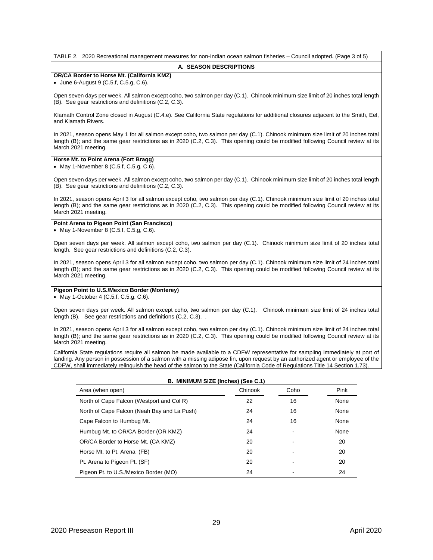TABLE 2. 2020 Recreational management measures for non-Indian ocean salmon fisheries – Council adopted**.** (Page 3 of 5)

#### **A. SEASON DESCRIPTIONS**

#### **OR/CA Border to Horse Mt. (California KMZ)**

• June 6-August 9 (C.5.f, C.5.g, C.6).

Open seven days per week. All salmon except coho, two salmon per day (C.1). Chinook minimum size limit of 20 inches total length (B). See gear restrictions and definitions (C.2, C.3).

Klamath Control Zone closed in August (C.4.e). See California State regulations for additional closures adjacent to the Smith, Eel, and Klamath Rivers.

In 2021, season opens May 1 for all salmon except coho, two salmon per day (C.1). Chinook minimum size limit of 20 inches total length (B); and the same gear restrictions as in 2020 (C.2, C.3). This opening could be modified following Council review at its March 2021 meeting.

#### **Horse Mt. to Point Arena (Fort Bragg)**

• May 1-November 8 (C.5.f, C.5.g, C.6).

Open seven days per week. All salmon except coho, two salmon per day (C.1). Chinook minimum size limit of 20 inches total length (B). See gear restrictions and definitions (C.2, C.3).

In 2021, season opens April 3 for all salmon except coho, two salmon per day (C.1). Chinook minimum size limit of 20 inches total length (B); and the same gear restrictions as in 2020 (C.2, C.3). This opening could be modified following Council review at its March 2021 meeting.

#### **Point Arena to Pigeon Point (San Francisco)**

• May 1-November 8 (C.5.f, C.5.g, C.6).

Open seven days per week. All salmon except coho, two salmon per day (C.1). Chinook minimum size limit of 20 inches total length. See gear restrictions and definitions (C.2, C.3).

In 2021, season opens April 3 for all salmon except coho, two salmon per day (C.1). Chinook minimum size limit of 24 inches total length (B); and the same gear restrictions as in 2020 (C.2, C.3). This opening could be modified following Council review at its March 2021 meeting.

#### **Pigeon Point to U.S./Mexico Border (Monterey)**

• May 1-October 4 (C.5.f, C.5.g, C.6).

Open seven days per week. All salmon except coho, two salmon per day (C.1). Chinook minimum size limit of 24 inches total length (B). See gear restrictions and definitions (C.2, C.3). .

In 2021, season opens April 3 for all salmon except coho, two salmon per day (C.1). Chinook minimum size limit of 24 inches total length (B); and the same gear restrictions as in 2020 (C.2, C.3). This opening could be modified following Council review at its March 2021 meeting.

California State regulations require all salmon be made available to a CDFW representative for sampling immediately at port of landing. Any person in possession of a salmon with a missing adipose fin, upon request by an authorized agent or employee of the CDFW, shall immediately relinquish the head of the salmon to the State (California Code of Regulations Title 14 Section 1.73).

| B. MINIMUM SIZE (Inches) (See C.1)          |         |      |      |  |  |  |  |  |
|---------------------------------------------|---------|------|------|--|--|--|--|--|
| Area (when open)                            | Chinook | Coho | Pink |  |  |  |  |  |
| North of Cape Falcon (Westport and Col R)   | 22      | 16   | None |  |  |  |  |  |
| North of Cape Falcon (Neah Bay and La Push) | 24      | 16   | None |  |  |  |  |  |
| Cape Falcon to Humbug Mt.                   | 24      | 16   | None |  |  |  |  |  |
| Humbug Mt. to OR/CA Border (OR KMZ)         | 24      |      | None |  |  |  |  |  |
| OR/CA Border to Horse Mt. (CA KMZ)          | 20      |      | 20   |  |  |  |  |  |
| Horse Mt. to Pt. Arena (FB)                 | 20      |      | 20   |  |  |  |  |  |
| Pt. Arena to Pigeon Pt. (SF)                | 20      |      | 20   |  |  |  |  |  |
| Pigeon Pt. to U.S./Mexico Border (MO)       | 24      |      | 24   |  |  |  |  |  |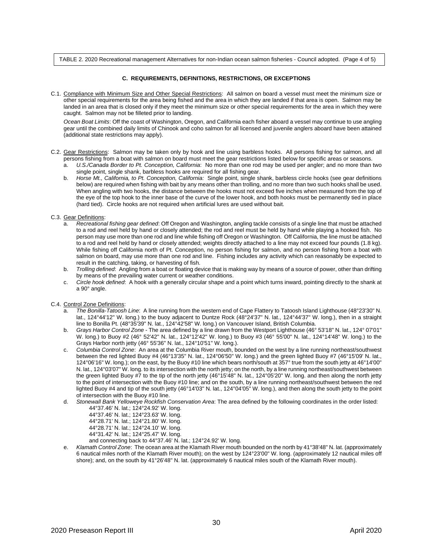TABLE 2. 2020 Recreational management Alternatives for non-Indian ocean salmon fisheries - Council adopted. (Page 4 of 5)

#### **C. REQUIREMENTS, DEFINITIONS, RESTRICTIONS, OR EXCEPTIONS**

C.1. Compliance with Minimum Size and Other Special Restrictions: All salmon on board a vessel must meet the minimum size or other special requirements for the area being fished and the area in which they are landed if that area is open. Salmon may be landed in an area that is closed only if they meet the minimum size or other special requirements for the area in which they were caught. Salmon may not be filleted prior to landing.

*Ocean Boat Limits*: Off the coast of Washington, Oregon, and California each fisher aboard a vessel may continue to use angling gear until the combined daily limits of Chinook and coho salmon for all licensed and juvenile anglers aboard have been attained (additional state restrictions may apply).

- C.2. Gear Restrictions: Salmon may be taken only by hook and line using barbless hooks. All persons fishing for salmon, and all persons fishing from a boat with salmon on board must meet the gear restrictions listed below for specific areas or seasons.
	- a. *U.S./Canada Border to Pt. Conception, California*: No more than one rod may be used per angler; and no more than two single point, single shank, barbless hooks are required for all fishing gear.
	- b. *Horse Mt., California, to Pt. Conception, California:* Single point, single shank, barbless circle hooks (see gear definitions below) are required when fishing with bait by any means other than trolling, and no more than two such hooks shall be used. When angling with two hooks, the distance between the hooks must not exceed five inches when measured from the top of the eye of the top hook to the inner base of the curve of the lower hook, and both hooks must be permanently tied in place (hard tied). Circle hooks are not required when artificial lures are used without bait.

#### C.3. Gear Definitions:

- a. *Recreational fishing gear defined*: Off Oregon and Washington, angling tackle consists of a single line that must be attached to a rod and reel held by hand or closely attended; the rod and reel must be held by hand while playing a hooked fish. No person may use more than one rod and line while fishing off Oregon or Washington. Off California, the line must be attached to a rod and reel held by hand or closely attended; weights directly attached to a line may not exceed four pounds (1.8 kg). While fishing off California north of Pt. Conception, no person fishing for salmon, and no person fishing from a boat with salmon on board, may use more than one rod and line. Fishing includes any activity which can reasonably be expected to result in the catching, taking, or harvesting of fish.
- b. *Trolling defined*: Angling from a boat or floating device that is making way by means of a source of power, other than drifting by means of the prevailing water current or weather conditions.
- c. *Circle hook defined*: A hook with a generally circular shape and a point which turns inward, pointing directly to the shank at a 90° angle.

#### C.4. Control Zone Definitions:

- a. *The Bonilla-Tatoosh Line*: A line running from the western end of Cape Flattery to Tatoosh Island Lighthouse (48°23'30" N. lat., 124°44'12" W. long.) to the buoy adjacent to Duntze Rock (48°24'37" N. lat., 124°44'37" W. long.), then in a straight line to Bonilla Pt. (48°35'39" N. lat., 124°42'58" W. long.) on Vancouver Island, British Columbia.
- b. *Grays Harbor Control Zone* The area defined by a line drawn from the Westport Lighthouse (46° 53'18" N. lat., 124° 07'01" W. long.) to Buoy #2 (46° 52'42" N. lat., 124°12'42" W. long.) to Buoy #3 (46° 55'00" N. lat., 124°14'48" W. long.) to the Grays Harbor north jetty (46° 55'36" N. lat., 124°10'51" W. long.).
- c. *Columbia Control Zone*: An area at the Columbia River mouth, bounded on the west by a line running northeast/southwest between the red lighted Buoy #4 (46°13'35" N. lat., 124°06'50" W. long.) and the green lighted Buoy #7 (46°15'09' N. lat., 124°06'16" W. long.); on the east, by the Buoy #10 line which bears north/south at 357° true from the south jetty at 46°14'00" N. lat., 124°03'07" W. long. to its intersection with the north jetty; on the north, by a line running northeast/southwest between the green lighted Buoy #7 to the tip of the north jetty (46°15'48" N. lat., 124°05'20" W. long. and then along the north jetty to the point of intersection with the Buoy #10 line; and on the south, by a line running northeast/southwest between the red lighted Buoy #4 and tip of the south jetty (46°14'03" N. lat., 124°04'05" W. long.), and then along the south jetty to the point of intersection with the Buoy #10 line.
- d. *Stonewall Bank Yelloweye Rockfish Conservation Area*: The area defined by the following coordinates in the order listed: 44°37.46' N. lat.; 124°24.92' W. long.
	- 44°37.46' N. lat.; 124°23.63' W. long.
	- 44°28.71' N. lat.; 124°21.80' W. long.
	- 44°28.71' N. lat.; 124°24.10' W. long.
	- 44°31.42' N. lat.; 124°25.47' W. long.

and connecting back to 44°37.46' N. lat.; 124°24.92' W. long.

e. *Klamath Control Zone*: The ocean area at the Klamath River mouth bounded on the north by 41°38'48" N. lat. (approximately 6 nautical miles north of the Klamath River mouth); on the west by 124°23'00" W. long. (approximately 12 nautical miles off shore); and, on the south by 41°26'48" N. lat. (approximately 6 nautical miles south of the Klamath River mouth).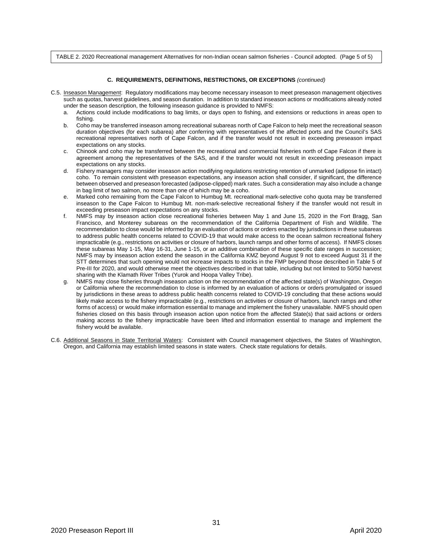TABLE 2. 2020 Recreational management Alternatives for non-Indian ocean salmon fisheries - Council adopted. (Page 5 of 5)

#### **C. REQUIREMENTS, DEFINITIONS, RESTRICTIONS, OR EXCEPTIONS** *(continued)*

- C.5. Inseason Management: Regulatory modifications may become necessary inseason to meet preseason management objectives such as quotas, harvest guidelines, and season duration. In addition to standard inseason actions or modifications already noted under the season description, the following inseason guidance is provided to NMFS:
	- a. Actions could include modifications to bag limits, or days open to fishing, and extensions or reductions in areas open to fishing.
	- b. Coho may be transferred inseason among recreational subareas north of Cape Falcon to help meet the recreational season duration objectives (for each subarea) after conferring with representatives of the affected ports and the Council's SAS recreational representatives north of Cape Falcon, and if the transfer would not result in exceeding preseason impact expectations on any stocks.
	- c. Chinook and coho may be transferred between the recreational and commercial fisheries north of Cape Falcon if there is agreement among the representatives of the SAS, and if the transfer would not result in exceeding preseason impact expectations on any stocks.
	- d. Fishery managers may consider inseason action modifying regulations restricting retention of unmarked (adipose fin intact) coho. To remain consistent with preseason expectations, any inseason action shall consider, if significant, the difference between observed and preseason forecasted (adipose-clipped) mark rates. Such a consideration may also include a change in bag limit of two salmon, no more than one of which may be a coho.
	- e. Marked coho remaining from the Cape Falcon to Humbug Mt. recreational mark-selective coho quota may be transferred inseason to the Cape Falcon to Humbug Mt. non-mark-selective recreational fishery if the transfer would not result in exceeding preseason impact expectations on any stocks.
	- f. NMFS may by inseason action close recreational fisheries between May 1 and June 15, 2020 in the Fort Bragg, San Francisco, and Monterey subareas on the recommendation of the California Department of Fish and Wildlife. The recommendation to close would be informed by an evaluation of actions or orders enacted by jurisdictions in these subareas to address public health concerns related to COVID-19 that would make access to the ocean salmon recreational fishery impracticable (e.g., restrictions on activities or closure of harbors, launch ramps and other forms of access). If NMFS closes these subareas May 1-15, May 16-31, June 1-15, or an additive combination of these specific date ranges in succession; NMFS may by inseason action extend the season in the California KMZ beyond August 9 not to exceed August 31 if the STT determines that such opening would not increase impacts to stocks in the FMP beyond those described in Table 5 of Pre-III for 2020, and would otherwise meet the objectives described in that table, including but not limited to 50/50 harvest sharing with the Klamath River Tribes (Yurok and Hoopa Valley Tribe).
	- NMFS may close fisheries through inseason action on the recommendation of the affected state(s) of Washington, Oregon or California where the recommendation to close is informed by an evaluation of actions or orders promulgated or issued by jurisdictions in these areas to address public health concerns related to COVID-19 concluding that these actions would likely make access to the fishery impracticable (e.g., restrictions on activities or closure of harbors, launch ramps and other forms of access) or would make information essential to manage and implement the fishery unavailable. NMFS should open fisheries closed on this basis through inseason action upon notice from the affected State(s) that said actions or orders making access to the fishery impracticable have been lifted and information essential to manage and implement the fishery would be available.
- C.6. Additional Seasons in State Territorial Waters: Consistent with Council management objectives, the States of Washington, Oregon, and California may establish limited seasons in state waters. Check state regulations for details.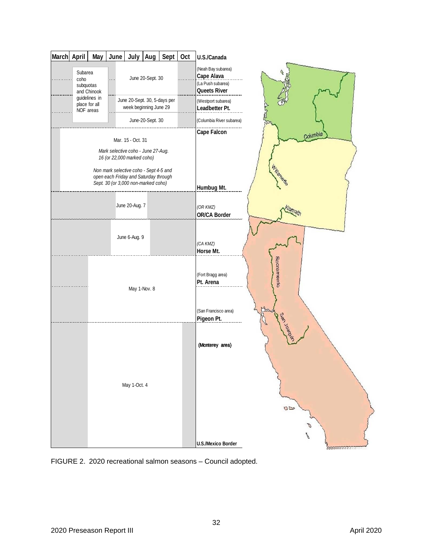

<span id="page-36-0"></span>FIGURE 2. 2020 recreational salmon seasons – Council adopted.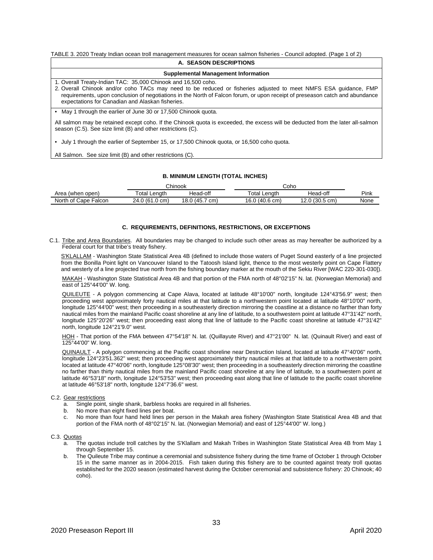TABLE 3. 2020 Treaty Indian ocean troll management measures for ocean salmon fisheries - Council adopted. (Page 1 of 2)

| A. SEASON DESCRIPTIONS                                                                                                                                                                                                                                                                                                                                               |  |  |  |  |  |  |  |
|----------------------------------------------------------------------------------------------------------------------------------------------------------------------------------------------------------------------------------------------------------------------------------------------------------------------------------------------------------------------|--|--|--|--|--|--|--|
| <b>Supplemental Management Information</b>                                                                                                                                                                                                                                                                                                                           |  |  |  |  |  |  |  |
| 1. Overall Treaty-Indian TAC: 35,000 Chinook and 16,500 coho.<br>2. Overall Chinook and/or coho TACs may need to be reduced or fisheries adjusted to meet NMFS ESA quidance, FMP<br>requirements, upon conclusion of negotiations in the North of Falcon forum, or upon receipt of preseason catch and abundance<br>expectations for Canadian and Alaskan fisheries. |  |  |  |  |  |  |  |
| • May 1 through the earlier of June 30 or 17,500 Chinook quota.                                                                                                                                                                                                                                                                                                      |  |  |  |  |  |  |  |
| All salmon may be retained except coho. If the Chinook quota is exceeded, the excess will be deducted from the later all-salmon<br>season (C.5). See size limit (B) and other restrictions (C).                                                                                                                                                                      |  |  |  |  |  |  |  |
| • July 1 through the earlier of September 15, or 17,500 Chinook quota, or 16,500 coho quota.                                                                                                                                                                                                                                                                         |  |  |  |  |  |  |  |

All Salmon. See size limit (B) and other restrictions (C).

#### **B. MINIMUM LENGTH (TOTAL INCHES)**

|                      | Chinook                  |                        |  | Coho           |                                      |      |
|----------------------|--------------------------|------------------------|--|----------------|--------------------------------------|------|
| Area (when<br>open)  | Head-off<br>Total Lenɑth |                        |  | Total Lenath   | Head-off                             | Pink |
| North of Cape Falcon | 24.0 (61<br>cm)<br>.u    | 18.0<br>, (45.7<br>cm) |  | 16.0 (40.6 cm) | $(30.5 \text{ cm})$<br>າ ລັດ<br>ں. ے | None |

#### **C. REQUIREMENTS, DEFINITIONS, RESTRICTIONS, OR EXCEPTIONS**

C.1. Tribe and Area Boundaries. All boundaries may be changed to include such other areas as may hereafter be authorized by a Federal court for that tribe's treaty fishery.

S'KLALLAM - Washington State Statistical Area 4B (defined to include those waters of Puget Sound easterly of a line projected from the Bonilla Point light on Vancouver Island to the Tatoosh Island light, thence to the most westerly point on Cape Flattery and westerly of a line projected true north from the fishing boundary marker at the mouth of the Sekiu River [WAC 220-301-030]).

MAKAH - Washington State Statistical Area 4B and that portion of the FMA north of 48°02'15" N. lat. (Norwegian Memorial) and east of 125°44'00" W. long.

QUILEUTE - A polygon commencing at Cape Alava, located at latitude 48°10'00" north, longitude 124°43'56.9" west; then proceeding west approximately forty nautical miles at that latitude to a northwestern point located at latitude 48°10'00" north, longitude 125°44'00" west; then proceeding in a southeasterly direction mirroring the coastline at a distance no farther than forty nautical miles from the mainland Pacific coast shoreline at any line of latitude, to a southwestern point at latitude 47°31'42" north, longitude 125°20'26" west; then proceeding east along that line of latitude to the Pacific coast shoreline at latitude 47°31'42" north, longitude 124°21'9.0" west.

HOH - That portion of the FMA between 47°54'18" N. lat. (Quillayute River) and 47°21'00" N. lat. (Quinault River) and east of 125°44'00" W. long.

QUINAULT - A polygon commencing at the Pacific coast shoreline near Destruction Island, located at latitude 47°40'06" north, longitude 124°23'51.362" west; then proceeding west approximately thirty nautical miles at that latitude to a northwestern point located at latitude 47°40'06" north, longitude 125°08'30" west; then proceeding in a southeasterly direction mirroring the coastline no farther than thirty nautical miles from the mainland Pacific coast shoreline at any line of latitude, to a southwestern point at latitude 46°53'18" north, longitude 124°53'53" west; then proceeding east along that line of latitude to the pacific coast shoreline at latitude 46°53'18" north, longitude 124°7'36.6" west.

#### C.2. Gear restrictions

- a. Single point, single shank, barbless hooks are required in all fisheries.
- b. No more than eight fixed lines per boat.<br>c. No more than four hand held lines ner
- No more than four hand held lines per person in the Makah area fishery (Washington State Statistical Area 4B and that portion of the FMA north of 48°02'15" N. lat. (Norwegian Memorial) and east of 125°44'00" W. long.)

#### C.3. Quotas

- a. The quotas include troll catches by the S'Klallam and Makah Tribes in Washington State Statistical Area 4B from May 1 through September 15.
- b. The Quileute Tribe may continue a ceremonial and subsistence fishery during the time frame of October 1 through October 15 in the same manner as in 2004-2015. Fish taken during this fishery are to be counted against treaty troll quotas established for the 2020 season (estimated harvest during the October ceremonial and subsistence fishery: 20 Chinook; 40 coho).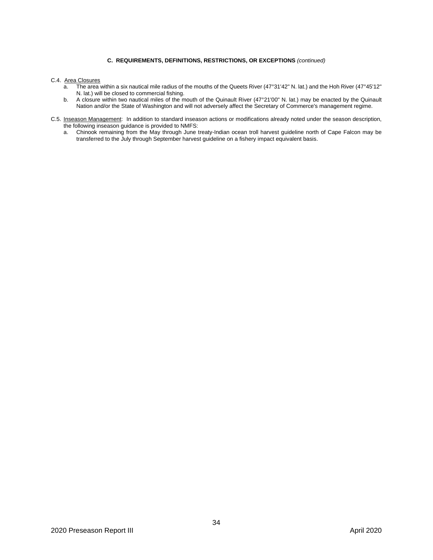#### **C. REQUIREMENTS, DEFINITIONS, RESTRICTIONS, OR EXCEPTIONS** *(continued)*

#### C.4. Area Closures

- a. The area within a six nautical mile radius of the mouths of the Queets River (47°31'42" N. lat.) and the Hoh River (47°45'12" N. lat.) will be closed to commercial fishing.
- b. A closure within two nautical miles of the mouth of the Quinault River (47°21'00" N. lat.) may be enacted by the Quinault Nation and/or the State of Washington and will not adversely affect the Secretary of Commerce's management regime.
- C.5. Inseason Management: In addition to standard inseason actions or modifications already noted under the season description, the following inseason guidance is provided to NMFS:<br>a. Chinook remaining from the May through June t
	- a. Chinook remaining from the May through June treaty-Indian ocean troll harvest guideline north of Cape Falcon may be transferred to the July through September harvest guideline on a fishery impact equivalent basis.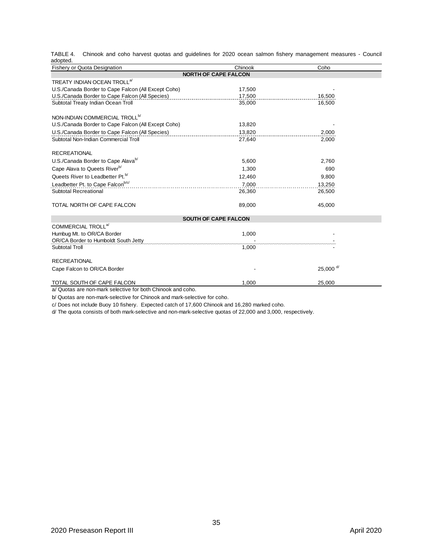TABLE 4. Chinook and coho harvest quotas and guidelines for 2020 ocean salmon fishery management measures - Council adopted.

| <b>Fishery or Quota Designation</b>                 | Chinook                     | Coho                   |  |
|-----------------------------------------------------|-----------------------------|------------------------|--|
|                                                     | <b>NORTH OF CAPE FALCON</b> |                        |  |
| TREATY INDIAN OCEAN TROLL <sup>a/</sup>             |                             |                        |  |
| U.S./Canada Border to Cape Falcon (All Except Coho) | 17,500                      |                        |  |
| U.S./Canada Border to Cape Falcon (All Species)     | 17,500                      | 16,500                 |  |
| Subtotal Treaty Indian Ocean Troll                  | 35,000                      | 16,500                 |  |
| NON-INDIAN COMMERCIAL TROLL <sup>b/</sup>           |                             |                        |  |
| U.S./Canada Border to Cape Falcon (All Except Coho) | 13,820                      |                        |  |
| U.S./Canada Border to Cape Falcon (All Species)     | 13.820                      | 2,000                  |  |
| Subtotal Non-Indian Commercial Troll                | 27,640                      | 2,000                  |  |
|                                                     |                             |                        |  |
| <b>RECREATIONAL</b>                                 |                             |                        |  |
| U.S./Canada Border to Cape Alava <sup>b/</sup>      | 5,600                       | 2,760                  |  |
| Cape Alava to Queets Riverb/                        | 1,300                       | 690                    |  |
| Queets River to Leadbetter Pt. <sup>b/</sup>        | 12,460                      | 9.800                  |  |
| Leadbetter Pt. to Cape Falconb/c/                   | 7.000                       | 13.250                 |  |
| <b>Subtotal Recreational</b>                        | 26,360                      | 26,500                 |  |
| TOTAL NORTH OF CAPE FALCON                          | 89,000                      | 45,000                 |  |
|                                                     | <b>SOUTH OF CAPE FALCON</b> |                        |  |
| COMMERCIAL TROLL <sup>a/</sup>                      |                             |                        |  |
| Humbug Mt. to OR/CA Border                          | 1,000                       |                        |  |
| OR/CA Border to Humboldt South Jetty                |                             |                        |  |
| Subtotal Troll                                      | 1,000                       |                        |  |
| <b>RECREATIONAL</b>                                 |                             |                        |  |
| Cape Falcon to OR/CA Border                         |                             | $25,000$ <sup>d/</sup> |  |
| TOTAL SOUTH OF CAPE FALCON                          | 1,000                       | 25,000                 |  |

a/ Quotas are non-mark selective for both Chinook and coho.

b/ Quotas are non-mark-selective for Chinook and mark-selective for coho.

c/ Does not include Buoy 10 fishery. Expected catch of 17,600 Chinook and 16,280 marked coho.

d/ The quota consists of both mark-selective and non-mark-selective quotas of 22,000 and 3,000, respectively.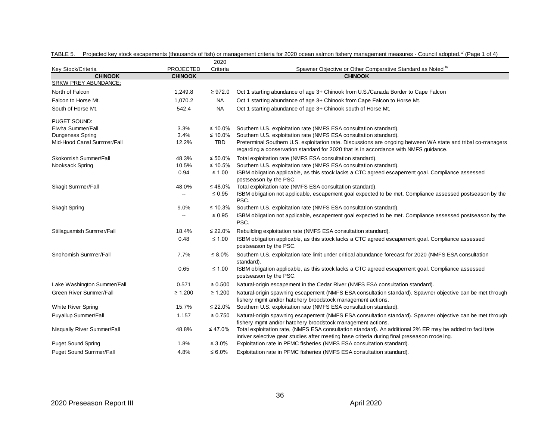|                             |                          | 2020          |                                                                                                                                                                                                          |
|-----------------------------|--------------------------|---------------|----------------------------------------------------------------------------------------------------------------------------------------------------------------------------------------------------------|
| Key Stock/Criteria          | <b>PROJECTED</b>         | Criteria      | Spawner Objective or Other Comparative Standard as Noted b/                                                                                                                                              |
| <b>CHINOOK</b>              | <b>CHINOOK</b>           |               | <b>CHINOOK</b>                                                                                                                                                                                           |
| <b>SRKW PREY ABUNDANCE:</b> |                          |               |                                                                                                                                                                                                          |
| North of Falcon             | 1,249.8                  | $\geq 972.0$  | Oct 1 starting abundance of age 3+ Chinook from U.S./Canada Border to Cape Falcon                                                                                                                        |
| Falcon to Horse Mt.         | 1,070.2                  | <b>NA</b>     | Oct 1 starting abundance of age 3+ Chinook from Cape Falcon to Horse Mt.                                                                                                                                 |
| South of Horse Mt.          | 542.4                    | <b>NA</b>     | Oct 1 starting abundance of age 3+ Chinook south of Horse Mt.                                                                                                                                            |
| PUGET SOUND:                |                          |               |                                                                                                                                                                                                          |
| Elwha Summer/Fall           | 3.3%                     | ≤ 10.0%       | Southern U.S. exploitation rate (NMFS ESA consultation standard).                                                                                                                                        |
| <b>Dungeness Spring</b>     | 3.4%                     | ≤ 10.0%       | Southern U.S. exploitation rate (NMFS ESA consultation standard).                                                                                                                                        |
| Mid-Hood Canal Summer/Fall  | 12.2%                    | <b>TBD</b>    | Preterminal Southern U.S. exploitation rate. Discussions are ongoing between WA state and tribal co-managers<br>regarding a conservation standard for 2020 that is in accordance with NMFS guidance.     |
| Skokomish Summer/Fall       | 48.3%                    | $\leq 50.0\%$ | Total exploitation rate (NMFS ESA consultation standard).                                                                                                                                                |
| Nooksack Spring             | 10.5%                    | ≤ 10.5%       | Southern U.S. exploitation rate (NMFS ESA consultation standard).                                                                                                                                        |
|                             | 0.94                     | $≤ 1.00$      | ISBM obligation applicable, as this stock lacks a CTC agreed escapement goal. Compliance assessed<br>postseason by the PSC.                                                                              |
| Skagit Summer/Fall          | 48.0%                    | $\leq 48.0\%$ | Total exploitation rate (NMFS ESA consultation standard).                                                                                                                                                |
|                             | $\overline{\phantom{a}}$ | $\leq 0.95$   | ISBM obligation not applicable, escapement goal expected to be met. Compliance assessed postseason by the<br>PSC.                                                                                        |
| <b>Skagit Spring</b>        | 9.0%                     | $\leq 10.3\%$ | Southern U.S. exploitation rate (NMFS ESA consultation standard).                                                                                                                                        |
|                             |                          | $\leq 0.95$   | ISBM obligation not applicable, escapement goal expected to be met. Compliance assessed postseason by the<br>PSC.                                                                                        |
| Stillaguamish Summer/Fall   | 18.4%                    | $\leq 22.0\%$ | Rebuilding exploitation rate (NMFS ESA consultation standard).                                                                                                                                           |
|                             | 0.48                     | ≤ 1.00        | ISBM obligation applicable, as this stock lacks a CTC agreed escapement goal. Compliance assessed<br>postseason by the PSC.                                                                              |
| Snohomish Summer/Fall       | 7.7%                     | $\leq 8.0\%$  | Southern U.S. exploitation rate limit under critical abundance forecast for 2020 (NMFS ESA consultation<br>standard).                                                                                    |
|                             | 0.65                     | $≤ 1.00$      | ISBM obligation applicable, as this stock lacks a CTC agreed escapement goal. Compliance assessed<br>postseason by the PSC.                                                                              |
| Lake Washington Summer/Fall | 0.571                    | $\geq 0.500$  | Natural-origin escapement in the Cedar River (NMFS ESA consultation standard).                                                                                                                           |
| Green River Summer/Fall     | $\geq 1.200$             | $\geq 1.200$  | Natural-origin spawning escapement (NMFS ESA consultation standard). Spawner objective can be met through<br>fishery mgmt and/or hatchery broodstock management actions.                                 |
| <b>White River Spring</b>   | 15.7%                    | $\leq 22.0\%$ | Southern U.S. exploitation rate (NMFS ESA consultation standard).                                                                                                                                        |
| Puyallup Summer/Fall        | 1.157                    | $\ge 0.750$   | Natural-origin spawning escapement (NMFS ESA consultation standard). Spawner objective can be met through<br>fishery mgmt and/or hatchery broodstock management actions.                                 |
| Nisqually River Summer/Fall | 48.8%                    | $\leq 47.0\%$ | Total exploitation rate, (NMFS ESA consultation standard). An additional 2% ER may be added to facilitate<br>inriver selective gear studies after meeting base criteria during final preseason modeling. |
| <b>Puget Sound Spring</b>   | 1.8%                     | $\leq 3.0\%$  | Exploitation rate in PFMC fisheries (NMFS ESA consultation standard).                                                                                                                                    |
| Puget Sound Summer/Fall     | 4.8%                     | ≤ 6.0%        | Exploitation rate in PFMC fisheries (NMFS ESA consultation standard).                                                                                                                                    |

TABLE 5. Projected key stock escapements (thousands of fish) or management criteria for 2020 ocean salmon fishery management measures - Council adopted.<sup>a/</sup> (Page 1 of 4)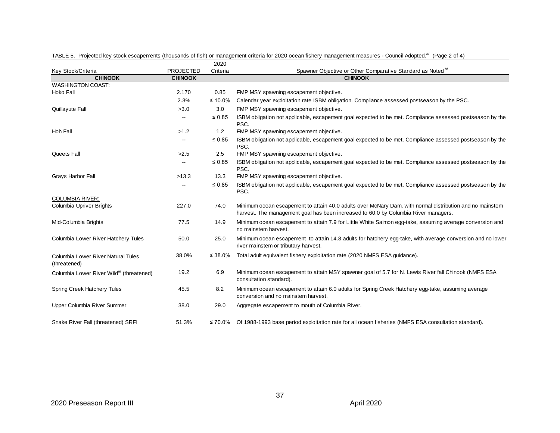|                                                           |                  | 2020          |                                                                                                                                                                                                 |
|-----------------------------------------------------------|------------------|---------------|-------------------------------------------------------------------------------------------------------------------------------------------------------------------------------------------------|
| Key Stock/Criteria                                        | <b>PROJECTED</b> | Criteria      | Spawner Objective or Other Comparative Standard as Noted <sup>b/</sup>                                                                                                                          |
| <b>CHINOOK</b>                                            | <b>CHINOOK</b>   |               | <b>CHINOOK</b>                                                                                                                                                                                  |
| <b>WASHINGTON COAST:</b><br>Hoko Fall                     | 2.170            |               |                                                                                                                                                                                                 |
|                                                           |                  | 0.85          | FMP MSY spawning escapement objective.                                                                                                                                                          |
|                                                           | 2.3%             | ≤ 10.0%       | Calendar year exploitation rate ISBM obligation. Compliance assessed postseason by the PSC.                                                                                                     |
| Quillayute Fall                                           | >3.0             | 3.0           | FMP MSY spawning escapement objective.                                                                                                                                                          |
|                                                           |                  | $\leq 0.85$   | ISBM obligation not applicable, escapement goal expected to be met. Compliance assessed postseason by the<br>PSC.                                                                               |
| Hoh Fall                                                  | >1.2             | 1.2           | FMP MSY spawning escapement objective.                                                                                                                                                          |
|                                                           |                  | $\leq 0.85$   | ISBM obligation not applicable, escapement goal expected to be met. Compliance assessed postseason by the<br>PSC.                                                                               |
| Queets Fall                                               | >2.5             | 2.5           | FMP MSY spawning escapement objective.                                                                                                                                                          |
|                                                           |                  | $\leq 0.85$   | ISBM obligation not applicable, escapement goal expected to be met. Compliance assessed postseason by the<br>PSC.                                                                               |
| Grays Harbor Fall                                         | >13.3            | 13.3          | FMP MSY spawning escapement objective.                                                                                                                                                          |
|                                                           |                  | $\leq 0.85$   | ISBM obligation not applicable, escapement goal expected to be met. Compliance assessed postseason by the<br>PSC.                                                                               |
| <b>COLUMBIA RIVER:</b>                                    |                  |               |                                                                                                                                                                                                 |
| Columbia Upriver Brights                                  | 227.0            | 74.0          | Minimum ocean escapement to attain 40.0 adults over McNary Dam, with normal distribution and no mainstem<br>harvest. The management goal has been increased to 60.0 by Columbia River managers. |
| Mid-Columbia Brights                                      | 77.5             | 14.9          | Minimum ocean escapement to attain 7.9 for Little White Salmon egg-take, assuming average conversion and<br>no mainstem harvest.                                                                |
| Columbia Lower River Hatchery Tules                       | 50.0             | 25.0          | Minimum ocean escapement to attain 14.8 adults for hatchery egg-take, with average conversion and no lower<br>river mainstem or tributary harvest.                                              |
| <b>Columbia Lower River Natural Tules</b><br>(threatened) | 38.0%            | $\leq 38.0\%$ | Total adult equivalent fishery exploitation rate (2020 NMFS ESA guidance).                                                                                                                      |
| Columbia Lower River Wilde (threatened)                   | 19.2             | 6.9           | Minimum ocean escapement to attain MSY spawner goal of 5.7 for N. Lewis River fall Chinook (NMFS ESA<br>consultation standard).                                                                 |
| Spring Creek Hatchery Tules                               | 45.5             | 8.2           | Minimum ocean escapement to attain 6.0 adults for Spring Creek Hatchery egg-take, assuming average<br>conversion and no mainstem harvest.                                                       |
| Upper Columbia River Summer                               | 38.0             | 29.0          | Aggregate escapement to mouth of Columbia River.                                                                                                                                                |
| Snake River Fall (threatened) SRFI                        | 51.3%            |               | $\leq$ 70.0% Of 1988-1993 base period exploitation rate for all ocean fisheries (NMFS ESA consultation standard).                                                                               |

|  |  |  |  |  |  |  |  |  |  | TABLE 5. Projected key stock escapements (thousands of fish) or management criteria for 2020 ocean fishery management measures - Council Adopted. <sup>a/</sup> (Page 2 of 4) |  |  |
|--|--|--|--|--|--|--|--|--|--|-------------------------------------------------------------------------------------------------------------------------------------------------------------------------------|--|--|
|--|--|--|--|--|--|--|--|--|--|-------------------------------------------------------------------------------------------------------------------------------------------------------------------------------|--|--|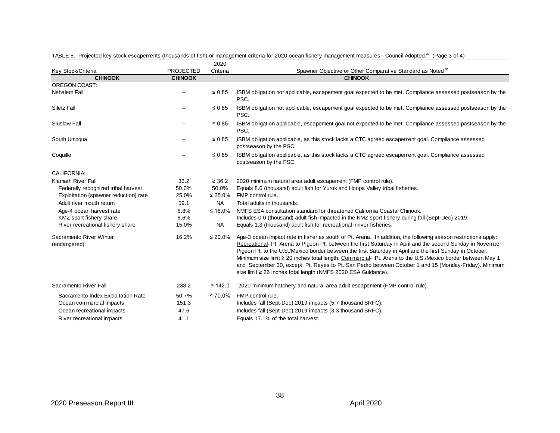|                                         |                  | 2020          |                                                                                                                                                                                                                                                                                                                                                                                                                                                                                                                                                                                                                                     |
|-----------------------------------------|------------------|---------------|-------------------------------------------------------------------------------------------------------------------------------------------------------------------------------------------------------------------------------------------------------------------------------------------------------------------------------------------------------------------------------------------------------------------------------------------------------------------------------------------------------------------------------------------------------------------------------------------------------------------------------------|
| Key Stock/Criteria                      | <b>PROJECTED</b> | Criteria      | Spawner Objective or Other Comparative Standard as Noted <sup>b/</sup>                                                                                                                                                                                                                                                                                                                                                                                                                                                                                                                                                              |
| <b>CHINOOK</b>                          | <b>CHINOOK</b>   |               | <b>CHINOOK</b>                                                                                                                                                                                                                                                                                                                                                                                                                                                                                                                                                                                                                      |
| OREGON COAST:                           |                  |               |                                                                                                                                                                                                                                                                                                                                                                                                                                                                                                                                                                                                                                     |
| Nehalem Fall                            |                  | $\leq 0.85$   | ISBM obligation not applicable, escapement goal expected to be met. Compliance assessed postseason by the<br>PSC.                                                                                                                                                                                                                                                                                                                                                                                                                                                                                                                   |
| Siletz Fall                             |                  | $\leq 0.85$   | ISBM obligation not applicable, escapement goal expected to be met. Compliance assessed postseason by the<br>PSC.                                                                                                                                                                                                                                                                                                                                                                                                                                                                                                                   |
| Siuslaw Fall                            |                  | $\leq 0.85$   | ISBM obligation applicable, escapement goal not expected to be met. Compliance assessed postseason by the<br>PSC.                                                                                                                                                                                                                                                                                                                                                                                                                                                                                                                   |
| South Umpqua                            |                  | $\leq 0.85$   | ISBM obligation applicable, as this stock lacks a CTC agreed escapement goal. Compliance assessed<br>postseason by the PSC.                                                                                                                                                                                                                                                                                                                                                                                                                                                                                                         |
| Coquille                                |                  | $\leq 0.85$   | ISBM obligation applicable, as this stock lacks a CTC agreed escapement goal. Compliance assessed<br>postseason by the PSC.                                                                                                                                                                                                                                                                                                                                                                                                                                                                                                         |
| <b>CALIFORNIA:</b>                      |                  |               |                                                                                                                                                                                                                                                                                                                                                                                                                                                                                                                                                                                                                                     |
| <b>Klamath River Fall</b>               | 36.2             | $\geq 36.2$   | 2020 minimum natural area adult escapement (FMP control rule).                                                                                                                                                                                                                                                                                                                                                                                                                                                                                                                                                                      |
| Federally recognized tribal harvest     | 50.0%            | 50.0%         | Equals 8.6 (thousand) adult fish for Yurok and Hoopa Valley tribal fisheries.                                                                                                                                                                                                                                                                                                                                                                                                                                                                                                                                                       |
| Exploitation (spawner reduction) rate   | 25.0%            | $\leq 25.0\%$ | FMP control rule.                                                                                                                                                                                                                                                                                                                                                                                                                                                                                                                                                                                                                   |
| Adult river mouth return                | 59.1             | <b>NA</b>     | Total adults in thousands.                                                                                                                                                                                                                                                                                                                                                                                                                                                                                                                                                                                                          |
| Age-4 ocean harvest rate                | 8.8%             | ≤ 16.0%       | NMFS ESA consultation standard for threatened California Coastal Chinook.                                                                                                                                                                                                                                                                                                                                                                                                                                                                                                                                                           |
| KMZ sport fishery share                 | 8.6%             |               | Includes 0.0 (thousand) adult fish impacted in the KMZ sport fishery during fall (Sept-Dec) 2019.                                                                                                                                                                                                                                                                                                                                                                                                                                                                                                                                   |
| River recreational fishery share        | 15.0%            | <b>NA</b>     | Equals 1.3 (thousand) adult fish for recreational inriver fisheries.                                                                                                                                                                                                                                                                                                                                                                                                                                                                                                                                                                |
| Sacramento River Winter<br>(endangered) | 16.2%            | ≤ 20.0%       | Age-3 ocean impact rate in fisheries south of Pt. Arena. In addition, the following season restrictions apply:<br>Recreational- Pt. Arena to Pigeon Pt. between the first Saturday in April and the second Sunday in November;<br>Pigeon Pt. to the U.S./Mexico border between the first Saturday in April and the first Sunday in October.<br>Minimum size limit ≥ 20 inches total length. Commercial- Pt. Arena to the U.S./Mexico border between May 1<br>and September 30, except Pt. Reyes to Pt. San Pedro between October 1 and 15 (Monday-Friday). Minimum<br>size limit ≥ 26 inches total length (NMFS 2020 ESA Guidance). |
| Sacramento River Fall                   | 233.2            | $\geq 142.0$  | 2020 minimum hatchery and natural area adult escapement (FMP control rule).                                                                                                                                                                                                                                                                                                                                                                                                                                                                                                                                                         |
| Sacramento Index Exploitation Rate      | 50.7%            | $\leq 70.0\%$ | FMP control rule.                                                                                                                                                                                                                                                                                                                                                                                                                                                                                                                                                                                                                   |
| Ocean commercial impacts                | 151.3            |               | Includes fall (Sept-Dec) 2019 impacts (5.7 thousand SRFC).                                                                                                                                                                                                                                                                                                                                                                                                                                                                                                                                                                          |
| Ocean recreational impacts              | 47.6             |               | Includes fall (Sept-Dec) 2019 impacts (3.3 thousand SRFC).                                                                                                                                                                                                                                                                                                                                                                                                                                                                                                                                                                          |
| River recreational impacts              | 41.1             |               | Equals 17.1% of the total harvest.                                                                                                                                                                                                                                                                                                                                                                                                                                                                                                                                                                                                  |

|  |  |  |  | TABLE 5. Projected key stock escapements (thousands of fish) or management criteria for 2020 ocean fishery management measures - Council Adopted. <sup>3/</sup> (Page 3 of 4) |  |  |  |
|--|--|--|--|-------------------------------------------------------------------------------------------------------------------------------------------------------------------------------|--|--|--|
|--|--|--|--|-------------------------------------------------------------------------------------------------------------------------------------------------------------------------------|--|--|--|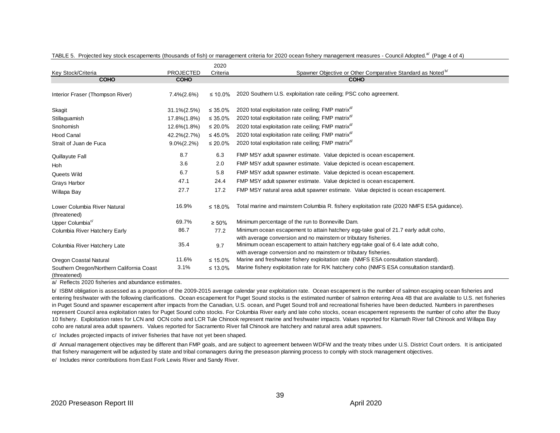|                                                           |                  | 2020          |                                                                                                                                                        |
|-----------------------------------------------------------|------------------|---------------|--------------------------------------------------------------------------------------------------------------------------------------------------------|
| Key Stock/Criteria                                        | <b>PROJECTED</b> | Criteria      | Spawner Objective or Other Comparative Standard as Noted <sup>97</sup>                                                                                 |
| <b>COHO</b>                                               | <b>COHO</b>      |               | <b>COHO</b>                                                                                                                                            |
| Interior Fraser (Thompson River)                          | $7.4\%(2.6\%)$   | ≤ 10.0%       | 2020 Southern U.S. exploitation rate ceiling; PSC coho agreement.                                                                                      |
| Skagit                                                    | $31.1\%(2.5\%)$  | $\leq 35.0\%$ | 2020 total exploitation rate ceiling; FMP matrix <sup>a/</sup>                                                                                         |
| Stillaguamish                                             | 17.8%(1.8%)      | $\leq 35.0\%$ | 2020 total exploitation rate ceiling; FMP matrix <sup>a/</sup>                                                                                         |
| Snohomish                                                 | 12.6%(1.8%)      | ≤ 20.0%       | 2020 total exploitation rate ceiling; FMP matrix <sup>a/</sup>                                                                                         |
| <b>Hood Canal</b>                                         | 42.2%(2.7%)      | $\leq 45.0\%$ | 2020 total exploitation rate ceiling; FMP matrix <sup>a/</sup>                                                                                         |
| Strait of Juan de Fuca                                    | $9.0\%(2.2\%)$   | $\leq 20.0\%$ | 2020 total exploitation rate ceiling; FMP matrixd/                                                                                                     |
| Quillayute Fall                                           | 8.7              | 6.3           | FMP MSY adult spawner estimate. Value depicted is ocean escapement.                                                                                    |
| Hoh                                                       | 3.6              | 2.0           | FMP MSY adult spawner estimate. Value depicted is ocean escapement.                                                                                    |
| Queets Wild                                               | 6.7              | 5.8           | FMP MSY adult spawner estimate. Value depicted is ocean escapement.                                                                                    |
| Grays Harbor                                              | 47.1             | 24.4          | FMP MSY adult spawner estimate. Value depicted is ocean escapement.                                                                                    |
| Willapa Bay                                               | 27.7             | 17.2          | FMP MSY natural area adult spawner estimate. Value depicted is ocean escapement.                                                                       |
| Lower Columbia River Natural<br>(threatened)              | 16.9%            | ≤ 18.0%       | Total marine and mainstem Columbia R. fishery exploitation rate (2020 NMFS ESA guidance).                                                              |
| Upper Columbia <sup>c/</sup>                              | 69.7%            | $\geq 50\%$   | Minimum percentage of the run to Bonneville Dam.                                                                                                       |
| Columbia River Hatchery Early                             | 86.7             | 77.2          | Minimum ocean escapement to attain hatchery egg-take goal of 21.7 early adult coho,<br>with average conversion and no mainstem or tributary fisheries. |
| Columbia River Hatchery Late                              | 35.4             | 9.7           | Minimum ocean escapement to attain hatchery egg-take goal of 6.4 late adult coho,<br>with average conversion and no mainstem or tributary fisheries.   |
| Oregon Coastal Natural                                    | 11.6%            | ≤ 15.0%       | Marine and freshwater fishery exploitation rate (NMFS ESA consultation standard).                                                                      |
| Southern Oregon/Northern California Coast<br>(threatened) | 3.1%             | ≤ 13.0%       | Marine fishery exploitation rate for R/K hatchery coho (NMFS ESA consultation standard).                                                               |

TABLE 5. Projected key stock escapements (thousands of fish) or management criteria for 2020 ocean fishery management measures - Council Adopted.<sup>a/</sup> (Page 4 of 4)

a/ Reflects 2020 fisheries and abundance estimates.

b/ ISBM obligation is assessed as a proportion of the 2009-2015 average calendar year exploitation rate. Ocean escapement is the number of salmon escaping ocean fisheries and entering freshwater with the following clarifications. Ocean escapement for Puget Sound stocks is the estimated number of salmon entering Area 4B that are available to U.S. net fisheries in Puget Sound and spawner escapement after impacts from the Canadian, U.S. ocean, and Puget Sound troll and recreational fisheries have been deducted. Numbers in parentheses represent Council area exploitation rates for Puget Sound coho stocks. For Columbia River early and late coho stocks, ocean escapement represents the number of coho after the Buoy 10 fishery. Exploitation rates for LCN and OCN coho and LCR Tule Chinook represent marine and freshwater impacts. Values reported for Klamath River fall Chinook and Willapa Bay coho are natural area adult spawners. Values reported for Sacramento River fall Chinook are hatchery and natural area adult spawners.

c/ Includes projected impacts of inriver fisheries that have not yet been shaped.

d/ Annual management objectives may be different than FMP goals, and are subject to agreement between WDFW and the treaty tribes under U.S. District Court orders. It is anticipated that fishery management will be adjusted by state and tribal comanagers during the preseason planning process to comply with stock management objectives.

e/ Includes minor contributions from East Fork Lewis River and Sandy River.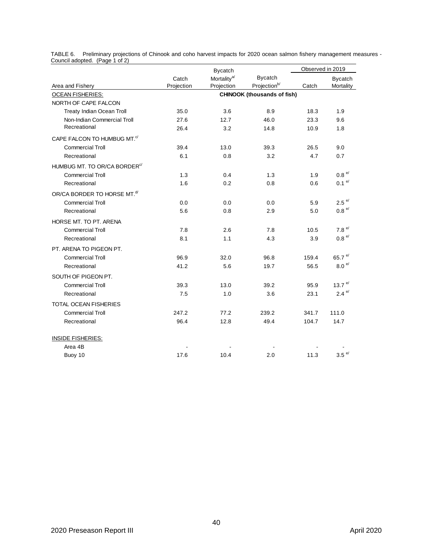|                                          |            | <b>Bycatch</b>          |                                    | Observed in 2019 |                  |
|------------------------------------------|------------|-------------------------|------------------------------------|------------------|------------------|
|                                          | Catch      | Mortality <sup>a/</sup> | <b>Bycatch</b>                     |                  | <b>Bycatch</b>   |
| Area and Fishery                         | Projection | Projection              | Projection <sup>b/</sup>           | Catch            | Mortality        |
| <b>OCEAN FISHERIES:</b>                  |            |                         | <b>CHINOOK (thousands of fish)</b> |                  |                  |
| NORTH OF CAPE FALCON                     |            |                         |                                    |                  |                  |
| <b>Treaty Indian Ocean Troll</b>         | 35.0       | 3.6                     | 8.9                                | 18.3             | 1.9              |
| Non-Indian Commercial Troll              | 27.6       | 12.7                    | 46.0                               | 23.3             | 9.6              |
| Recreational                             | 26.4       | 3.2                     | 14.8                               | 10.9             | 1.8              |
| CAPE FALCON TO HUMBUG MT. <sup>c/</sup>  |            |                         |                                    |                  |                  |
| <b>Commercial Troll</b>                  | 39.4       | 13.0                    | 39.3                               | 26.5             | 9.0              |
| Recreational                             | 6.1        | 0.8                     | 3.2                                | 4.7              | 0.7              |
| HUMBUG MT. TO OR/CA BORDER <sup>c/</sup> |            |                         |                                    |                  |                  |
| <b>Commercial Troll</b>                  | 1.3        | 0.4                     | 1.3                                | 1.9              | $0.8\ ^{\rm e/}$ |
| Recreational                             | 1.6        | 0.2                     | 0.8                                | 0.6              | $0.1 e^{t}$      |
| OR/CA BORDER TO HORSE MT. <sup>d/</sup>  |            |                         |                                    |                  |                  |
| <b>Commercial Troll</b>                  | 0.0        | 0.0                     | 0.0                                | 5.9              | $2.5$ e/         |
| Recreational                             | 5.6        | 0.8                     | 2.9                                | 5.0              | 0.8e             |
| HORSE MT. TO PT. ARENA                   |            |                         |                                    |                  |                  |
| <b>Commercial Troll</b>                  | 7.8        | 2.6                     | 7.8                                | 10.5             | $7.8$ e/         |
| Recreational                             | 8.1        | 1.1                     | 4.3                                | 3.9              | 0.8 e            |
| PT. ARENA TO PIGEON PT.                  |            |                         |                                    |                  |                  |
| <b>Commercial Troll</b>                  | 96.9       | 32.0                    | 96.8                               | 159.4            | 65.7 $e$         |
| Recreational                             | 41.2       | 5.6                     | 19.7                               | 56.5             | 8.0e             |
| SOUTH OF PIGEON PT.                      |            |                         |                                    |                  |                  |
| <b>Commercial Troll</b>                  | 39.3       | 13.0                    | 39.2                               | 95.9             | 13.7 $e$         |
| Recreational                             | 7.5        | 1.0                     | 3.6                                | 23.1             | 2.4 e            |
| <b>TOTAL OCEAN FISHERIES</b>             |            |                         |                                    |                  |                  |
| <b>Commercial Troll</b>                  | 247.2      | 77.2                    | 239.2                              | 341.7            | 111.0            |
| Recreational                             | 96.4       | 12.8                    | 49.4                               | 104.7            | 14.7             |
| <b>INSIDE FISHERIES:</b>                 |            |                         |                                    |                  |                  |
| Area 4B                                  |            |                         |                                    |                  |                  |
| Buoy 10                                  | 17.6       | 10.4                    | 2.0                                | 11.3             | $3.5$ e/         |

TABLE 6. Preliminary projections of Chinook and coho harvest impacts for 2020 ocean salmon fishery management measures - Council adopted. (Page 1 of 2)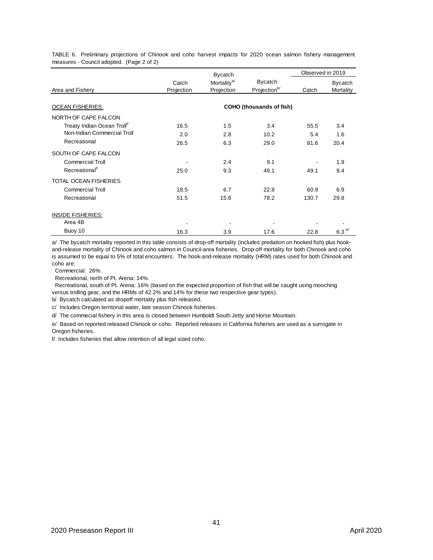|                                         |            | <b>Bycatch</b>          |                                 | Observed in 2019 |           |
|-----------------------------------------|------------|-------------------------|---------------------------------|------------------|-----------|
|                                         | Catch      | Mortality <sup>a/</sup> | Bycatch                         |                  | Bycatch   |
| Area and Fishery                        | Projection | Projection              | Projection <sup>b/</sup>        | Catch            | Mortality |
|                                         |            |                         |                                 |                  |           |
| <b>OCEAN FISHERIES:</b>                 |            |                         | <b>COHO</b> (thousands of fish) |                  |           |
| NORTH OF CAPE FALCON                    |            |                         |                                 |                  |           |
| Treaty Indian Ocean Troll <sup>t/</sup> | 16.5       | 1.5                     | 3.4                             | 55.5             | 3.4       |
| Non-Indian Commercial Troll             | 2.0        | 2.8                     | 10.2                            | 5.4              | 1.6       |
| Recreational                            | 26.5       | 6.3                     | 29.0                            | 81.6             | 20.4      |
| SOUTH OF CAPE FALCON                    |            |                         |                                 |                  |           |
| <b>Commercial Troll</b>                 |            | 2.4                     | 9.1                             |                  | 1.9       |
| Recreational <sup>t/</sup>              | 25.0       | 9.3                     | 49.1                            | 49.1             | 9.4       |
| <b>TOTAL OCEAN FISHERIES</b>            |            |                         |                                 |                  |           |
| <b>Commercial Troll</b>                 | 18.5       | 6.7                     | 22.8                            | 60.9             | 6.9       |
| Recreational                            | 51.5       | 15.6                    | 78.2                            | 130.7            | 29.8      |
|                                         |            |                         |                                 |                  |           |
| <b>INSIDE FISHERIES:</b>                |            |                         |                                 |                  |           |
| Area 4B                                 |            |                         |                                 |                  |           |
| Buoy 10                                 | 16.3       | 3.9                     | 17.6                            | 22.8             | 6.3 e     |

TABLE 6. Preliminary projections of Chinook and coho harvest impacts for 2020 ocean salmon fishery management measures - Council adopted. (Page 2 of 2)

a/ The bycatch mortality reported in this table consists of drop-off mortality (includes predation on hooked fish) plus hookand-release mortality of Chinook and coho salmon in Council-area fisheries. Drop-off mortality for both Chinook and coho is assumed to be equal to 5% of total encounters. The hook-and-release mortality (HRM) rates used for both Chinook and coho are:

Commercial: 26%.

Recreational, north of Pt. Arena: 14%.

 Recreational, south of Pt. Arena: 16% (based on the expected proportion of fish that will be caught using mooching versus trolling gear, and the HRMs of 42.2% and 14% for these two respective gear types).

b/ Bycatch calculated as dropoff mortality plus fish released.

c/ Includes Oregon territorial water, late season Chinook fisheries.

d/ The commecial fishery in this area is closed between Humboldt South Jetty and Horse Mountain.

e/ Based on reported released Chinook or coho. Reported releases in California fisheries are used as a surrogate in Oregon fisheries.

f/ Includes fisheries that allow retention of all legal sized coho.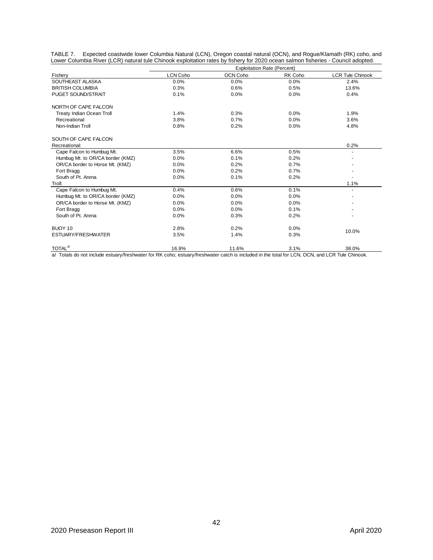| TABLE 7. |  |  |  | Expected coastwide lower Columbia Natural (LCN), Oregon coastal natural (OCN), and Rogue/Klamath (RK) coho, and                  |  |
|----------|--|--|--|----------------------------------------------------------------------------------------------------------------------------------|--|
|          |  |  |  | Lower Columbia River (LCR) natural tule Chinook exploitation rates by fishery for 2020 ocean salmon fisheries - Council adopted. |  |

|                                  |                 | <b>Exploitation Rate (Percent)</b> |         |                         |
|----------------------------------|-----------------|------------------------------------|---------|-------------------------|
| Fisherv                          | <b>LCN Coho</b> | <b>OCN Coho</b>                    | RK Coho | <b>LCR Tule Chinook</b> |
| SOUTHEAST ALASKA                 | 0.0%            | 0.0%                               | 0.0%    | 2.4%                    |
| <b>BRITISH COLUMBIA</b>          | 0.3%            | 0.6%                               | 0.5%    | 13.6%                   |
| <b>PUGET SOUND/STRAIT</b>        | 0.1%            | 0.0%                               | 0.0%    | 0.4%                    |
| NORTH OF CAPE FALCON             |                 |                                    |         |                         |
| Treaty Indian Ocean Troll        | 1.4%            | 0.3%                               | 0.0%    | 1.9%                    |
| Recreational                     | 3.8%            | 0.7%                               | 0.0%    | 3.6%                    |
| Non-Indian Troll                 | 0.8%            | 0.2%                               | 0.0%    | 4.8%                    |
| SOUTH OF CAPE FALCON             |                 |                                    |         |                         |
| Recreational:                    |                 |                                    |         | 0.2%                    |
| Cape Falcon to Humbug Mt.        | 3.5%            | 6.6%                               | 0.5%    |                         |
| Humbug Mt. to OR/CA border (KMZ) | 0.0%            | 0.1%                               | 0.2%    |                         |
| OR/CA border to Horse Mt. (KMZ)  | 0.0%            | 0.2%                               | 0.7%    |                         |
| Fort Bragg                       | 0.0%            | 0.2%                               | 0.7%    |                         |
| South of Pt. Arena               | 0.0%            | 0.1%                               | 0.2%    |                         |
| Troll:                           |                 |                                    |         | 1.1%                    |
| Cape Falcon to Humbug Mt.        | 0.4%            | 0.6%                               | 0.1%    |                         |
| Humbug Mt. to OR/CA border (KMZ) | 0.0%            | 0.0%                               | 0.0%    |                         |
| OR/CA border to Horse Mt. (KMZ)  | 0.0%            | 0.0%                               | 0.0%    |                         |
| Fort Bragg                       | 0.0%            | 0.0%                               | 0.1%    |                         |
| South of Pt. Arena               | 0.0%            | 0.3%                               | 0.2%    |                         |
| BUOY 10                          | 2.8%            | 0.2%                               | 0.0%    | 10.0%                   |
| ESTUARY/FRESHWATER               | 3.5%            | 1.4%                               | 0.3%    |                         |
| TOTAL <sup>a/</sup>              | 16.9%           | 11.6%                              | 3.1%    | 38.0%                   |

a/ Totals do not include estuary/freshwater for RK coho; estuary/freshwater catch is included in the total for LCN, OCN, and LCR Tule Chinook.

42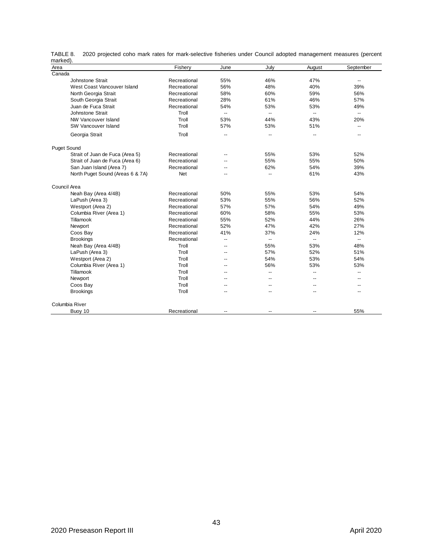| marked).                         |              |                          |                          |                          |                          |
|----------------------------------|--------------|--------------------------|--------------------------|--------------------------|--------------------------|
| Area                             | Fishery      | June                     | July                     | August                   | September                |
| Canada                           |              |                          |                          |                          |                          |
| Johnstone Strait                 | Recreational | 55%                      | 46%                      | 47%                      | --                       |
| West Coast Vancouver Island      | Recreational | 56%                      | 48%                      | 40%                      | 39%                      |
| North Georgia Strait             | Recreational | 58%                      | 60%                      | 59%                      | 56%                      |
| South Georgia Strait             | Recreational | 28%                      | 61%                      | 46%                      | 57%                      |
| Juan de Fuca Strait              | Recreational | 54%                      | 53%                      | 53%                      | 49%                      |
| Johnstone Strait                 | Troll        | $\overline{\phantom{a}}$ | $\overline{\phantom{a}}$ | --                       | $\overline{\phantom{a}}$ |
| NW Vancouver Island              | Troll        | 53%                      | 44%                      | 43%                      | 20%                      |
| SW Vancouver Island              | Troll        | 57%                      | 53%                      | 51%                      |                          |
| Georgia Strait                   | Troll        | $\overline{a}$           | $\overline{a}$           | $\overline{a}$           | --                       |
| <b>Puget Sound</b>               |              |                          |                          |                          |                          |
| Strait of Juan de Fuca (Area 5)  | Recreational | --                       | 55%                      | 53%                      | 52%                      |
| Strait of Juan de Fuca (Area 6)  | Recreational |                          | 55%                      | 55%                      | 50%                      |
| San Juan Island (Area 7)         | Recreational |                          | 62%                      | 54%                      | 39%                      |
| North Puget Sound (Areas 6 & 7A) | <b>Net</b>   | --                       | $-$                      | 61%                      | 43%                      |
| Council Area                     |              |                          |                          |                          |                          |
| Neah Bay (Area 4/4B)             | Recreational | 50%                      | 55%                      | 53%                      | 54%                      |
| LaPush (Area 3)                  | Recreational | 53%                      | 55%                      | 56%                      | 52%                      |
| Westport (Area 2)                | Recreational | 57%                      | 57%                      | 54%                      | 49%                      |
| Columbia River (Area 1)          | Recreational | 60%                      | 58%                      | 55%                      | 53%                      |
| Tillamook                        | Recreational | 55%                      | 52%                      | 44%                      | 26%                      |
| Newport                          | Recreational | 52%                      | 47%                      | 42%                      | 27%                      |
| Coos Bay                         | Recreational | 41%                      | 37%                      | 24%                      | 12%                      |
| <b>Brookings</b>                 | Recreational | $\overline{\phantom{a}}$ | $\overline{\phantom{a}}$ | $\overline{a}$           | $\overline{\phantom{a}}$ |
| Neah Bay (Area 4/4B)             | Troll        | $\overline{a}$           | 55%                      | 53%                      | 48%                      |
| LaPush (Area 3)                  | Troll        | $\overline{a}$           | 57%                      | 52%                      | 51%                      |
| Westport (Area 2)                | Troll        |                          | 54%                      | 53%                      | 54%                      |
| Columbia River (Area 1)          | Troll        |                          | 56%                      | 53%                      | 53%                      |
| Tillamook                        | Troll        | $- -$                    | $\overline{\phantom{a}}$ | $\overline{a}$           | $\overline{\phantom{a}}$ |
| Newport                          | Troll        | $-$                      | $-$                      | --                       | $-$                      |
| Coos Bay                         | Troll        | --                       | --                       | --                       |                          |
| <b>Brookings</b>                 | Troll        | $-$                      |                          | $\overline{\phantom{a}}$ | $-$                      |
| Columbia River                   |              |                          |                          |                          |                          |
| Buoy 10                          | Recreational | $\overline{a}$           | $\overline{\phantom{a}}$ | --                       | 55%                      |

TABLE 8. 2020 projected coho mark rates for mark-selective fisheries under Council adopted management measures (percent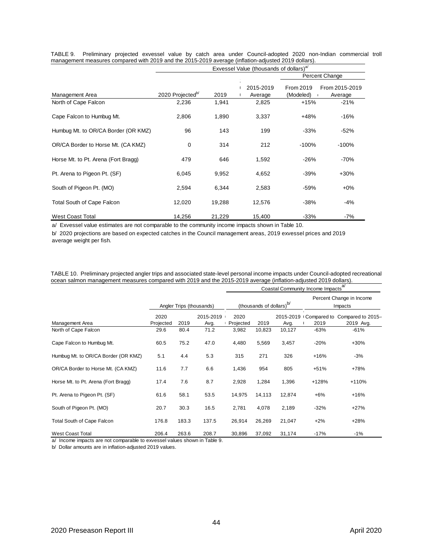|                                     |                              |        | Exvessel Value (thousands of dollars) <sup>a/</sup> |                        |                           |
|-------------------------------------|------------------------------|--------|-----------------------------------------------------|------------------------|---------------------------|
|                                     |                              |        |                                                     |                        | Percent Change            |
| Management Area                     | 2020 Projected <sup>b/</sup> | 2019   | 2015-2019<br>Average                                | From 2019<br>(Modeled) | From 2015-2019<br>Average |
| North of Cape Falcon                | 2,236                        | 1,941  | 2,825                                               | $+15%$                 | $-21%$                    |
| Cape Falcon to Humbug Mt.           | 2,806                        | 1,890  | 3,337                                               | +48%                   | $-16%$                    |
| Humbug Mt. to OR/CA Border (OR KMZ) | 96                           | 143    | 199                                                 | $-33%$                 | $-52%$                    |
| OR/CA Border to Horse Mt. (CA KMZ)  | $\mathbf 0$                  | 314    | 212                                                 | $-100%$                | $-100%$                   |
| Horse Mt. to Pt. Arena (Fort Bragg) | 479                          | 646    | 1,592                                               | $-26%$                 | $-70%$                    |
| Pt. Arena to Pigeon Pt. (SF)        | 6,045                        | 9,952  | 4,652                                               | $-39%$                 | $+30%$                    |
| South of Pigeon Pt. (MO)            | 2,594                        | 6,344  | 2,583                                               | $-59%$                 | $+0\%$                    |
| Total South of Cape Falcon          | 12,020                       | 19,288 | 12,576                                              | $-38%$                 | -4%                       |
| <b>West Coast Total</b>             | 14,256                       | 21,229 | 15,400                                              | $-33%$                 | $-7%$                     |

|  |  |  |  | TABLE 9. Preliminary projected exvessel value by catch area under Council-adopted 2020 non-Indian commercial troll |  |  |
|--|--|--|--|--------------------------------------------------------------------------------------------------------------------|--|--|
|  |  |  |  | management measures compared with 2019 and the 2015-2019 average (inflation-adjusted 2019 dollars).                |  |  |

a/ Exvessel value estimates are not comparable to the community income impacts shown in Table 10.

b/ 2020 projections are based on expected catches in the Council management areas, 2019 exvessel prices and 2019 average weight per fish.

| TABLE 10. Preliminary projected angler trips and associated state-level personal income impacts under Council-adopted recreational |
|------------------------------------------------------------------------------------------------------------------------------------|
| ocean salmon management measures compared with 2019 and the 2015-2019 average (inflation-adjusted 2019 dollars).                   |
| Constal Community Income Imports <sup>al</sup>                                                                                     |

|                                     |                   |       |                          |                   |                                      |                   | Coastal Community income impacts |                                            |
|-------------------------------------|-------------------|-------|--------------------------|-------------------|--------------------------------------|-------------------|----------------------------------|--------------------------------------------|
|                                     |                   |       | Angler Trips (thousands) |                   | (thousands of dollars) <sup>b/</sup> |                   |                                  | Percent Change in Income<br>Impacts        |
| Management Area                     | 2020<br>Projected | 2019  | 2015-2019<br>Avg.        | 2020<br>Projected | 2019                                 | 2015-2019<br>Avg. | 2019                             | Compared to Compared to 2015-<br>2019 Avg. |
| North of Cape Falcon                | 29.6              | 80.4  | 71.2                     | 3,982             | 10,823                               | 10,127            | $-63%$                           | $-61%$                                     |
| Cape Falcon to Humbug Mt.           | 60.5              | 75.2  | 47.0                     | 4,480             | 5,569                                | 3,457             | $-20%$                           | +30%                                       |
| Humbug Mt. to OR/CA Border (OR KMZ) | 5.1               | 4.4   | 5.3                      | 315               | 271                                  | 326               | +16%                             | $-3%$                                      |
| OR/CA Border to Horse Mt. (CA KMZ)  | 11.6              | 7.7   | 6.6                      | 1,436             | 954                                  | 805               | $+51%$                           | +78%                                       |
| Horse Mt. to Pt. Arena (Fort Bragg) | 17.4              | 7.6   | 8.7                      | 2,928             | 1,284                                | 1,396             | $+128%$                          | +110%                                      |
| Pt. Arena to Pigeon Pt. (SF)        | 61.6              | 58.1  | 53.5                     | 14,975            | 14,113                               | 12,874            | $+6%$                            | $+16%$                                     |
| South of Pigeon Pt. (MO)            | 20.7              | 30.3  | 16.5                     | 2,781             | 4,078                                | 2,189             | $-32%$                           | $+27%$                                     |
| Total South of Cape Falcon          | 176.8             | 183.3 | 137.5                    | 26,914            | 26,269                               | 21,047            | $+2%$                            | $+28%$                                     |
| <b>West Coast Total</b>             | 206.4             | 263.6 | 208.7                    | 30,896            | 37,092                               | 31,174            | $-17%$                           | $-1%$                                      |

a/ Income impacts are not comparable to exvessel values shown in Table 9.

b/ Dollar amounts are in inflation-adjusted 2019 values.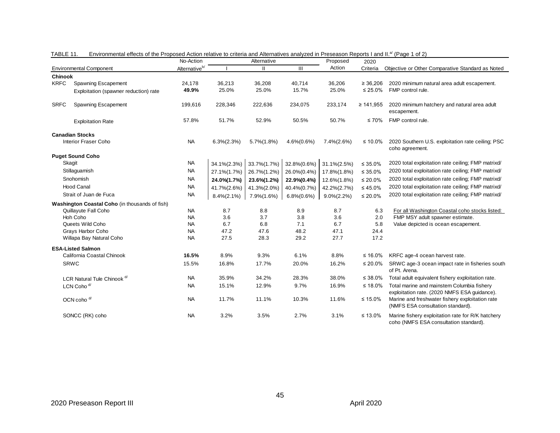|                |                                                | No-Action                 |                | Alternative       |                | Proposed        | 2020           |                                                                                             |
|----------------|------------------------------------------------|---------------------------|----------------|-------------------|----------------|-----------------|----------------|---------------------------------------------------------------------------------------------|
|                | <b>Environmental Component</b>                 | Alternative <sup>b/</sup> |                |                   | III            | Action          | Criteria       | Objective or Other Comparative Standard as Noted                                            |
| <b>Chinook</b> |                                                |                           |                |                   |                |                 |                |                                                                                             |
| <b>KRFC</b>    | <b>Spawning Escapement</b>                     | 24,178                    | 36,213         | 36,208            | 40,714         | 36,206          | $\geq 36,206$  | 2020 minimum natural area adult escapement.                                                 |
|                | Exploitation (spawner reduction) rate          | 49.9%                     | 25.0%          | 25.0%             | 15.7%          | 25.0%           | ≤ 25.0%        | FMP control rule.                                                                           |
|                |                                                |                           |                |                   |                |                 |                |                                                                                             |
| <b>SRFC</b>    | <b>Spawning Escapement</b>                     | 199,616                   | 228,346        | 222,636           | 234,075        | 233,174         | $\geq 141,955$ | 2020 minimum hatchery and natural area adult<br>escapement.                                 |
|                | <b>Exploitation Rate</b>                       | 57.8%                     | 51.7%          | 52.9%             | 50.5%          | 50.7%           | $\leq 70\%$    | FMP control rule.                                                                           |
|                | <b>Canadian Stocks</b>                         |                           |                |                   |                |                 |                |                                                                                             |
|                | <b>Interior Fraser Coho</b>                    | <b>NA</b>                 | $6.3\%(2.3\%)$ | $5.7\%$ $(1.8\%)$ | $4.6\%(0.6\%)$ | $7.4\%(2.6\%)$  | ≤ 10.0%        | 2020 Southern U.S. exploitation rate ceiling; PSC<br>coho agreement.                        |
|                | <b>Puget Sound Coho</b>                        |                           |                |                   |                |                 |                |                                                                                             |
|                | Skagit                                         | <b>NA</b>                 | 34.1%(2.3%)    | 33.7%(1.7%)       | 32.8%(0.6%)    | $31.1\%(2.5\%)$ | $\leq 35.0\%$  | 2020 total exploitation rate ceiling; FMP matrixd/                                          |
|                | Stillaguamish                                  | <b>NA</b>                 | 27.1%(1.7%)    | 26.7%(1.2%)       | 26.0%(0.4%)    | 17.8%(1.8%)     | $\leq 35.0\%$  | 2020 total exploitation rate ceiling; FMP matrixd/                                          |
|                | Snohomish                                      | <b>NA</b>                 | 24.0%(1.7%)    | 23.6%(1.2%)       | 22.9%(0.4%)    | 12.6%(1.8%)     | $≤ 20.0%$      | 2020 total exploitation rate ceiling; FMP matrixd/                                          |
|                | <b>Hood Canal</b>                              | <b>NA</b>                 | 41.7%(2.6%)    | 41.3%(2.0%)       | 40.4%(0.7%)    | 42.2%(2.7%)     | $\leq 45.0\%$  | 2020 total exploitation rate ceiling; FMP matrixd/                                          |
|                | Strait of Juan de Fuca                         | <b>NA</b>                 | $8.4\%(2.1\%)$ | 7.9%(1.6%)        | $6.8\%(0.6\%)$ | $9.0\%(2.2\%)$  | $\leq 20.0\%$  | 2020 total exploitation rate ceiling; FMP matrixd/                                          |
|                | Washington Coastal Coho (in thousands of fish) |                           |                |                   |                |                 |                |                                                                                             |
|                | Quillayute Fall Coho                           | <b>NA</b>                 | 8.7            | 8.8               | 8.9            | 8.7             | 6.3            | For all Washington Coastal coho stocks listed:                                              |
|                | Hoh Coho                                       | <b>NA</b>                 | 3.6            | 3.7               | 3.8            | 3.6             | 2.0            | FMP MSY adult spawner estimate.                                                             |
|                | Queets Wild Coho                               | <b>NA</b>                 | 6.7            | 6.8               | 7.1            | 6.7             | 5.8            | Value depicted is ocean escapement.                                                         |
|                | Grays Harbor Coho                              | <b>NA</b>                 | 47.2           | 47.6              | 48.2           | 47.1            | 24.4           |                                                                                             |
|                | Willapa Bay Natural Coho                       | <b>NA</b>                 | 27.5           | 28.3              | 29.2           | 27.7            | 17.2           |                                                                                             |
|                | <b>ESA-Listed Salmon</b>                       |                           |                |                   |                |                 |                |                                                                                             |
|                | California Coastal Chinook                     | 16.5%                     | 8.9%           | 9.3%              | 6.1%           | 8.8%            | ≤ 16.0%        | KRFC age-4 ocean harvest rate.                                                              |
|                | SRWC                                           | 15.5%                     | 16.8%          | 17.7%             | 20.0%          | 16.2%           | $\leq 20.0\%$  | SRWC age-3 ocean impact rate in fisheries south<br>of Pt. Arena.                            |
|                | LCR Natural Tule Chinook <sup>d/</sup>         | <b>NA</b>                 | 35.9%          | 34.2%             | 28.3%          | 38.0%           | $\leq 38.0\%$  | Total adult equivalent fishery exploitation rate.                                           |
|                | LCN Coho <sup>d/</sup>                         | <b>NA</b>                 | 15.1%          | 12.9%             | 9.7%           | 16.9%           | ≤ 18.0%        | Total marine and mainstem Columbia fishery<br>exploitation rate. (2020 NMFS ESA guidance).  |
|                | OCN coho <sup>d/</sup>                         | <b>NA</b>                 | 11.7%          | 11.1%             | 10.3%          | 11.6%           | ≤ 15.0%        | Marine and freshwater fishery exploitation rate<br>(NMFS ESA consultation standard).        |
|                | SONCC (RK) coho                                | <b>NA</b>                 | 3.2%           | 3.5%              | 2.7%           | 3.1%            | ≤ 13.0%        | Marine fishery exploitation rate for R/K hatchery<br>coho (NMFS ESA consultation standard). |

TABLE 11. Environmental effects of the Proposed Action relative to criteria and Alternatives analyzed in Preseason Reports I and II.<sup>a/</sup> (Page 1 of 2)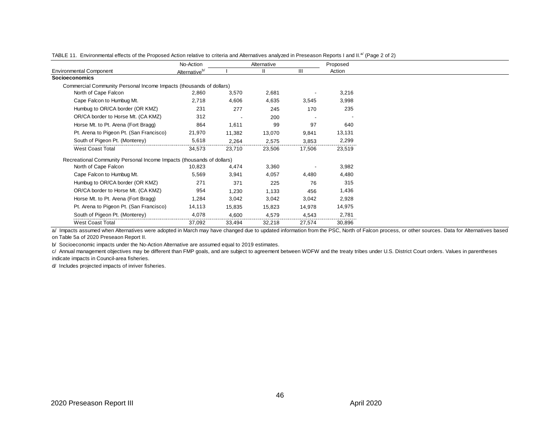|                                                                       | No-Action                 |        | Alternative   |        | Proposed |
|-----------------------------------------------------------------------|---------------------------|--------|---------------|--------|----------|
| <b>Environmental Component</b>                                        | Alternative <sup>b/</sup> |        | $\mathbf{II}$ | III    | Action   |
| <b>Socioeconomics</b>                                                 |                           |        |               |        |          |
| Commercial Community Personal Income Impacts (thousands of dollars)   |                           |        |               |        |          |
| North of Cape Falcon                                                  | 2,860                     | 3,570  | 2,681         |        | 3,216    |
| Cape Falcon to Humbug Mt.                                             | 2,718                     | 4,606  | 4,635         | 3,545  | 3,998    |
| Humbug to OR/CA border (OR KMZ)                                       | 231                       | 277    | 245           | 170    | 235      |
| OR/CA border to Horse Mt. (CA KMZ)                                    | 312                       |        | 200           |        |          |
| Horse Mt. to Pt. Arena (Fort Bragg)                                   | 864                       | 1,611  | 99            | 97     | 640      |
| Pt. Arena to Pigeon Pt. (San Francisco)                               | 21,970                    | 11,382 | 13,070        | 9,841  | 13,131   |
| South of Pigeon Pt. (Monterey)                                        | 5,618                     | 2,264  | 2,575         | 3,853  | 2,299    |
| <b>West Coast Total</b>                                               | 34,573                    | 23,710 | 23,506        | 17,506 | 23,519   |
| Recreational Community Personal Income Impacts (thousands of dollars) |                           |        |               |        |          |
| North of Cape Falcon                                                  | 10,823                    | 4,474  | 3,360         |        | 3,982    |
| Cape Falcon to Humbug Mt.                                             | 5,569                     | 3,941  | 4,057         | 4,480  | 4,480    |
| Humbug to OR/CA border (OR KMZ)                                       | 271                       | 371    | 225           | 76     | 315      |
| OR/CA border to Horse Mt. (CA KMZ)                                    | 954                       | 1,230  | 1,133         | 456    | 1,436    |
| Horse Mt. to Pt. Arena (Fort Bragg)                                   | 1,284                     | 3,042  | 3,042         | 3,042  | 2,928    |
| Pt. Arena to Pigeon Pt. (San Francisco)                               | 14,113                    | 15,835 | 15,823        | 14,978 | 14,975   |
| South of Pigeon Pt. (Monterey)                                        | 4,078                     | 4,600  | 4,579         | 4,543  | 2,781    |
| <b>West Coast Total</b>                                               | 37,092                    | 33,494 | 32,218        | 27,574 | 30,896   |

TABLE 11. Environmental effects of the Proposed Action relative to criteria and Alternatives analyzed in Preseason Reports I and II.<sup>a/</sup> (Page 2 of 2)

a/ Impacts assumed when Alternatives were adopted in March may have changed due to updated information from the PSC, North of Falcon process, or other sources. Data for Alternatives based on Table 5a of 2020 Preseaon Report II.

b/ Socioeconomic impacts under the No-Action Alternative are assumed equal to 2019 estimates.

c/ Annual management objectives may be different than FMP goals, and are subject to agreement between WDFW and the treaty tribes under U.S. District Court orders. Values in parentheses indicate impacts in Council-area fisheries.

d/ Includes projected impacts of inriver fisheries.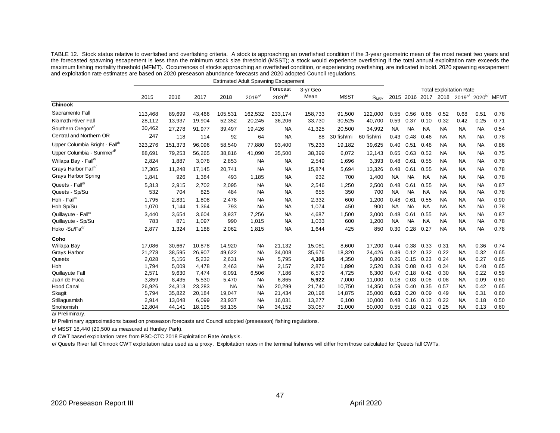TABLE 12. Stock status relative to overfished and overfishing criteria. A stock is approaching an overfished condition if the 3-year geometric mean of the most recent two years and the forecasted spawning escapement is less than the minimum stock size threshold (MSST); a stock would experience overfishing if the total annual exploitation rate exceeds the maximum fishing mortality threshold (MFMT). Occurrences of stocks approaching an overfished condition, or experiencing overfishing, are indicated in bold. 2020 spawning escapement and exploitation rate estimates are based on 2020 preseason abundance forecasts and 2020 adopted Council regulations.

|                                            | <b>Estimated Adult Spawning Escapement</b> |         |        |           |            |             |         |                                |                  |           |           |                |           |                         |             |             |
|--------------------------------------------|--------------------------------------------|---------|--------|-----------|------------|-------------|---------|--------------------------------|------------------|-----------|-----------|----------------|-----------|-------------------------|-------------|-------------|
|                                            | Forecast<br>3-yr Geo                       |         |        |           |            |             |         | <b>Total Exploitation Rate</b> |                  |           |           |                |           |                         |             |             |
|                                            | 2015                                       | 2016    | 2017   | 2018      | $2019^{a}$ | $2020^{b/}$ | Mean    | <b>MSST</b>                    | $S_{\text{MSY}}$ |           |           | 2015 2016 2017 |           | 2018 2019 <sup>a/</sup> | $2020^{b/}$ | <b>MFMT</b> |
| <b>Chinook</b>                             |                                            |         |        |           |            |             |         |                                |                  |           |           |                |           |                         |             |             |
| Sacramento Fall                            | 113.468                                    | 89.699  | 43.466 | 105,531   | 162,532    | 233,174     | 158.733 | 91,500                         | 122.000          | 0.55      | 0.56      | 0.68           | 0.52      | 0.68                    | 0.51        | 0.78        |
| <b>Klamath River Fall</b>                  | 28,112                                     | 13,937  | 19,904 | 52,352    | 20,245     | 36,206      | 33,730  | 30,525                         | 40,700           | 0.59      | 0.37      | 0.10           | 0.32      | 0.42                    | 0.25        | 0.71        |
| Southern Oregon <sup>c/</sup>              | 30,462                                     | 27,278  | 91,977 | 39,497    | 19,426     | <b>NA</b>   | 41,325  | 20,500                         | 34,992           | <b>NA</b> | <b>NA</b> | <b>NA</b>      | <b>NA</b> | <b>NA</b>               | <b>NA</b>   | 0.54        |
| Central and Northern OR                    | 247                                        | 118     | 114    | 92        | 64         | <b>NA</b>   | 88      | 30 fish/mi                     | 60 fish/mi       | 0.43      | 0.48      | 0.46           | <b>NA</b> | <b>NA</b>               | <b>NA</b>   | 0.78        |
| Upper Columbia Bright - Fall <sup>d/</sup> | 323,276                                    | 151,373 | 96,096 | 58,540    | 77,880     | 93,400      | 75,233  | 19,182                         | 39,625           | 0.40      | 0.51      | 0.48           | <b>NA</b> | <b>NA</b>               | <b>NA</b>   | 0.86        |
| Upper Columbia - Summerd/                  | 88,691                                     | 79,253  | 56,265 | 38,816    | 41,090     | 35,500      | 38,399  | 6,072                          | 12,143           | 0.65      | 0.63      | 0.52           | <b>NA</b> | <b>NA</b>               | <b>NA</b>   | 0.75        |
| Willapa Bay - Fall <sup>e/</sup>           | 2,824                                      | 1,887   | 3,078  | 2,853     | <b>NA</b>  | <b>NA</b>   | 2,549   | 1,696                          | 3,393            | 0.48      | 0.61      | 0.55           | <b>NA</b> | <b>NA</b>               | <b>NA</b>   | 0.78        |
| Grays Harbor Falle/                        | 17,305                                     | 11,248  | 17,145 | 20,741    | <b>NA</b>  | <b>NA</b>   | 15,874  | 5,694                          | 13,326           | 0.48      | 0.61      | 0.55           | <b>NA</b> | <b>NA</b>               | <b>NA</b>   | 0.78        |
| Grays Harbor Spring                        | 1,841                                      | 926     | 1,384  | 493       | 1.185      | <b>NA</b>   | 932     | 700                            | 1,400            | <b>NA</b> | <b>NA</b> | <b>NA</b>      | <b>NA</b> | <b>NA</b>               | <b>NA</b>   | 0.78        |
| Queets - Falld/                            | 5,313                                      | 2,915   | 2,702  | 2,095     | <b>NA</b>  | <b>NA</b>   | 2,546   | 1,250                          | 2,500            | 0.48      | 0.61      | 0.55           | <b>NA</b> | <b>NA</b>               | <b>NA</b>   | 0.87        |
| Queets - Sp/Su                             | 532                                        | 704     | 825    | 484       | <b>NA</b>  | <b>NA</b>   | 655     | 350                            | 700              | <b>NA</b> | <b>NA</b> | <b>NA</b>      | <b>NA</b> | <b>NA</b>               | <b>NA</b>   | 0.78        |
| Hoh - $Falle$                              | 1,795                                      | 2,831   | 1,808  | 2,478     | <b>NA</b>  | <b>NA</b>   | 2,332   | 600                            | 1,200            | 0.48      | 0.61      | 0.55           | <b>NA</b> | <b>NA</b>               | <b>NA</b>   | 0.90        |
| Hoh Sp/Su                                  | 1,070                                      | 1,144   | 1,364  | 793       | <b>NA</b>  | <b>NA</b>   | 1,074   | 450                            | 900              | <b>NA</b> | <b>NA</b> | <b>NA</b>      | <b>NA</b> | <b>NA</b>               | <b>NA</b>   | 0.78        |
| Quillayute - Falle                         | 3,440                                      | 3,654   | 3,604  | 3,937     | 7,256      | <b>NA</b>   | 4,687   | 1,500                          | 3,000            | 0.48      | 0.61      | 0.55           | <b>NA</b> | <b>NA</b>               | <b>NA</b>   | 0.87        |
| Quillayute - Sp/Su                         | 783                                        | 871     | 1,097  | 990       | 1,015      | <b>NA</b>   | 1,033   | 600                            | 1,200            | <b>NA</b> | <b>NA</b> | <b>NA</b>      | <b>NA</b> | <b>NA</b>               | <b>NA</b>   | 0.78        |
| Hoko -Su/Fa <sup>d/</sup>                  | 2,877                                      | 1,324   | 1,188  | 2,062     | 1,815      | <b>NA</b>   | 1,644   | 425                            | 850              | 0.30      | 0.28      | 0.27           | <b>NA</b> | <b>NA</b>               | <b>NA</b>   | 0.78        |
| Coho                                       |                                            |         |        |           |            |             |         |                                |                  |           |           |                |           |                         |             |             |
| Willapa Bay                                | 17,086                                     | 30,667  | 10,878 | 14,920    | <b>NA</b>  | 21,132      | 15,081  | 8,600                          | 17,200           | 0.44      | 0.38      | 0.33           | 0.31      | <b>NA</b>               | 0.36        | 0.74        |
| Grays Harbor                               | 21,278                                     | 38,595  | 26,907 | 49,622    | <b>NA</b>  | 34,008      | 35,676  | 18,320                         | 24,426           | 0.49      | 0.12      | 0.32           | 0.22      | <b>NA</b>               | 0.32        | 0.65        |
| Queets                                     | 2,028                                      | 5,156   | 5,232  | 2,631     | <b>NA</b>  | 5,795       | 4,305   | 4,350                          | 5,800            | 0.26      | 0.15      | 0.23           | 0.24      | <b>NA</b>               | 0.27        | 0.65        |
| <b>Hoh</b>                                 | 1,794                                      | 5,009   | 4,478  | 2,463     | <b>NA</b>  | 2,157       | 2,876   | 1,890                          | 2,520            | 0.39      | 0.08      | 0.43           | 0.34      | <b>NA</b>               | 0.48        | 0.65        |
| Quillayute Fall                            | 2,571                                      | 9,630   | 7,474  | 6,091     | 6,506      | 7,186       | 6,579   | 4,725                          | 6,300            | 0.47      | 0.18      | 0.42           | 0.30      | <b>NA</b>               | 0.22        | 0.59        |
| Juan de Fuca                               | 3,859                                      | 8,435   | 5,530  | 5,470     | <b>NA</b>  | 6,865       | 5,922   | 7,000                          | 11,000           | 0.18      | 0.03      | 0.06           | 0.08      | <b>NA</b>               | 0.09        | 0.60        |
| <b>Hood Canal</b>                          | 26,926                                     | 24,313  | 23,283 | <b>NA</b> | <b>NA</b>  | 20,299      | 21,740  | 10.750                         | 14,350           | 0.59      | 0.40      | 0.35           | 0.57      | <b>NA</b>               | 0.42        | 0.65        |
| Skagit                                     | 5,794                                      | 35,822  | 20,184 | 19,047    | <b>NA</b>  | 21,434      | 20,198  | 14,875                         | 25,000           | 0.63      | 0.20      | 0.09           | 0.49      | <b>NA</b>               | 0.31        | 0.60        |
| Stillaguamish                              | 2,914                                      | 13,048  | 6,099  | 23,937    | <b>NA</b>  | 16,031      | 13,277  | 6,100                          | 10,000           | 0.48      | 0.16      | 0.12           | 0.22      | NA                      | 0.18        | 0.50        |
| Snohomish                                  | 12,804                                     | 44,141  | 18,195 | 58,135    | <b>NA</b>  | 34,152      | 33,057  | 31,000                         | 50,000           | 0.55      | 0.18      | 0.21           | 0.25      | <b>NA</b>               | 0.13        | 0.60        |

a/ Preliminary.

b/ Preliminary approximations based on preseason forecasts and Council adopted (preseason) fishing regulations.

c/ MSST 18,440 (20,500 as measured at Huntley Park).

d/ CWT based exploitation rates from PSC-CTC 2018 Exploitation Rate Analysis.

e/ Queets River fall Chinook CWT exploitation rates used as a proxy. Exploitation rates in the terminal fisheries will differ from those calculated for Queets fall CWTs.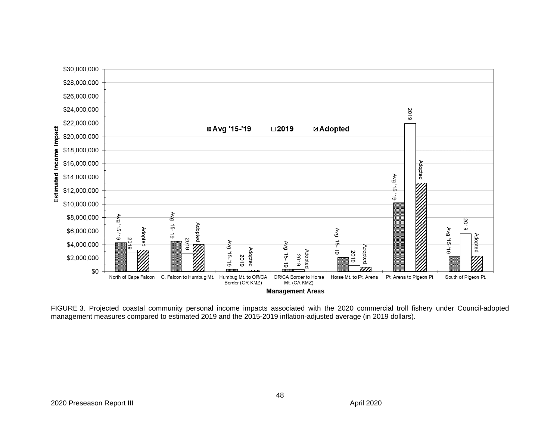

<span id="page-52-0"></span>FIGURE 3. Projected coastal community personal income impacts associated with the 2020 commercial troll fishery under Council-adopted management measures compared to estimated 2019 and the 2015-2019 inflation-adjusted average (in 2019 dollars).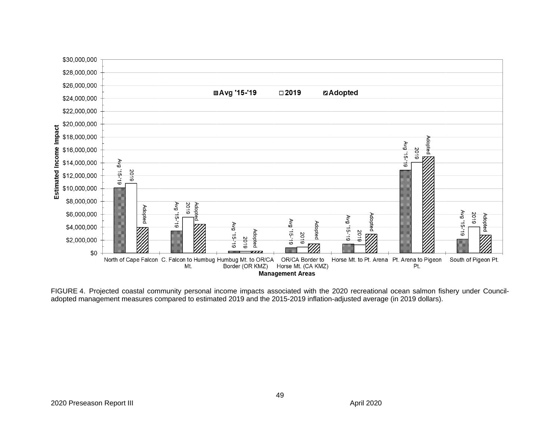

<span id="page-53-0"></span>FIGURE 4. Projected coastal community personal income impacts associated with the 2020 recreational ocean salmon fishery under Counciladopted management measures compared to estimated 2019 and the 2015-2019 inflation-adjusted average (in 2019 dollars).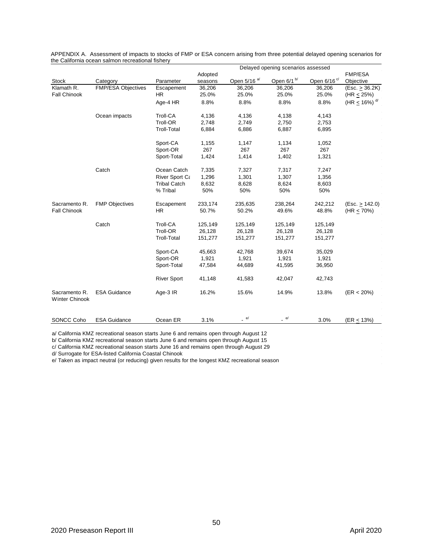|                                 |                           |                     | Delayed opening scenarios assessed |              |             |                         |                               |  |  |  |
|---------------------------------|---------------------------|---------------------|------------------------------------|--------------|-------------|-------------------------|-------------------------------|--|--|--|
|                                 |                           |                     | Adopted                            |              |             |                         | <b>FMP/ESA</b>                |  |  |  |
| <b>Stock</b>                    | Category                  | Parameter           | seasons                            | Open 5/16 a/ | Open 6/1 b/ | Open 6/16 <sup>c/</sup> | Objective                     |  |  |  |
| Klamath R.                      | <b>FMP/ESA Objectives</b> | Escapement          | 36,206                             | 36,206       | 36,206      | 36,206                  | (Esc. > 36.2K)                |  |  |  |
| <b>Fall Chinook</b>             |                           | <b>HR</b>           | 25.0%                              | 25.0%        | 25.0%       | 25.0%                   | (HR $\leq$ 25%)               |  |  |  |
|                                 |                           | Age-4 HR            | 8.8%                               | 8.8%         | 8.8%        | 8.8%                    | (HR $\leq$ 16%) <sup>d/</sup> |  |  |  |
|                                 | Ocean impacts             | <b>Troll-CA</b>     | 4,136                              | 4,136        | 4,138       | 4,143                   |                               |  |  |  |
|                                 |                           | Troll-OR            | 2,748                              | 2,749        | 2,750       | 2,753                   |                               |  |  |  |
|                                 |                           | <b>Troll-Total</b>  | 6,884                              | 6,886        | 6,887       | 6,895                   |                               |  |  |  |
|                                 |                           | Sport-CA            | 1,155                              | 1,147        | 1,134       | 1,052                   |                               |  |  |  |
|                                 |                           | Sport-OR            | 267                                | 267          | 267         | 267                     |                               |  |  |  |
|                                 |                           | Sport-Total         | 1,424                              | 1,414        | 1,402       | 1,321                   |                               |  |  |  |
|                                 | Catch                     | Ocean Catch         | 7,335                              | 7,327        | 7,317       | 7,247                   |                               |  |  |  |
|                                 |                           | River Sport Ca      | 1,296                              | 1,301        | 1,307       | 1,356                   |                               |  |  |  |
|                                 |                           | <b>Tribal Catch</b> | 8,632                              | 8,628        | 8,624       | 8,603                   |                               |  |  |  |
|                                 |                           | % Tribal            | 50%                                | 50%          | 50%         | 50%                     |                               |  |  |  |
| Sacramento R.                   | <b>FMP Objectives</b>     | Escapement          | 233,174                            | 235,635      | 238,264     | 242,212                 | (Esc. > 142.0)                |  |  |  |
| <b>Fall Chinook</b>             |                           | <b>HR</b>           | 50.7%                              | 50.2%        | 49.6%       | 48.8%                   | (HR < 70%)                    |  |  |  |
|                                 | Catch                     | <b>Troll-CA</b>     | 125,149                            | 125,149      | 125,149     | 125,149                 |                               |  |  |  |
|                                 |                           | <b>Troll-OR</b>     | 26,128                             | 26,128       | 26,128      | 26,128                  |                               |  |  |  |
|                                 |                           | <b>Troll-Total</b>  | 151,277                            | 151,277      | 151,277     | 151,277                 |                               |  |  |  |
|                                 |                           | Sport-CA            | 45,663                             | 42,768       | 39,674      | 35,029                  |                               |  |  |  |
|                                 |                           | Sport-OR            | 1,921                              | 1,921        | 1,921       | 1,921                   |                               |  |  |  |
|                                 |                           | Sport-Total         | 47,584                             | 44,689       | 41,595      | 36,950                  |                               |  |  |  |
|                                 |                           | <b>River Sport</b>  | 41,148                             | 41,583       | 42,047      | 42,743                  |                               |  |  |  |
| Sacramento R.<br>Winter Chinook | <b>ESA Guidance</b>       | Age-3 IR            | 16.2%                              | 15.6%        | 14.9%       | 13.8%                   | (ER < 20%)                    |  |  |  |
| SONCC Coho                      | <b>ESA Guidance</b>       | Ocean ER            | 3.1%                               | e/           | $_e$ e/     | 3.0%                    | $(ER \le 13%)$                |  |  |  |
|                                 |                           |                     |                                    |              |             |                         |                               |  |  |  |

APPENDIX A. Assessment of impacts to stocks of FMP or ESA concern arising from three potential delayed opening scenarios for the California ocean salmon recreational fishery

a/ California KMZ recreational season starts June 6 and remains open through August 12

b/ California KMZ recreational season starts June 6 and remains open through August 15

c/ California KMZ recreational season starts June 16 and remains open through August 29

d/ Surrogate for ESA-listed California Coastal Chinook

e/ Taken as impact neutral (or reducing) given results for the longest KMZ recreational season